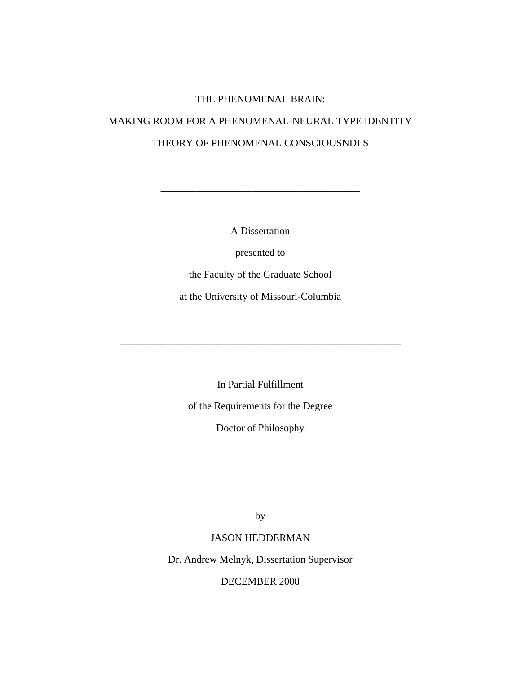# THE PHENOMENAL BRAIN:

# MAKING ROOM FOR A PHENOMENAL-NEURAL TYPE IDENTITY THEORY OF PHENOMENAL CONSCIOUSNDES

A Dissertation

\_\_\_\_\_\_\_\_\_\_\_\_\_\_\_\_\_\_\_\_\_\_\_\_\_\_\_\_\_\_\_\_\_\_\_\_\_\_\_

presented to

the Faculty of the Graduate School

at the University of Missouri-Columbia

\_\_\_\_\_\_\_\_\_\_\_\_\_\_\_\_\_\_\_\_\_\_\_\_\_\_\_\_\_\_\_\_\_\_\_\_\_\_\_\_\_\_\_\_\_\_\_\_\_\_\_\_\_\_\_

In Partial Fulfillment

of the Requirements for the Degree

Doctor of Philosophy

by

\_\_\_\_\_\_\_\_\_\_\_\_\_\_\_\_\_\_\_\_\_\_\_\_\_\_\_\_\_\_\_\_\_\_\_\_\_\_\_\_\_\_\_\_\_\_\_\_\_\_\_\_\_

# JASON HEDDERMAN

Dr. Andrew Melnyk, Dissertation Supervisor

DECEMBER 2008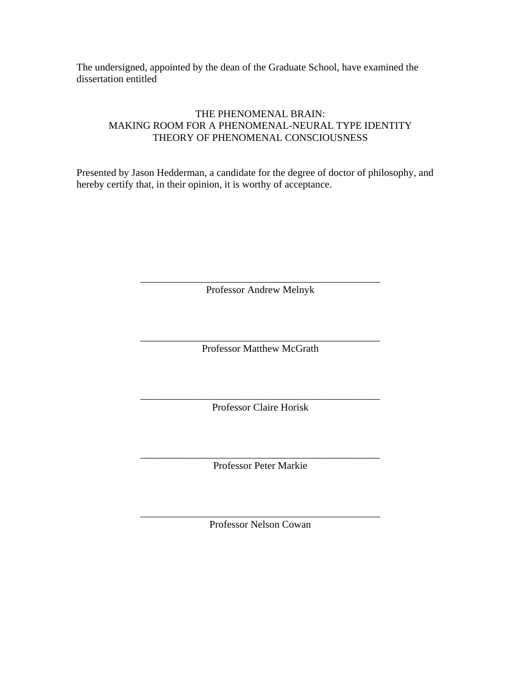The undersigned, appointed by the dean of the Graduate School, have examined the dissertation entitled

# THE PHENOMENAL BRAIN: MAKING ROOM FOR A PHENOMENAL-NEURAL TYPE IDENTITY THEORY OF PHENOMENAL CONSCIOUSNESS

Presented by Jason Hedderman, a candidate for the degree of doctor of philosophy, and hereby certify that, in their opinion, it is worthy of acceptance.

> \_\_\_\_\_\_\_\_\_\_\_\_\_\_\_\_\_\_\_\_\_\_\_\_\_\_\_\_\_\_\_\_\_\_\_\_\_\_\_\_\_\_\_\_\_\_\_ Professor Andrew Melnyk

> \_\_\_\_\_\_\_\_\_\_\_\_\_\_\_\_\_\_\_\_\_\_\_\_\_\_\_\_\_\_\_\_\_\_\_\_\_\_\_\_\_\_\_\_\_\_\_ Professor Matthew McGrath

> \_\_\_\_\_\_\_\_\_\_\_\_\_\_\_\_\_\_\_\_\_\_\_\_\_\_\_\_\_\_\_\_\_\_\_\_\_\_\_\_\_\_\_\_\_\_\_ Professor Claire Horisk

> \_\_\_\_\_\_\_\_\_\_\_\_\_\_\_\_\_\_\_\_\_\_\_\_\_\_\_\_\_\_\_\_\_\_\_\_\_\_\_\_\_\_\_\_\_\_\_ Professor Peter Markie

> \_\_\_\_\_\_\_\_\_\_\_\_\_\_\_\_\_\_\_\_\_\_\_\_\_\_\_\_\_\_\_\_\_\_\_\_\_\_\_\_\_\_\_\_\_\_\_ Professor Nelson Cowan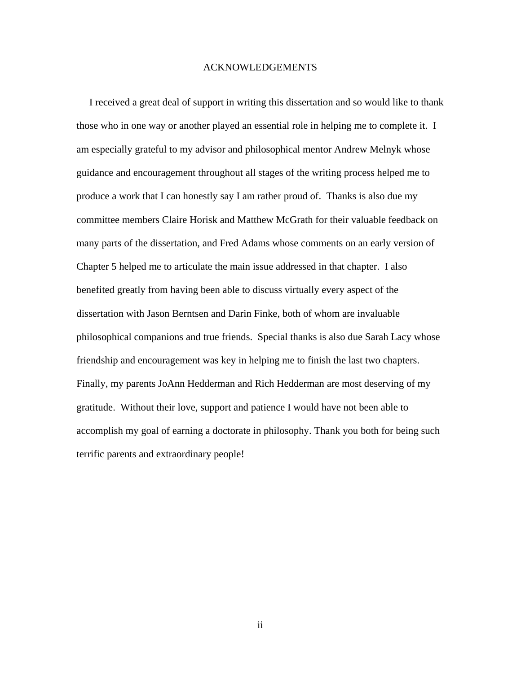#### ACKNOWLEDGEMENTS

 I received a great deal of support in writing this dissertation and so would like to thank those who in one way or another played an essential role in helping me to complete it. I am especially grateful to my advisor and philosophical mentor Andrew Melnyk whose guidance and encouragement throughout all stages of the writing process helped me to produce a work that I can honestly say I am rather proud of. Thanks is also due my committee members Claire Horisk and Matthew McGrath for their valuable feedback on many parts of the dissertation, and Fred Adams whose comments on an early version of Chapter 5 helped me to articulate the main issue addressed in that chapter. I also benefited greatly from having been able to discuss virtually every aspect of the dissertation with Jason Berntsen and Darin Finke, both of whom are invaluable philosophical companions and true friends. Special thanks is also due Sarah Lacy whose friendship and encouragement was key in helping me to finish the last two chapters. Finally, my parents JoAnn Hedderman and Rich Hedderman are most deserving of my gratitude. Without their love, support and patience I would have not been able to accomplish my goal of earning a doctorate in philosophy. Thank you both for being such terrific parents and extraordinary people!

ii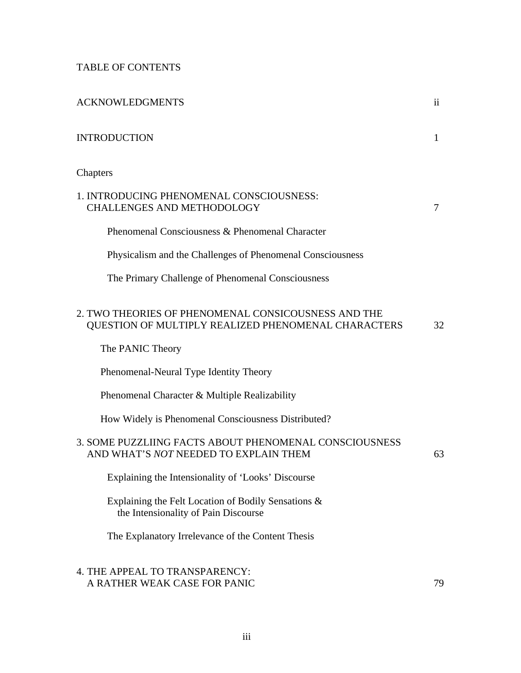# TABLE OF CONTENTS

| <b>ACKNOWLEDGMENTS</b>                                                                                     | $\mathbf{ii}$ |
|------------------------------------------------------------------------------------------------------------|---------------|
| <b>INTRODUCTION</b>                                                                                        | 1             |
| Chapters                                                                                                   |               |
| 1. INTRODUCING PHENOMENAL CONSCIOUSNESS:<br><b>CHALLENGES AND METHODOLOGY</b>                              | 7             |
| Phenomenal Consciousness & Phenomenal Character                                                            |               |
| Physicalism and the Challenges of Phenomenal Consciousness                                                 |               |
| The Primary Challenge of Phenomenal Consciousness                                                          |               |
| 2. TWO THEORIES OF PHENOMENAL CONSICOUSNESS AND THE<br>QUESTION OF MULTIPLY REALIZED PHENOMENAL CHARACTERS | 32            |
| The PANIC Theory                                                                                           |               |
| Phenomenal-Neural Type Identity Theory                                                                     |               |
| Phenomenal Character & Multiple Realizability                                                              |               |
| How Widely is Phenomenal Consciousness Distributed?                                                        |               |
| 3. SOME PUZZLIING FACTS ABOUT PHENOMENAL CONSCIOUSNESS<br>AND WHAT'S NOT NEEDED TO EXPLAIN THEM            | 63            |
| Explaining the Intensionality of 'Looks' Discourse                                                         |               |
| Explaining the Felt Location of Bodily Sensations &<br>the Intensionality of Pain Discourse                |               |
| The Explanatory Irrelevance of the Content Thesis                                                          |               |
| 4. THE APPEAL TO TRANSPARENCY:<br>A RATHER WEAK CASE FOR PANIC                                             | 79            |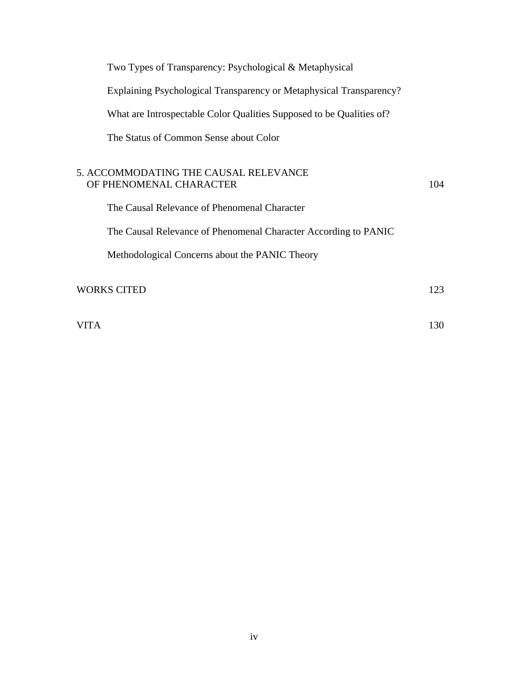| Two Types of Transparency: Psychological & Metaphysical                                                                                                                                                                               |     |
|---------------------------------------------------------------------------------------------------------------------------------------------------------------------------------------------------------------------------------------|-----|
| Explaining Psychological Transparency or Metaphysical Transparency?                                                                                                                                                                   |     |
| What are Introspectable Color Qualities Supposed to be Qualities of?                                                                                                                                                                  |     |
| The Status of Common Sense about Color                                                                                                                                                                                                |     |
| 5. ACCOMMODATING THE CAUSAL RELEVANCE<br>OF PHENOMENAL CHARACTER<br>The Causal Relevance of Phenomenal Character<br>The Causal Relevance of Phenomenal Character According to PANIC<br>Methodological Concerns about the PANIC Theory | 104 |
| <b>WORKS CITED</b>                                                                                                                                                                                                                    | 123 |

VITA 130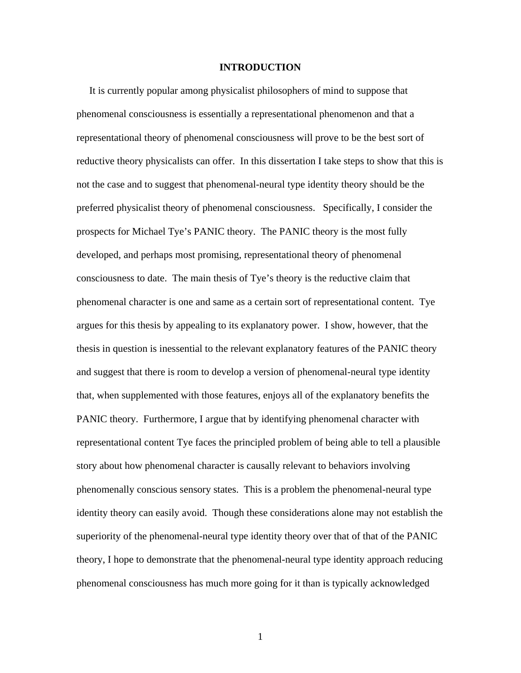#### **INTRODUCTION**

 It is currently popular among physicalist philosophers of mind to suppose that phenomenal consciousness is essentially a representational phenomenon and that a representational theory of phenomenal consciousness will prove to be the best sort of reductive theory physicalists can offer. In this dissertation I take steps to show that this is not the case and to suggest that phenomenal-neural type identity theory should be the preferred physicalist theory of phenomenal consciousness. Specifically, I consider the prospects for Michael Tye's PANIC theory. The PANIC theory is the most fully developed, and perhaps most promising, representational theory of phenomenal consciousness to date. The main thesis of Tye's theory is the reductive claim that phenomenal character is one and same as a certain sort of representational content. Tye argues for this thesis by appealing to its explanatory power. I show, however, that the thesis in question is inessential to the relevant explanatory features of the PANIC theory and suggest that there is room to develop a version of phenomenal-neural type identity that, when supplemented with those features, enjoys all of the explanatory benefits the PANIC theory. Furthermore, I argue that by identifying phenomenal character with representational content Tye faces the principled problem of being able to tell a plausible story about how phenomenal character is causally relevant to behaviors involving phenomenally conscious sensory states. This is a problem the phenomenal-neural type identity theory can easily avoid. Though these considerations alone may not establish the superiority of the phenomenal-neural type identity theory over that of that of the PANIC theory, I hope to demonstrate that the phenomenal-neural type identity approach reducing phenomenal consciousness has much more going for it than is typically acknowledged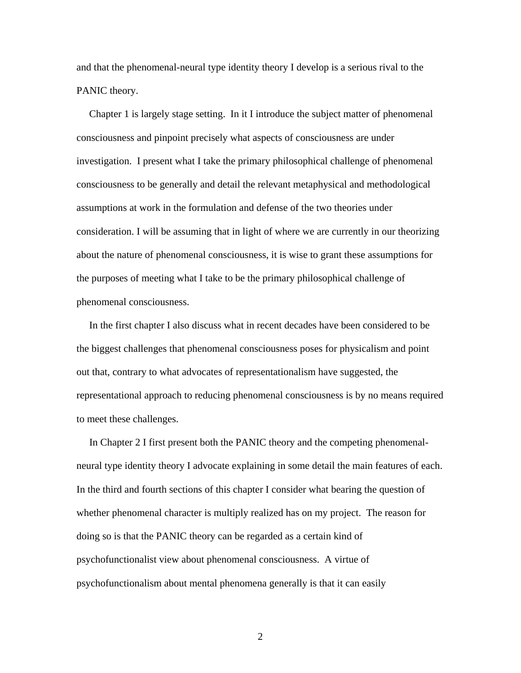and that the phenomenal-neural type identity theory I develop is a serious rival to the PANIC theory.

 Chapter 1 is largely stage setting. In it I introduce the subject matter of phenomenal consciousness and pinpoint precisely what aspects of consciousness are under investigation. I present what I take the primary philosophical challenge of phenomenal consciousness to be generally and detail the relevant metaphysical and methodological assumptions at work in the formulation and defense of the two theories under consideration. I will be assuming that in light of where we are currently in our theorizing about the nature of phenomenal consciousness, it is wise to grant these assumptions for the purposes of meeting what I take to be the primary philosophical challenge of phenomenal consciousness.

 In the first chapter I also discuss what in recent decades have been considered to be the biggest challenges that phenomenal consciousness poses for physicalism and point out that, contrary to what advocates of representationalism have suggested, the representational approach to reducing phenomenal consciousness is by no means required to meet these challenges.

 In Chapter 2 I first present both the PANIC theory and the competing phenomenalneural type identity theory I advocate explaining in some detail the main features of each. In the third and fourth sections of this chapter I consider what bearing the question of whether phenomenal character is multiply realized has on my project. The reason for doing so is that the PANIC theory can be regarded as a certain kind of psychofunctionalist view about phenomenal consciousness. A virtue of psychofunctionalism about mental phenomena generally is that it can easily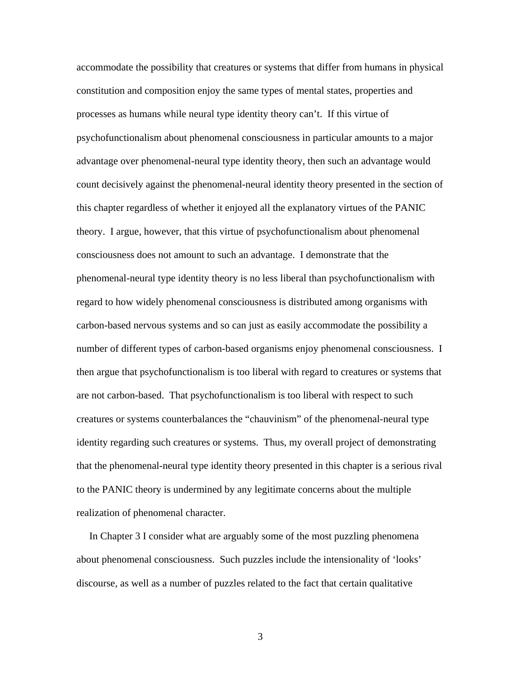accommodate the possibility that creatures or systems that differ from humans in physical constitution and composition enjoy the same types of mental states, properties and processes as humans while neural type identity theory can't. If this virtue of psychofunctionalism about phenomenal consciousness in particular amounts to a major advantage over phenomenal-neural type identity theory, then such an advantage would count decisively against the phenomenal-neural identity theory presented in the section of this chapter regardless of whether it enjoyed all the explanatory virtues of the PANIC theory. I argue, however, that this virtue of psychofunctionalism about phenomenal consciousness does not amount to such an advantage. I demonstrate that the phenomenal-neural type identity theory is no less liberal than psychofunctionalism with regard to how widely phenomenal consciousness is distributed among organisms with carbon-based nervous systems and so can just as easily accommodate the possibility a number of different types of carbon-based organisms enjoy phenomenal consciousness. I then argue that psychofunctionalism is too liberal with regard to creatures or systems that are not carbon-based. That psychofunctionalism is too liberal with respect to such creatures or systems counterbalances the "chauvinism" of the phenomenal-neural type identity regarding such creatures or systems. Thus, my overall project of demonstrating that the phenomenal-neural type identity theory presented in this chapter is a serious rival to the PANIC theory is undermined by any legitimate concerns about the multiple realization of phenomenal character.

 In Chapter 3 I consider what are arguably some of the most puzzling phenomena about phenomenal consciousness. Such puzzles include the intensionality of 'looks' discourse, as well as a number of puzzles related to the fact that certain qualitative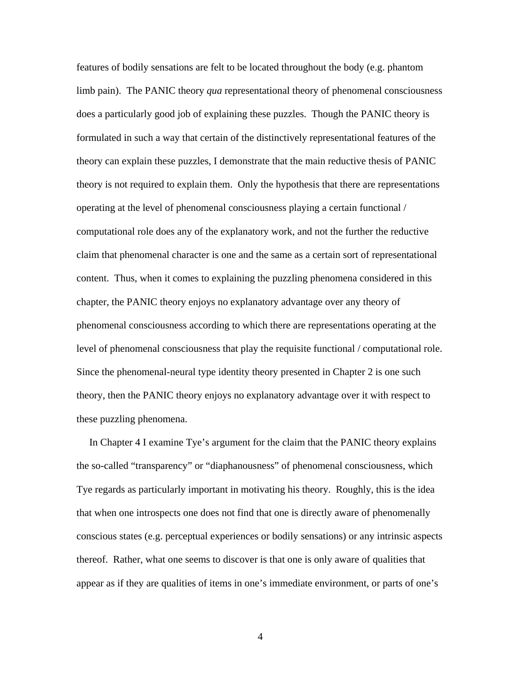features of bodily sensations are felt to be located throughout the body (e.g. phantom limb pain). The PANIC theory *qua* representational theory of phenomenal consciousness does a particularly good job of explaining these puzzles. Though the PANIC theory is formulated in such a way that certain of the distinctively representational features of the theory can explain these puzzles, I demonstrate that the main reductive thesis of PANIC theory is not required to explain them. Only the hypothesis that there are representations operating at the level of phenomenal consciousness playing a certain functional / computational role does any of the explanatory work, and not the further the reductive claim that phenomenal character is one and the same as a certain sort of representational content. Thus, when it comes to explaining the puzzling phenomena considered in this chapter, the PANIC theory enjoys no explanatory advantage over any theory of phenomenal consciousness according to which there are representations operating at the level of phenomenal consciousness that play the requisite functional / computational role. Since the phenomenal-neural type identity theory presented in Chapter 2 is one such theory, then the PANIC theory enjoys no explanatory advantage over it with respect to these puzzling phenomena.

 In Chapter 4 I examine Tye's argument for the claim that the PANIC theory explains the so-called "transparency" or "diaphanousness" of phenomenal consciousness, which Tye regards as particularly important in motivating his theory. Roughly, this is the idea that when one introspects one does not find that one is directly aware of phenomenally conscious states (e.g. perceptual experiences or bodily sensations) or any intrinsic aspects thereof. Rather, what one seems to discover is that one is only aware of qualities that appear as if they are qualities of items in one's immediate environment, or parts of one's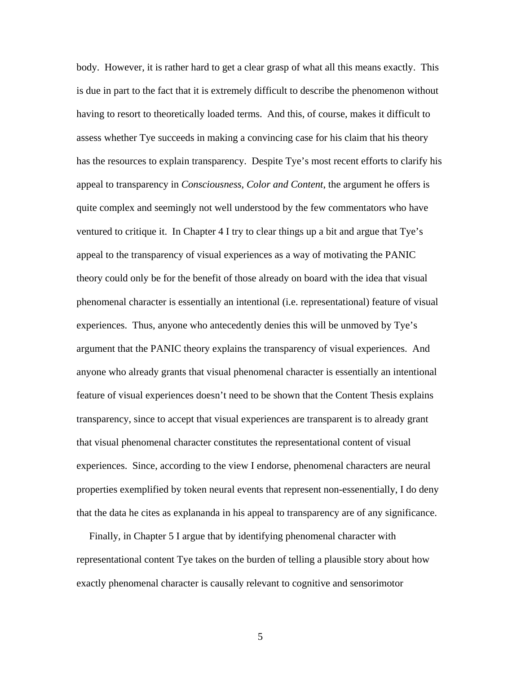body. However, it is rather hard to get a clear grasp of what all this means exactly. This is due in part to the fact that it is extremely difficult to describe the phenomenon without having to resort to theoretically loaded terms. And this, of course, makes it difficult to assess whether Tye succeeds in making a convincing case for his claim that his theory has the resources to explain transparency. Despite Tye's most recent efforts to clarify his appeal to transparency in *Consciousness, Color and Content*, the argument he offers is quite complex and seemingly not well understood by the few commentators who have ventured to critique it. In Chapter 4 I try to clear things up a bit and argue that Tye's appeal to the transparency of visual experiences as a way of motivating the PANIC theory could only be for the benefit of those already on board with the idea that visual phenomenal character is essentially an intentional (i.e. representational) feature of visual experiences. Thus, anyone who antecedently denies this will be unmoved by Tye's argument that the PANIC theory explains the transparency of visual experiences. And anyone who already grants that visual phenomenal character is essentially an intentional feature of visual experiences doesn't need to be shown that the Content Thesis explains transparency, since to accept that visual experiences are transparent is to already grant that visual phenomenal character constitutes the representational content of visual experiences. Since, according to the view I endorse, phenomenal characters are neural properties exemplified by token neural events that represent non-essenentially, I do deny that the data he cites as explananda in his appeal to transparency are of any significance.

 Finally, in Chapter 5 I argue that by identifying phenomenal character with representational content Tye takes on the burden of telling a plausible story about how exactly phenomenal character is causally relevant to cognitive and sensorimotor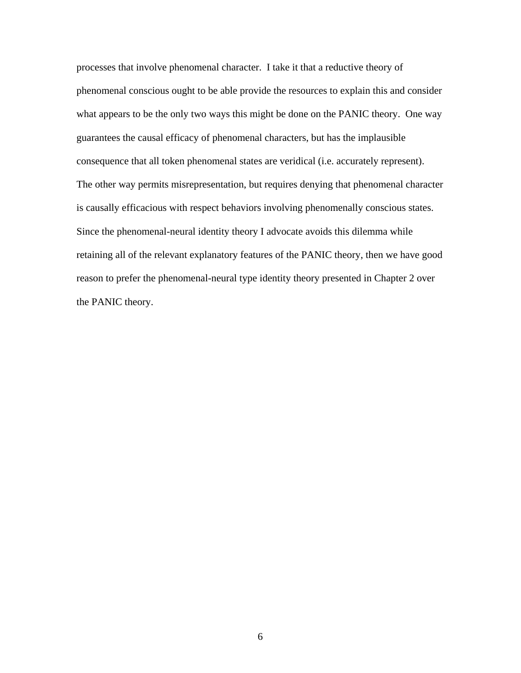processes that involve phenomenal character. I take it that a reductive theory of phenomenal conscious ought to be able provide the resources to explain this and consider what appears to be the only two ways this might be done on the PANIC theory. One way guarantees the causal efficacy of phenomenal characters, but has the implausible consequence that all token phenomenal states are veridical (i.e. accurately represent). The other way permits misrepresentation, but requires denying that phenomenal character is causally efficacious with respect behaviors involving phenomenally conscious states. Since the phenomenal-neural identity theory I advocate avoids this dilemma while retaining all of the relevant explanatory features of the PANIC theory, then we have good reason to prefer the phenomenal-neural type identity theory presented in Chapter 2 over the PANIC theory.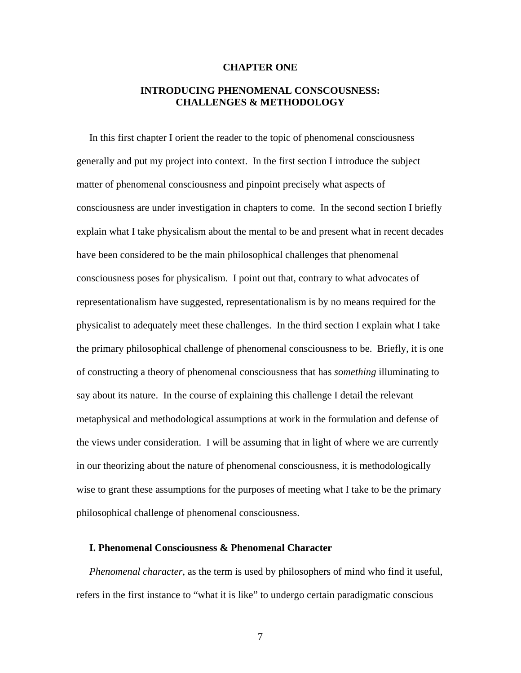#### **CHAPTER ONE**

# **INTRODUCING PHENOMENAL CONSCOUSNESS: CHALLENGES & METHODOLOGY**

 In this first chapter I orient the reader to the topic of phenomenal consciousness generally and put my project into context. In the first section I introduce the subject matter of phenomenal consciousness and pinpoint precisely what aspects of consciousness are under investigation in chapters to come. In the second section I briefly explain what I take physicalism about the mental to be and present what in recent decades have been considered to be the main philosophical challenges that phenomenal consciousness poses for physicalism. I point out that, contrary to what advocates of representationalism have suggested, representationalism is by no means required for the physicalist to adequately meet these challenges. In the third section I explain what I take the primary philosophical challenge of phenomenal consciousness to be. Briefly, it is one of constructing a theory of phenomenal consciousness that has *something* illuminating to say about its nature. In the course of explaining this challenge I detail the relevant metaphysical and methodological assumptions at work in the formulation and defense of the views under consideration. I will be assuming that in light of where we are currently in our theorizing about the nature of phenomenal consciousness, it is methodologically wise to grant these assumptions for the purposes of meeting what I take to be the primary philosophical challenge of phenomenal consciousness.

#### **I. Phenomenal Consciousness & Phenomenal Character**

 *Phenomenal character*, as the term is used by philosophers of mind who find it useful, refers in the first instance to "what it is like" to undergo certain paradigmatic conscious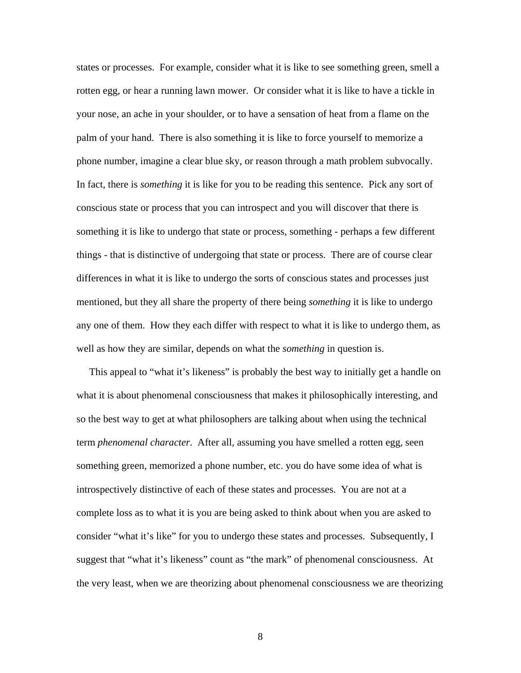states or processes. For example, consider what it is like to see something green, smell a rotten egg, or hear a running lawn mower. Or consider what it is like to have a tickle in your nose, an ache in your shoulder, or to have a sensation of heat from a flame on the palm of your hand. There is also something it is like to force yourself to memorize a phone number, imagine a clear blue sky, or reason through a math problem subvocally. In fact, there is *something* it is like for you to be reading this sentence. Pick any sort of conscious state or process that you can introspect and you will discover that there is something it is like to undergo that state or process, something - perhaps a few different things - that is distinctive of undergoing that state or process. There are of course clear differences in what it is like to undergo the sorts of conscious states and processes just mentioned, but they all share the property of there being *something* it is like to undergo any one of them. How they each differ with respect to what it is like to undergo them, as well as how they are similar, depends on what the *something* in question is.

 This appeal to "what it's likeness" is probably the best way to initially get a handle on what it is about phenomenal consciousness that makes it philosophically interesting, and so the best way to get at what philosophers are talking about when using the technical term *phenomenal character*. After all, assuming you have smelled a rotten egg, seen something green, memorized a phone number, etc. you do have some idea of what is introspectively distinctive of each of these states and processes. You are not at a complete loss as to what it is you are being asked to think about when you are asked to consider "what it's like" for you to undergo these states and processes. Subsequently, I suggest that "what it's likeness" count as "the mark" of phenomenal consciousness. At the very least, when we are theorizing about phenomenal consciousness we are theorizing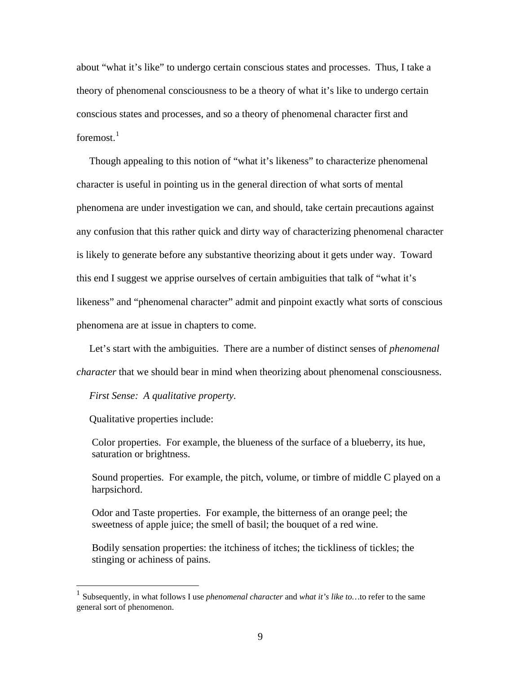about "what it's like" to undergo certain conscious states and processes. Thus, I take a theory of phenomenal consciousness to be a theory of what it's like to undergo certain conscious states and processes, and so a theory of phenomenal character first and foremost. $1$ 

 Though appealing to this notion of "what it's likeness" to characterize phenomenal character is useful in pointing us in the general direction of what sorts of mental phenomena are under investigation we can, and should, take certain precautions against any confusion that this rather quick and dirty way of characterizing phenomenal character is likely to generate before any substantive theorizing about it gets under way. Toward this end I suggest we apprise ourselves of certain ambiguities that talk of "what it's likeness" and "phenomenal character" admit and pinpoint exactly what sorts of conscious phenomena are at issue in chapters to come.

 Let's start with the ambiguities. There are a number of distinct senses of *phenomenal character* that we should bear in mind when theorizing about phenomenal consciousness.

#### *First Sense: A qualitative property.*

Qualitative properties include:

 $\overline{a}$ 

Color properties. For example, the blueness of the surface of a blueberry, its hue, saturation or brightness.

Sound properties. For example, the pitch, volume, or timbre of middle C played on a harpsichord.

Odor and Taste properties. For example, the bitterness of an orange peel; the sweetness of apple juice; the smell of basil; the bouquet of a red wine.

Bodily sensation properties: the itchiness of itches; the tickliness of tickles; the stinging or achiness of pains.

<span id="page-13-0"></span><sup>1</sup> Subsequently, in what follows I use *phenomenal character* and *what it's like to…*to refer to the same general sort of phenomenon.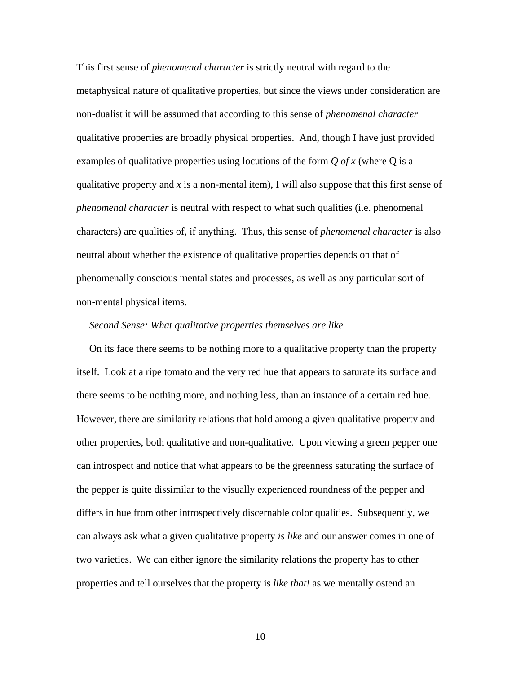This first sense of *phenomenal character* is strictly neutral with regard to the metaphysical nature of qualitative properties, but since the views under consideration are non-dualist it will be assumed that according to this sense of *phenomenal character* qualitative properties are broadly physical properties. And, though I have just provided examples of qualitative properties using locutions of the form *Q of x* (where Q is a qualitative property and *x* is a non-mental item), I will also suppose that this first sense of *phenomenal character* is neutral with respect to what such qualities (i.e. phenomenal characters) are qualities of, if anything. Thus, this sense of *phenomenal character* is also neutral about whether the existence of qualitative properties depends on that of phenomenally conscious mental states and processes, as well as any particular sort of non-mental physical items.

#### *Second Sense: What qualitative properties themselves are like.*

 On its face there seems to be nothing more to a qualitative property than the property itself. Look at a ripe tomato and the very red hue that appears to saturate its surface and there seems to be nothing more, and nothing less, than an instance of a certain red hue. However, there are similarity relations that hold among a given qualitative property and other properties, both qualitative and non-qualitative. Upon viewing a green pepper one can introspect and notice that what appears to be the greenness saturating the surface of the pepper is quite dissimilar to the visually experienced roundness of the pepper and differs in hue from other introspectively discernable color qualities. Subsequently, we can always ask what a given qualitative property *is like* and our answer comes in one of two varieties. We can either ignore the similarity relations the property has to other properties and tell ourselves that the property is *like that!* as we mentally ostend an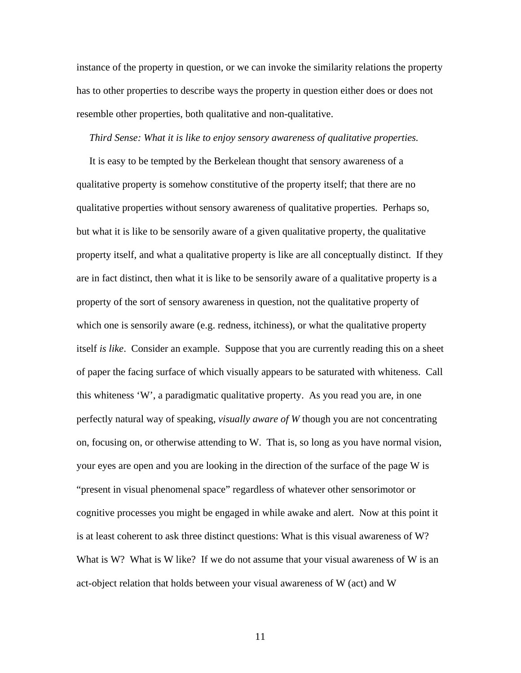instance of the property in question, or we can invoke the similarity relations the property has to other properties to describe ways the property in question either does or does not resemble other properties, both qualitative and non-qualitative.

#### *Third Sense: What it is like to enjoy sensory awareness of qualitative properties.*

 It is easy to be tempted by the Berkelean thought that sensory awareness of a qualitative property is somehow constitutive of the property itself; that there are no qualitative properties without sensory awareness of qualitative properties. Perhaps so, but what it is like to be sensorily aware of a given qualitative property, the qualitative property itself, and what a qualitative property is like are all conceptually distinct. If they are in fact distinct, then what it is like to be sensorily aware of a qualitative property is a property of the sort of sensory awareness in question, not the qualitative property of which one is sensorily aware (e.g. redness, itchiness), or what the qualitative property itself *is like*. Consider an example. Suppose that you are currently reading this on a sheet of paper the facing surface of which visually appears to be saturated with whiteness. Call this whiteness 'W', a paradigmatic qualitative property. As you read you are, in one perfectly natural way of speaking, *visually aware of W* though you are not concentrating on, focusing on, or otherwise attending to W. That is, so long as you have normal vision, your eyes are open and you are looking in the direction of the surface of the page W is "present in visual phenomenal space" regardless of whatever other sensorimotor or cognitive processes you might be engaged in while awake and alert. Now at this point it is at least coherent to ask three distinct questions: What is this visual awareness of W? What is W? What is W like? If we do not assume that your visual awareness of W is an act-object relation that holds between your visual awareness of W (act) and W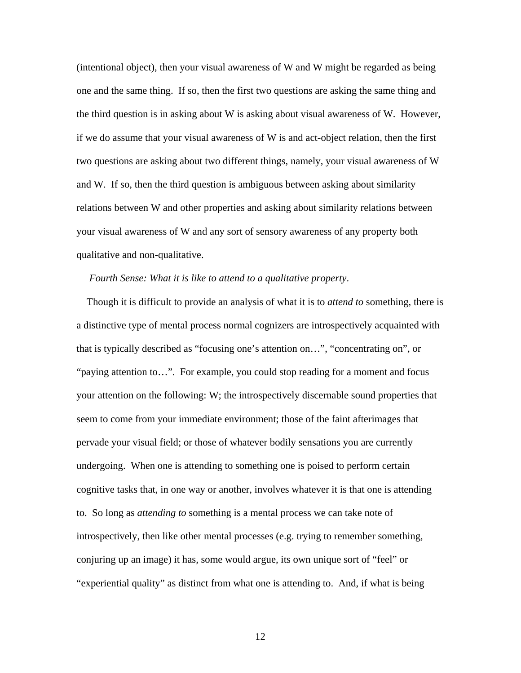(intentional object), then your visual awareness of W and W might be regarded as being one and the same thing. If so, then the first two questions are asking the same thing and the third question is in asking about W is asking about visual awareness of W. However, if we do assume that your visual awareness of W is and act-object relation, then the first two questions are asking about two different things, namely, your visual awareness of W and W. If so, then the third question is ambiguous between asking about similarity relations between W and other properties and asking about similarity relations between your visual awareness of W and any sort of sensory awareness of any property both qualitative and non-qualitative.

#### *Fourth Sense: What it is like to attend to a qualitative property*.

 Though it is difficult to provide an analysis of what it is to *attend to* something, there is a distinctive type of mental process normal cognizers are introspectively acquainted with that is typically described as "focusing one's attention on…", "concentrating on", or "paying attention to…". For example, you could stop reading for a moment and focus your attention on the following: W; the introspectively discernable sound properties that seem to come from your immediate environment; those of the faint afterimages that pervade your visual field; or those of whatever bodily sensations you are currently undergoing. When one is attending to something one is poised to perform certain cognitive tasks that, in one way or another, involves whatever it is that one is attending to. So long as *attending to* something is a mental process we can take note of introspectively, then like other mental processes (e.g. trying to remember something, conjuring up an image) it has, some would argue, its own unique sort of "feel" or "experiential quality" as distinct from what one is attending to. And, if what is being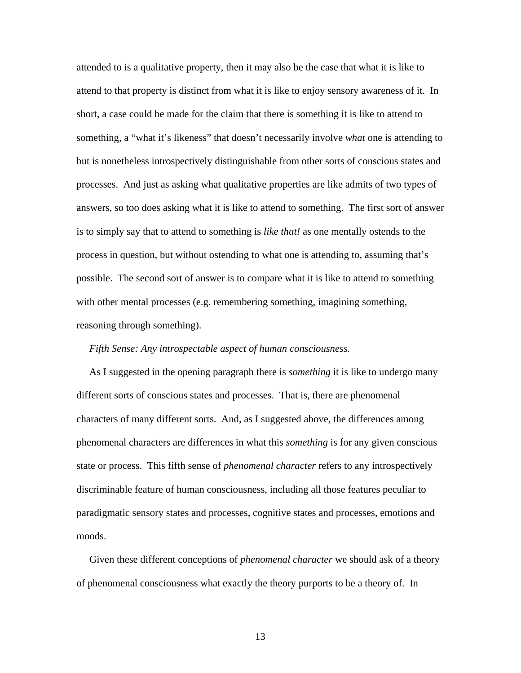attended to is a qualitative property, then it may also be the case that what it is like to attend to that property is distinct from what it is like to enjoy sensory awareness of it. In short, a case could be made for the claim that there is something it is like to attend to something, a "what it's likeness" that doesn't necessarily involve *what* one is attending to but is nonetheless introspectively distinguishable from other sorts of conscious states and processes. And just as asking what qualitative properties are like admits of two types of answers, so too does asking what it is like to attend to something. The first sort of answer is to simply say that to attend to something is *like that!* as one mentally ostends to the process in question, but without ostending to what one is attending to, assuming that's possible. The second sort of answer is to compare what it is like to attend to something with other mental processes (e.g. remembering something, imagining something, reasoning through something).

#### *Fifth Sense: Any introspectable aspect of human consciousness.*

 As I suggested in the opening paragraph there is *something* it is like to undergo many different sorts of conscious states and processes. That is, there are phenomenal characters of many different sorts. And, as I suggested above, the differences among phenomenal characters are differences in what this *something* is for any given conscious state or process. This fifth sense of *phenomenal character* refers to any introspectively discriminable feature of human consciousness, including all those features peculiar to paradigmatic sensory states and processes, cognitive states and processes, emotions and moods.

 Given these different conceptions of *phenomenal character* we should ask of a theory of phenomenal consciousness what exactly the theory purports to be a theory of. In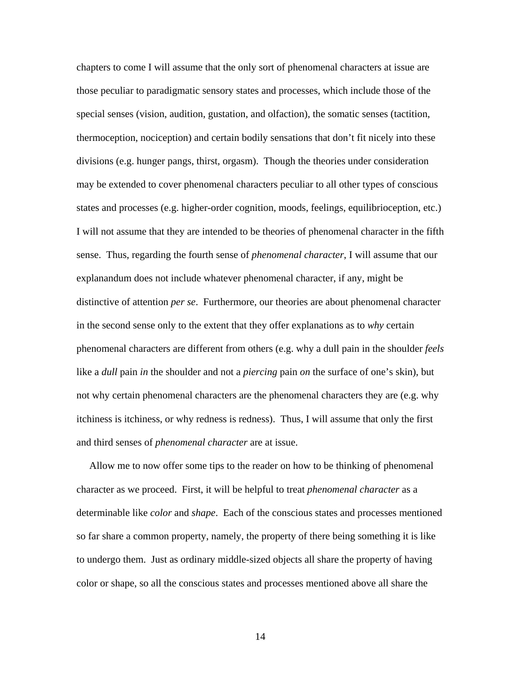chapters to come I will assume that the only sort of phenomenal characters at issue are those peculiar to paradigmatic sensory states and processes, which include those of the special senses (vision, audition, gustation, and olfaction), the somatic senses (tactition, thermoception, nociception) and certain bodily sensations that don't fit nicely into these divisions (e.g. hunger pangs, thirst, orgasm). Though the theories under consideration may be extended to cover phenomenal characters peculiar to all other types of conscious states and processes (e.g. higher-order cognition, moods, feelings, equilibrioception, etc.) I will not assume that they are intended to be theories of phenomenal character in the fifth sense. Thus, regarding the fourth sense of *phenomenal character*, I will assume that our explanandum does not include whatever phenomenal character, if any, might be distinctive of attention *per se*. Furthermore, our theories are about phenomenal character in the second sense only to the extent that they offer explanations as to *why* certain phenomenal characters are different from others (e.g. why a dull pain in the shoulder *feels* like a *dull* pain *in* the shoulder and not a *piercing* pain *on* the surface of one's skin), but not why certain phenomenal characters are the phenomenal characters they are (e.g. why itchiness is itchiness, or why redness is redness). Thus, I will assume that only the first and third senses of *phenomenal character* are at issue.

 Allow me to now offer some tips to the reader on how to be thinking of phenomenal character as we proceed. First, it will be helpful to treat *phenomenal character* as a determinable like *color* and *shape*. Each of the conscious states and processes mentioned so far share a common property, namely, the property of there being something it is like to undergo them. Just as ordinary middle-sized objects all share the property of having color or shape, so all the conscious states and processes mentioned above all share the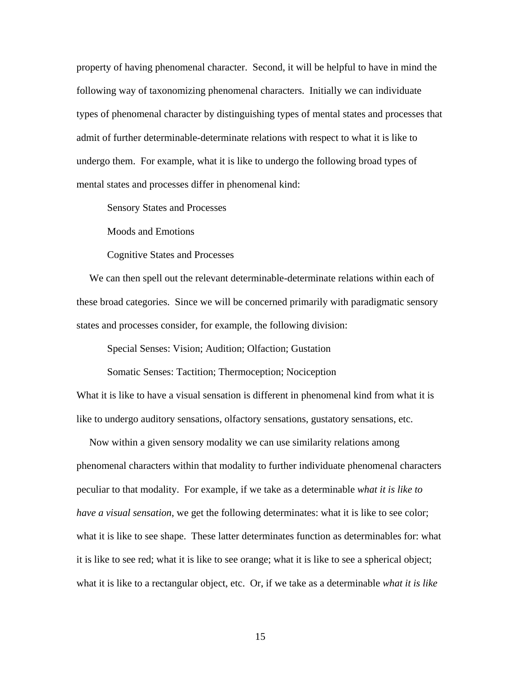property of having phenomenal character. Second, it will be helpful to have in mind the following way of taxonomizing phenomenal characters. Initially we can individuate types of phenomenal character by distinguishing types of mental states and processes that admit of further determinable-determinate relations with respect to what it is like to undergo them. For example, what it is like to undergo the following broad types of mental states and processes differ in phenomenal kind:

Sensory States and Processes

Moods and Emotions

Cognitive States and Processes

 We can then spell out the relevant determinable-determinate relations within each of these broad categories. Since we will be concerned primarily with paradigmatic sensory states and processes consider, for example, the following division:

Special Senses: Vision; Audition; Olfaction; Gustation

 Somatic Senses: Tactition; Thermoception; Nociception What it is like to have a visual sensation is different in phenomenal kind from what it is like to undergo auditory sensations, olfactory sensations, gustatory sensations, etc.

 Now within a given sensory modality we can use similarity relations among phenomenal characters within that modality to further individuate phenomenal characters peculiar to that modality. For example, if we take as a determinable *what it is like to have a visual sensation*, we get the following determinates: what it is like to see color; what it is like to see shape. These latter determinates function as determinables for: what it is like to see red; what it is like to see orange; what it is like to see a spherical object; what it is like to a rectangular object, etc. Or, if we take as a determinable *what it is like*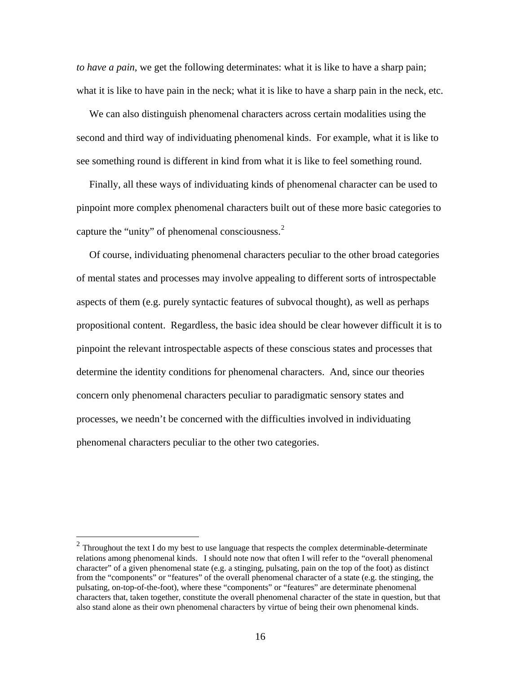*to have a pain*, we get the following determinates: what it is like to have a sharp pain; what it is like to have pain in the neck; what it is like to have a sharp pain in the neck, etc.

 We can also distinguish phenomenal characters across certain modalities using the second and third way of individuating phenomenal kinds. For example, what it is like to see something round is different in kind from what it is like to feel something round.

 Finally, all these ways of individuating kinds of phenomenal character can be used to pinpoint more complex phenomenal characters built out of these more basic categories to capture the "unity" of phenomenal consciousness. $<sup>2</sup>$  $<sup>2</sup>$  $<sup>2</sup>$ </sup>

 Of course, individuating phenomenal characters peculiar to the other broad categories of mental states and processes may involve appealing to different sorts of introspectable aspects of them (e.g. purely syntactic features of subvocal thought), as well as perhaps propositional content. Regardless, the basic idea should be clear however difficult it is to pinpoint the relevant introspectable aspects of these conscious states and processes that determine the identity conditions for phenomenal characters. And, since our theories concern only phenomenal characters peculiar to paradigmatic sensory states and processes, we needn't be concerned with the difficulties involved in individuating phenomenal characters peculiar to the other two categories.

 $\overline{a}$ 

<span id="page-20-0"></span> $2$  Throughout the text I do my best to use language that respects the complex determinable-determinate relations among phenomenal kinds. I should note now that often I will refer to the "overall phenomenal character" of a given phenomenal state (e.g. a stinging, pulsating, pain on the top of the foot) as distinct from the "components" or "features" of the overall phenomenal character of a state (e.g. the stinging, the pulsating, on-top-of-the-foot), where these "components" or "features" are determinate phenomenal characters that, taken together, constitute the overall phenomenal character of the state in question, but that also stand alone as their own phenomenal characters by virtue of being their own phenomenal kinds.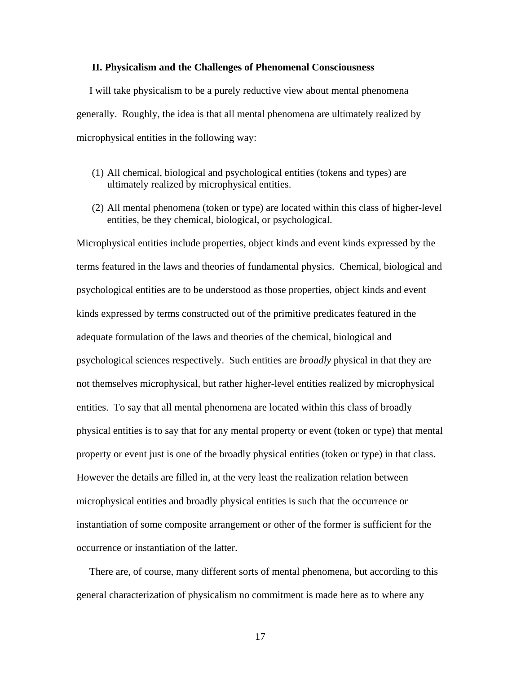#### **II. Physicalism and the Challenges of Phenomenal Consciousness**

 I will take physicalism to be a purely reductive view about mental phenomena generally. Roughly, the idea is that all mental phenomena are ultimately realized by microphysical entities in the following way:

- (1) All chemical, biological and psychological entities (tokens and types) are ultimately realized by microphysical entities.
- (2) All mental phenomena (token or type) are located within this class of higher-level entities, be they chemical, biological, or psychological.

Microphysical entities include properties, object kinds and event kinds expressed by the terms featured in the laws and theories of fundamental physics. Chemical, biological and psychological entities are to be understood as those properties, object kinds and event kinds expressed by terms constructed out of the primitive predicates featured in the adequate formulation of the laws and theories of the chemical, biological and psychological sciences respectively. Such entities are *broadly* physical in that they are not themselves microphysical, but rather higher-level entities realized by microphysical entities. To say that all mental phenomena are located within this class of broadly physical entities is to say that for any mental property or event (token or type) that mental property or event just is one of the broadly physical entities (token or type) in that class. However the details are filled in, at the very least the realization relation between microphysical entities and broadly physical entities is such that the occurrence or instantiation of some composite arrangement or other of the former is sufficient for the occurrence or instantiation of the latter.

 There are, of course, many different sorts of mental phenomena, but according to this general characterization of physicalism no commitment is made here as to where any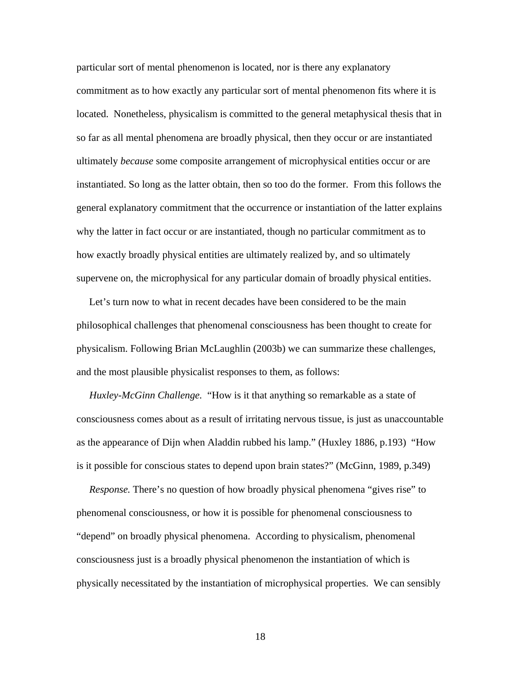particular sort of mental phenomenon is located, nor is there any explanatory commitment as to how exactly any particular sort of mental phenomenon fits where it is located. Nonetheless, physicalism is committed to the general metaphysical thesis that in so far as all mental phenomena are broadly physical, then they occur or are instantiated ultimately *because* some composite arrangement of microphysical entities occur or are instantiated. So long as the latter obtain, then so too do the former. From this follows the general explanatory commitment that the occurrence or instantiation of the latter explains why the latter in fact occur or are instantiated, though no particular commitment as to how exactly broadly physical entities are ultimately realized by, and so ultimately supervene on, the microphysical for any particular domain of broadly physical entities.

 Let's turn now to what in recent decades have been considered to be the main philosophical challenges that phenomenal consciousness has been thought to create for physicalism. Following Brian McLaughlin (2003b) we can summarize these challenges, and the most plausible physicalist responses to them, as follows:

 *Huxley-McGinn Challenge.* "How is it that anything so remarkable as a state of consciousness comes about as a result of irritating nervous tissue, is just as unaccountable as the appearance of Dijn when Aladdin rubbed his lamp." (Huxley 1886, p.193) "How is it possible for conscious states to depend upon brain states?" (McGinn, 1989, p.349)

 *Response.* There's no question of how broadly physical phenomena "gives rise" to phenomenal consciousness, or how it is possible for phenomenal consciousness to "depend" on broadly physical phenomena. According to physicalism, phenomenal consciousness just is a broadly physical phenomenon the instantiation of which is physically necessitated by the instantiation of microphysical properties. We can sensibly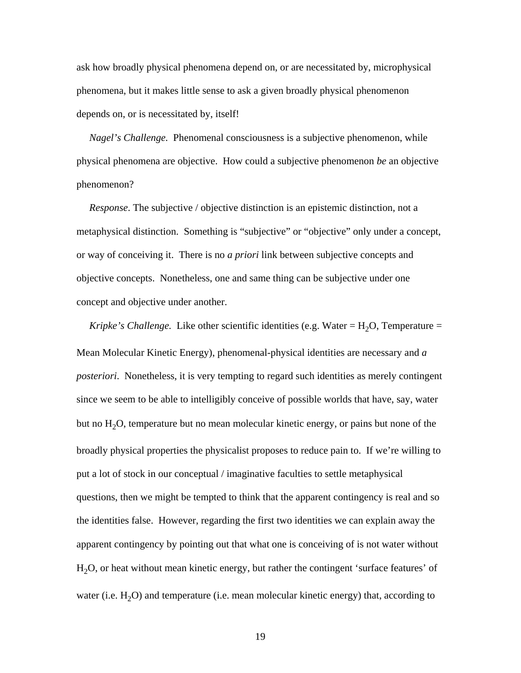ask how broadly physical phenomena depend on, or are necessitated by, microphysical phenomena, but it makes little sense to ask a given broadly physical phenomenon depends on, or is necessitated by, itself!

 *Nagel's Challenge.* Phenomenal consciousness is a subjective phenomenon, while physical phenomena are objective. How could a subjective phenomenon *be* an objective phenomenon?

 *Response*. The subjective / objective distinction is an epistemic distinction, not a metaphysical distinction. Something is "subjective" or "objective" only under a concept, or way of conceiving it. There is no *a priori* link between subjective concepts and objective concepts. Nonetheless, one and same thing can be subjective under one concept and objective under another.

*Kripke's Challenge.* Like other scientific identities (e.g. Water =  $H_2O$ , Temperature = Mean Molecular Kinetic Energy), phenomenal-physical identities are necessary and *a posteriori*. Nonetheless, it is very tempting to regard such identities as merely contingent since we seem to be able to intelligibly conceive of possible worlds that have, say, water but no  $H_2O$ , temperature but no mean molecular kinetic energy, or pains but none of the broadly physical properties the physicalist proposes to reduce pain to. If we're willing to put a lot of stock in our conceptual / imaginative faculties to settle metaphysical questions, then we might be tempted to think that the apparent contingency is real and so the identities false. However, regarding the first two identities we can explain away the apparent contingency by pointing out that what one is conceiving of is not water without H<sub>2</sub>O, or heat without mean kinetic energy, but rather the contingent 'surface features' of water (i.e.  $H_2O$ ) and temperature (i.e. mean molecular kinetic energy) that, according to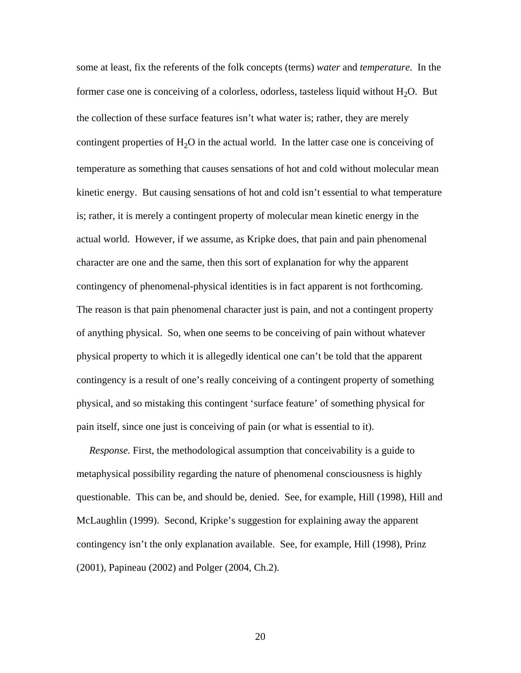some at least, fix the referents of the folk concepts (terms) *water* and *temperature*. In the former case one is conceiving of a colorless, odorless, tasteless liquid without  $H_2O$ . But the collection of these surface features isn't what water is; rather, they are merely contingent properties of  $H_2O$  in the actual world. In the latter case one is conceiving of temperature as something that causes sensations of hot and cold without molecular mean kinetic energy. But causing sensations of hot and cold isn't essential to what temperature is; rather, it is merely a contingent property of molecular mean kinetic energy in the actual world. However, if we assume, as Kripke does, that pain and pain phenomenal character are one and the same, then this sort of explanation for why the apparent contingency of phenomenal-physical identities is in fact apparent is not forthcoming. The reason is that pain phenomenal character just is pain, and not a contingent property of anything physical. So, when one seems to be conceiving of pain without whatever physical property to which it is allegedly identical one can't be told that the apparent contingency is a result of one's really conceiving of a contingent property of something physical, and so mistaking this contingent 'surface feature' of something physical for pain itself, since one just is conceiving of pain (or what is essential to it).

 *Response.* First, the methodological assumption that conceivability is a guide to metaphysical possibility regarding the nature of phenomenal consciousness is highly questionable. This can be, and should be, denied. See, for example, Hill (1998), Hill and McLaughlin (1999). Second, Kripke's suggestion for explaining away the apparent contingency isn't the only explanation available. See, for example, Hill (1998), Prinz (2001), Papineau (2002) and Polger (2004, Ch.2).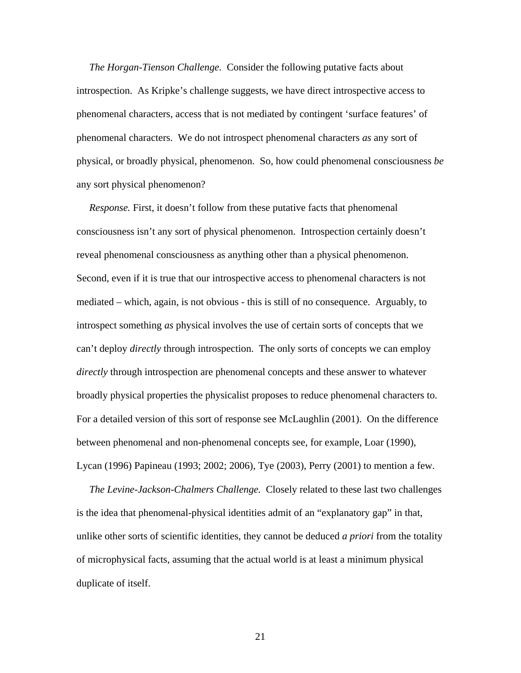*The Horgan-Tienson Challenge.* Consider the following putative facts about introspection. As Kripke's challenge suggests, we have direct introspective access to phenomenal characters, access that is not mediated by contingent 'surface features' of phenomenal characters. We do not introspect phenomenal characters *as* any sort of physical, or broadly physical, phenomenon. So, how could phenomenal consciousness *be* any sort physical phenomenon?

*Response*. First, it doesn't follow from these putative facts that phenomenal consciousness isn't any sort of physical phenomenon. Introspection certainly doesn't reveal phenomenal consciousness as anything other than a physical phenomenon. Second, even if it is true that our introspective access to phenomenal characters is not mediated – which, again, is not obvious - this is still of no consequence. Arguably, to introspect something *as* physical involves the use of certain sorts of concepts that we can't deploy *directly* through introspection. The only sorts of concepts we can employ *directly* through introspection are phenomenal concepts and these answer to whatever broadly physical properties the physicalist proposes to reduce phenomenal characters to. For a detailed version of this sort of response see McLaughlin (2001). On the difference between phenomenal and non-phenomenal concepts see, for example, Loar (1990), Lycan (1996) Papineau (1993; 2002; 2006), Tye (2003), Perry (2001) to mention a few.

 *The Levine-Jackson-Chalmers Challenge.* Closely related to these last two challenges is the idea that phenomenal-physical identities admit of an "explanatory gap" in that, unlike other sorts of scientific identities, they cannot be deduced *a priori* from the totality of microphysical facts, assuming that the actual world is at least a minimum physical duplicate of itself.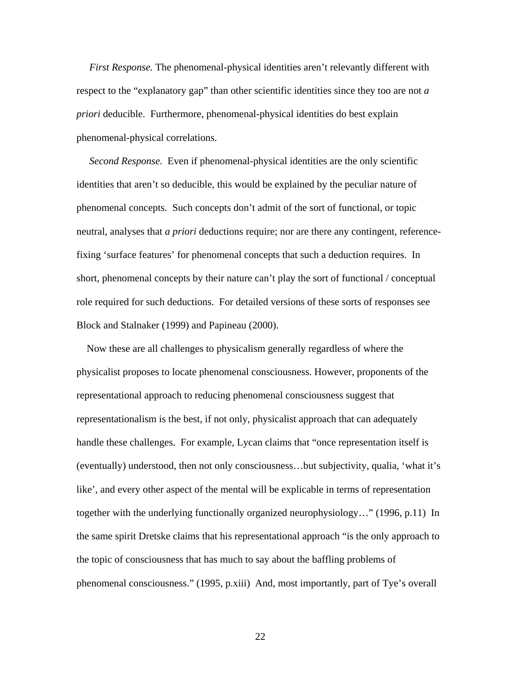*First Response.* The phenomenal-physical identities aren't relevantly different with respect to the "explanatory gap" than other scientific identities since they too are not *a priori* deducible. Furthermore, phenomenal-physical identities do best explain phenomenal-physical correlations.

 *Second Response.* Even if phenomenal-physical identities are the only scientific identities that aren't so deducible, this would be explained by the peculiar nature of phenomenal concepts. Such concepts don't admit of the sort of functional, or topic neutral, analyses that *a priori* deductions require; nor are there any contingent, referencefixing 'surface features' for phenomenal concepts that such a deduction requires. In short, phenomenal concepts by their nature can't play the sort of functional / conceptual role required for such deductions. For detailed versions of these sorts of responses see Block and Stalnaker (1999) and Papineau (2000).

 Now these are all challenges to physicalism generally regardless of where the physicalist proposes to locate phenomenal consciousness. However, proponents of the representational approach to reducing phenomenal consciousness suggest that representationalism is the best, if not only, physicalist approach that can adequately handle these challenges. For example, Lycan claims that "once representation itself is (eventually) understood, then not only consciousness…but subjectivity, qualia, 'what it's like', and every other aspect of the mental will be explicable in terms of representation together with the underlying functionally organized neurophysiology…" (1996, p.11) In the same spirit Dretske claims that his representational approach "is the only approach to the topic of consciousness that has much to say about the baffling problems of phenomenal consciousness." (1995, p.xiii) And, most importantly, part of Tye's overall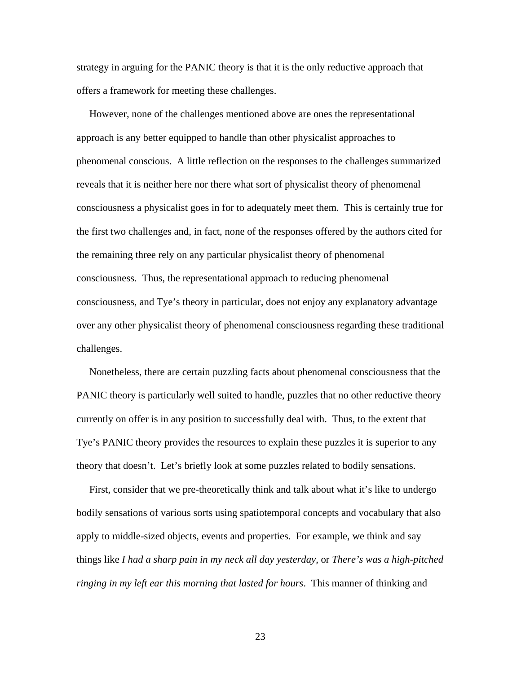strategy in arguing for the PANIC theory is that it is the only reductive approach that offers a framework for meeting these challenges.

 However, none of the challenges mentioned above are ones the representational approach is any better equipped to handle than other physicalist approaches to phenomenal conscious. A little reflection on the responses to the challenges summarized reveals that it is neither here nor there what sort of physicalist theory of phenomenal consciousness a physicalist goes in for to adequately meet them. This is certainly true for the first two challenges and, in fact, none of the responses offered by the authors cited for the remaining three rely on any particular physicalist theory of phenomenal consciousness. Thus, the representational approach to reducing phenomenal consciousness, and Tye's theory in particular, does not enjoy any explanatory advantage over any other physicalist theory of phenomenal consciousness regarding these traditional challenges.

 Nonetheless, there are certain puzzling facts about phenomenal consciousness that the PANIC theory is particularly well suited to handle, puzzles that no other reductive theory currently on offer is in any position to successfully deal with. Thus, to the extent that Tye's PANIC theory provides the resources to explain these puzzles it is superior to any theory that doesn't. Let's briefly look at some puzzles related to bodily sensations.

 First, consider that we pre-theoretically think and talk about what it's like to undergo bodily sensations of various sorts using spatiotemporal concepts and vocabulary that also apply to middle-sized objects, events and properties. For example, we think and say things like *I had a sharp pain in my neck all day yesterday*, or *There's was a high-pitched ringing in my left ear this morning that lasted for hours*. This manner of thinking and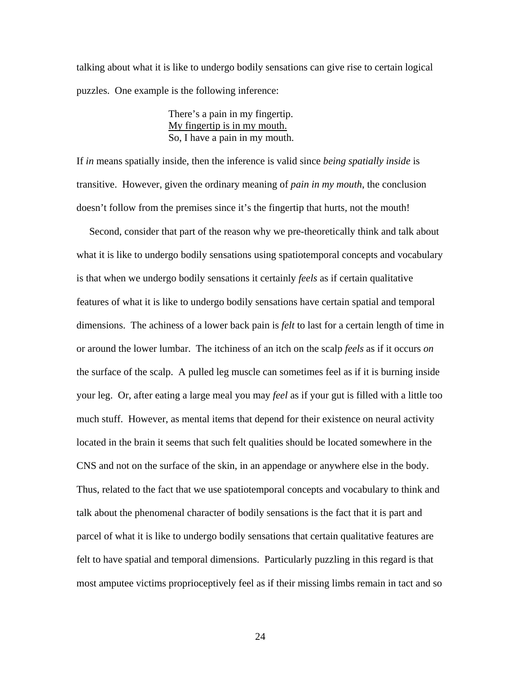talking about what it is like to undergo bodily sensations can give rise to certain logical puzzles. One example is the following inference:

> There's a pain in my fingertip. My fingertip is in my mouth. So, I have a pain in my mouth.

If *in* means spatially inside, then the inference is valid since *being spatially inside* is transitive. However, given the ordinary meaning of *pain in my mouth*, the conclusion doesn't follow from the premises since it's the fingertip that hurts, not the mouth!

 Second, consider that part of the reason why we pre-theoretically think and talk about what it is like to undergo bodily sensations using spatiotemporal concepts and vocabulary is that when we undergo bodily sensations it certainly *feels* as if certain qualitative features of what it is like to undergo bodily sensations have certain spatial and temporal dimensions. The achiness of a lower back pain is *felt* to last for a certain length of time in or around the lower lumbar. The itchiness of an itch on the scalp *feels* as if it occurs *on* the surface of the scalp. A pulled leg muscle can sometimes feel as if it is burning inside your leg. Or, after eating a large meal you may *feel* as if your gut is filled with a little too much stuff. However, as mental items that depend for their existence on neural activity located in the brain it seems that such felt qualities should be located somewhere in the CNS and not on the surface of the skin, in an appendage or anywhere else in the body. Thus, related to the fact that we use spatiotemporal concepts and vocabulary to think and talk about the phenomenal character of bodily sensations is the fact that it is part and parcel of what it is like to undergo bodily sensations that certain qualitative features are felt to have spatial and temporal dimensions. Particularly puzzling in this regard is that most amputee victims proprioceptively feel as if their missing limbs remain in tact and so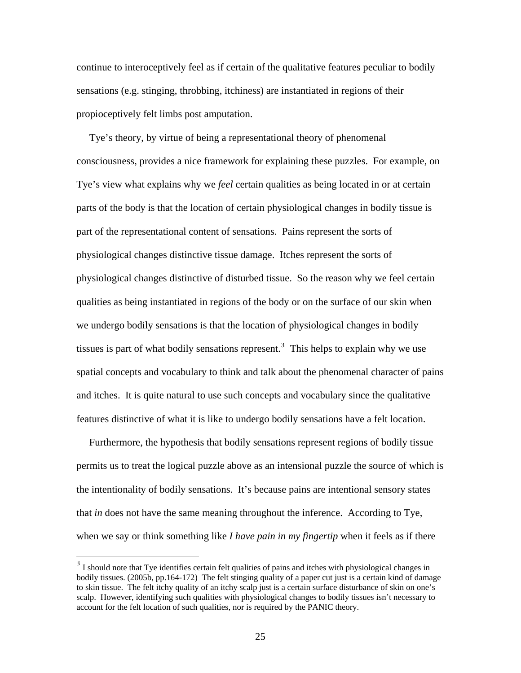continue to interoceptively feel as if certain of the qualitative features peculiar to bodily sensations (e.g. stinging, throbbing, itchiness) are instantiated in regions of their propioceptively felt limbs post amputation.

 Tye's theory, by virtue of being a representational theory of phenomenal consciousness, provides a nice framework for explaining these puzzles. For example, on Tye's view what explains why we *feel* certain qualities as being located in or at certain parts of the body is that the location of certain physiological changes in bodily tissue is part of the representational content of sensations. Pains represent the sorts of physiological changes distinctive tissue damage. Itches represent the sorts of physiological changes distinctive of disturbed tissue. So the reason why we feel certain qualities as being instantiated in regions of the body or on the surface of our skin when we undergo bodily sensations is that the location of physiological changes in bodily tissues is part of what bodily sensations represent.<sup>[3](#page-29-0)</sup> This helps to explain why we use spatial concepts and vocabulary to think and talk about the phenomenal character of pains and itches. It is quite natural to use such concepts and vocabulary since the qualitative features distinctive of what it is like to undergo bodily sensations have a felt location.

 Furthermore, the hypothesis that bodily sensations represent regions of bodily tissue permits us to treat the logical puzzle above as an intensional puzzle the source of which is the intentionality of bodily sensations. It's because pains are intentional sensory states that *in* does not have the same meaning throughout the inference. According to Tye, when we say or think something like *I have pain in my fingertip* when it feels as if there

 $\overline{a}$ 

<span id="page-29-0"></span><sup>&</sup>lt;sup>3</sup> I should note that Tye identifies certain felt qualities of pains and itches with physiological changes in bodily tissues. (2005b, pp.164-172) The felt stinging quality of a paper cut just is a certain kind of damage to skin tissue. The felt itchy quality of an itchy scalp just is a certain surface disturbance of skin on one's scalp. However, identifying such qualities with physiological changes to bodily tissues isn't necessary to account for the felt location of such qualities, nor is required by the PANIC theory.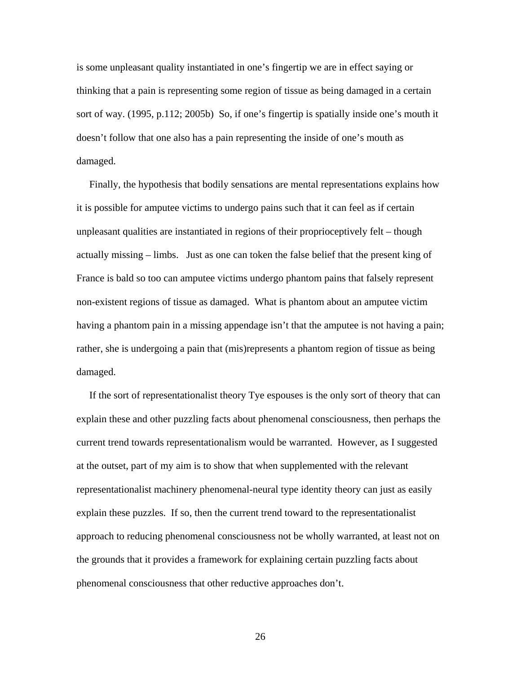is some unpleasant quality instantiated in one's fingertip we are in effect saying or thinking that a pain is representing some region of tissue as being damaged in a certain sort of way. (1995, p.112; 2005b) So, if one's fingertip is spatially inside one's mouth it doesn't follow that one also has a pain representing the inside of one's mouth as damaged.

 Finally, the hypothesis that bodily sensations are mental representations explains how it is possible for amputee victims to undergo pains such that it can feel as if certain unpleasant qualities are instantiated in regions of their proprioceptively felt – though actually missing – limbs. Just as one can token the false belief that the present king of France is bald so too can amputee victims undergo phantom pains that falsely represent non-existent regions of tissue as damaged. What is phantom about an amputee victim having a phantom pain in a missing appendage isn't that the amputee is not having a pain; rather, she is undergoing a pain that (mis)represents a phantom region of tissue as being damaged.

 If the sort of representationalist theory Tye espouses is the only sort of theory that can explain these and other puzzling facts about phenomenal consciousness, then perhaps the current trend towards representationalism would be warranted. However, as I suggested at the outset, part of my aim is to show that when supplemented with the relevant representationalist machinery phenomenal-neural type identity theory can just as easily explain these puzzles. If so, then the current trend toward to the representationalist approach to reducing phenomenal consciousness not be wholly warranted, at least not on the grounds that it provides a framework for explaining certain puzzling facts about phenomenal consciousness that other reductive approaches don't.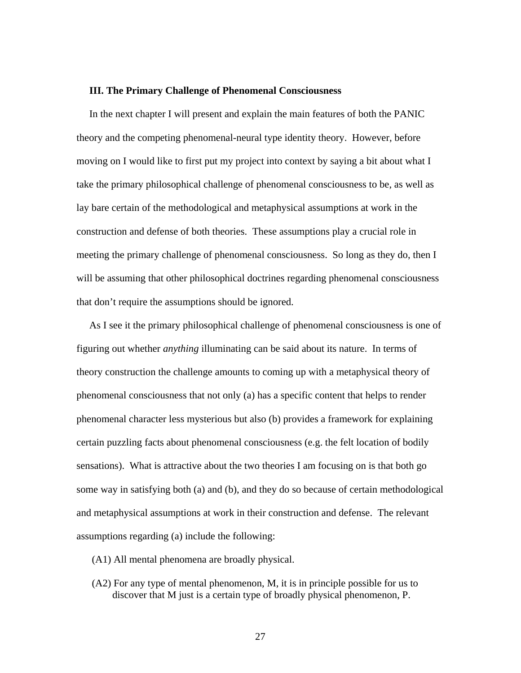#### **III. The Primary Challenge of Phenomenal Consciousness**

 In the next chapter I will present and explain the main features of both the PANIC theory and the competing phenomenal-neural type identity theory. However, before moving on I would like to first put my project into context by saying a bit about what I take the primary philosophical challenge of phenomenal consciousness to be, as well as lay bare certain of the methodological and metaphysical assumptions at work in the construction and defense of both theories. These assumptions play a crucial role in meeting the primary challenge of phenomenal consciousness. So long as they do, then I will be assuming that other philosophical doctrines regarding phenomenal consciousness that don't require the assumptions should be ignored.

 As I see it the primary philosophical challenge of phenomenal consciousness is one of figuring out whether *anything* illuminating can be said about its nature. In terms of theory construction the challenge amounts to coming up with a metaphysical theory of phenomenal consciousness that not only (a) has a specific content that helps to render phenomenal character less mysterious but also (b) provides a framework for explaining certain puzzling facts about phenomenal consciousness (e.g. the felt location of bodily sensations). What is attractive about the two theories I am focusing on is that both go some way in satisfying both (a) and (b), and they do so because of certain methodological and metaphysical assumptions at work in their construction and defense. The relevant assumptions regarding (a) include the following:

- (A1) All mental phenomena are broadly physical.
- (A2) For any type of mental phenomenon, M, it is in principle possible for us to discover that M just is a certain type of broadly physical phenomenon, P.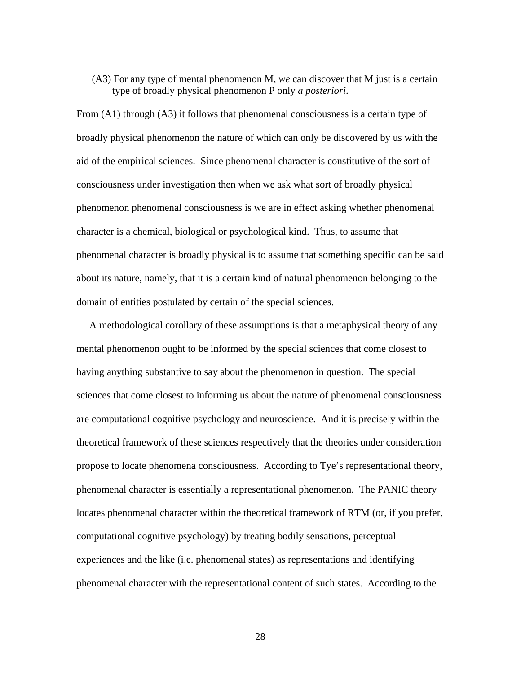### (A3) For any type of mental phenomenon M, *we* can discover that M just is a certain type of broadly physical phenomenon P only *a posteriori*.

From (A1) through (A3) it follows that phenomenal consciousness is a certain type of broadly physical phenomenon the nature of which can only be discovered by us with the aid of the empirical sciences. Since phenomenal character is constitutive of the sort of consciousness under investigation then when we ask what sort of broadly physical phenomenon phenomenal consciousness is we are in effect asking whether phenomenal character is a chemical, biological or psychological kind. Thus, to assume that phenomenal character is broadly physical is to assume that something specific can be said about its nature, namely, that it is a certain kind of natural phenomenon belonging to the domain of entities postulated by certain of the special sciences.

 A methodological corollary of these assumptions is that a metaphysical theory of any mental phenomenon ought to be informed by the special sciences that come closest to having anything substantive to say about the phenomenon in question. The special sciences that come closest to informing us about the nature of phenomenal consciousness are computational cognitive psychology and neuroscience. And it is precisely within the theoretical framework of these sciences respectively that the theories under consideration propose to locate phenomena consciousness. According to Tye's representational theory, phenomenal character is essentially a representational phenomenon. The PANIC theory locates phenomenal character within the theoretical framework of RTM (or, if you prefer, computational cognitive psychology) by treating bodily sensations, perceptual experiences and the like (i.e. phenomenal states) as representations and identifying phenomenal character with the representational content of such states. According to the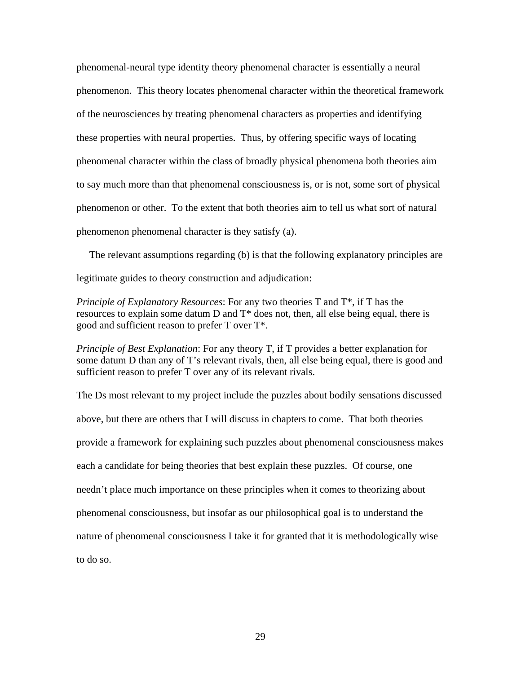phenomenal-neural type identity theory phenomenal character is essentially a neural phenomenon. This theory locates phenomenal character within the theoretical framework of the neurosciences by treating phenomenal characters as properties and identifying these properties with neural properties. Thus, by offering specific ways of locating phenomenal character within the class of broadly physical phenomena both theories aim to say much more than that phenomenal consciousness is, or is not, some sort of physical phenomenon or other. To the extent that both theories aim to tell us what sort of natural phenomenon phenomenal character is they satisfy (a).

 The relevant assumptions regarding (b) is that the following explanatory principles are legitimate guides to theory construction and adjudication:

*Principle of Explanatory Resources*: For any two theories T and T\*, if T has the resources to explain some datum D and T\* does not, then, all else being equal, there is good and sufficient reason to prefer T over T\*.

*Principle of Best Explanation*: For any theory T, if T provides a better explanation for some datum D than any of T's relevant rivals, then, all else being equal, there is good and sufficient reason to prefer T over any of its relevant rivals.

The Ds most relevant to my project include the puzzles about bodily sensations discussed above, but there are others that I will discuss in chapters to come. That both theories provide a framework for explaining such puzzles about phenomenal consciousness makes each a candidate for being theories that best explain these puzzles. Of course, one needn't place much importance on these principles when it comes to theorizing about phenomenal consciousness, but insofar as our philosophical goal is to understand the nature of phenomenal consciousness I take it for granted that it is methodologically wise to do so.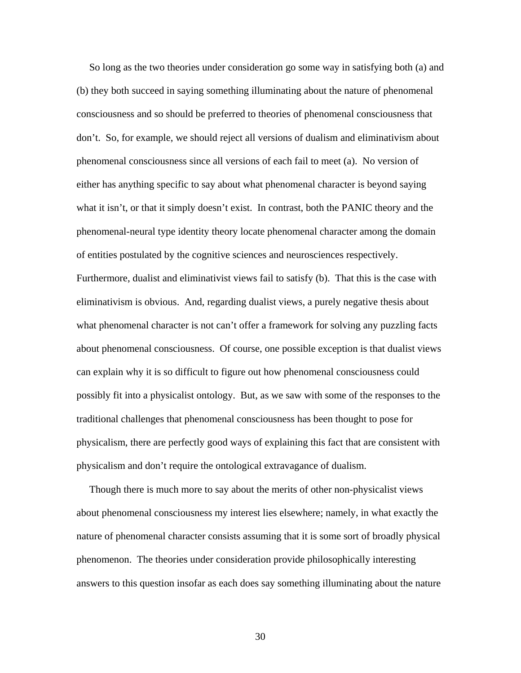So long as the two theories under consideration go some way in satisfying both (a) and (b) they both succeed in saying something illuminating about the nature of phenomenal consciousness and so should be preferred to theories of phenomenal consciousness that don't. So, for example, we should reject all versions of dualism and eliminativism about phenomenal consciousness since all versions of each fail to meet (a). No version of either has anything specific to say about what phenomenal character is beyond saying what it isn't, or that it simply doesn't exist. In contrast, both the PANIC theory and the phenomenal-neural type identity theory locate phenomenal character among the domain of entities postulated by the cognitive sciences and neurosciences respectively. Furthermore, dualist and eliminativist views fail to satisfy (b). That this is the case with eliminativism is obvious. And, regarding dualist views, a purely negative thesis about what phenomenal character is not can't offer a framework for solving any puzzling facts about phenomenal consciousness. Of course, one possible exception is that dualist views can explain why it is so difficult to figure out how phenomenal consciousness could possibly fit into a physicalist ontology. But, as we saw with some of the responses to the traditional challenges that phenomenal consciousness has been thought to pose for physicalism, there are perfectly good ways of explaining this fact that are consistent with physicalism and don't require the ontological extravagance of dualism.

 Though there is much more to say about the merits of other non-physicalist views about phenomenal consciousness my interest lies elsewhere; namely, in what exactly the nature of phenomenal character consists assuming that it is some sort of broadly physical phenomenon. The theories under consideration provide philosophically interesting answers to this question insofar as each does say something illuminating about the nature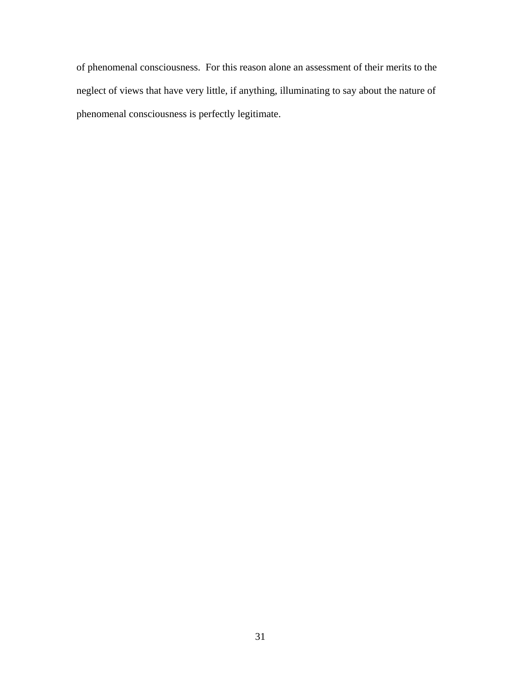of phenomenal consciousness. For this reason alone an assessment of their merits to the neglect of views that have very little, if anything, illuminating to say about the nature of phenomenal consciousness is perfectly legitimate.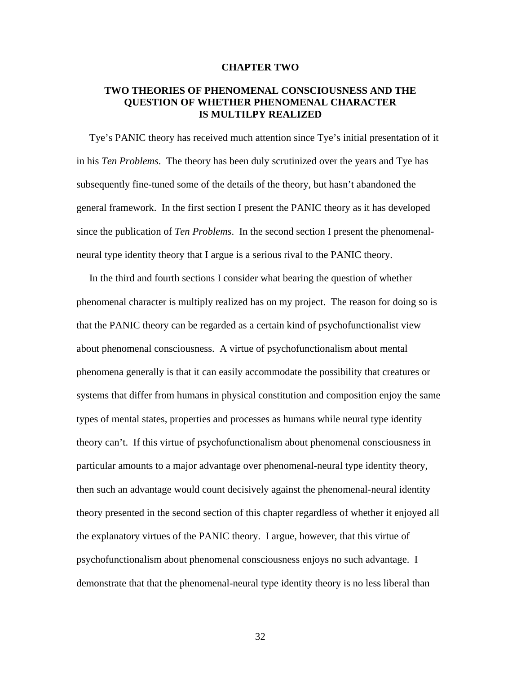### **CHAPTER TWO**

# **TWO THEORIES OF PHENOMENAL CONSCIOUSNESS AND THE QUESTION OF WHETHER PHENOMENAL CHARACTER IS MULTILPY REALIZED**

Tye's PANIC theory has received much attention since Tye's initial presentation of it in his *Ten Problems*. The theory has been duly scrutinized over the years and Tye has subsequently fine-tuned some of the details of the theory, but hasn't abandoned the general framework. In the first section I present the PANIC theory as it has developed since the publication of *Ten Problems*. In the second section I present the phenomenalneural type identity theory that I argue is a serious rival to the PANIC theory.

 In the third and fourth sections I consider what bearing the question of whether phenomenal character is multiply realized has on my project. The reason for doing so is that the PANIC theory can be regarded as a certain kind of psychofunctionalist view about phenomenal consciousness. A virtue of psychofunctionalism about mental phenomena generally is that it can easily accommodate the possibility that creatures or systems that differ from humans in physical constitution and composition enjoy the same types of mental states, properties and processes as humans while neural type identity theory can't. If this virtue of psychofunctionalism about phenomenal consciousness in particular amounts to a major advantage over phenomenal-neural type identity theory, then such an advantage would count decisively against the phenomenal-neural identity theory presented in the second section of this chapter regardless of whether it enjoyed all the explanatory virtues of the PANIC theory. I argue, however, that this virtue of psychofunctionalism about phenomenal consciousness enjoys no such advantage. I demonstrate that that the phenomenal-neural type identity theory is no less liberal than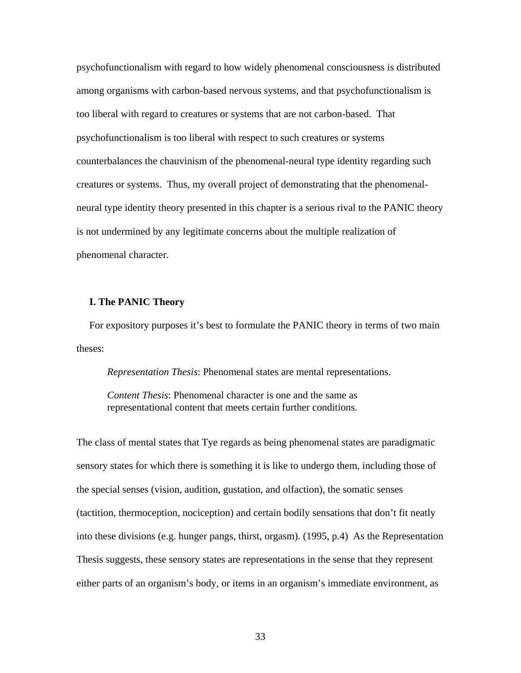psychofunctionalism with regard to how widely phenomenal consciousness is distributed among organisms with carbon-based nervous systems, and that psychofunctionalism is too liberal with regard to creatures or systems that are not carbon-based. That psychofunctionalism is too liberal with respect to such creatures or systems counterbalances the chauvinism of the phenomenal-neural type identity regarding such creatures or systems. Thus, my overall project of demonstrating that the phenomenalneural type identity theory presented in this chapter is a serious rival to the PANIC theory is not undermined by any legitimate concerns about the multiple realization of phenomenal character.

#### **I. The PANIC Theory**

 For expository purposes it's best to formulate the PANIC theory in terms of two main theses:

*Representation Thesis*: Phenomenal states are mental representations.

*Content Thesis*: Phenomenal character is one and the same as representational content that meets certain further conditions.

The class of mental states that Tye regards as being phenomenal states are paradigmatic sensory states for which there is something it is like to undergo them, including those of the special senses (vision, audition, gustation, and olfaction), the somatic senses (tactition, thermoception, nociception) and certain bodily sensations that don't fit neatly into these divisions (e.g. hunger pangs, thirst, orgasm). (1995, p.4) As the Representation Thesis suggests, these sensory states are representations in the sense that they represent either parts of an organism's body, or items in an organism's immediate environment, as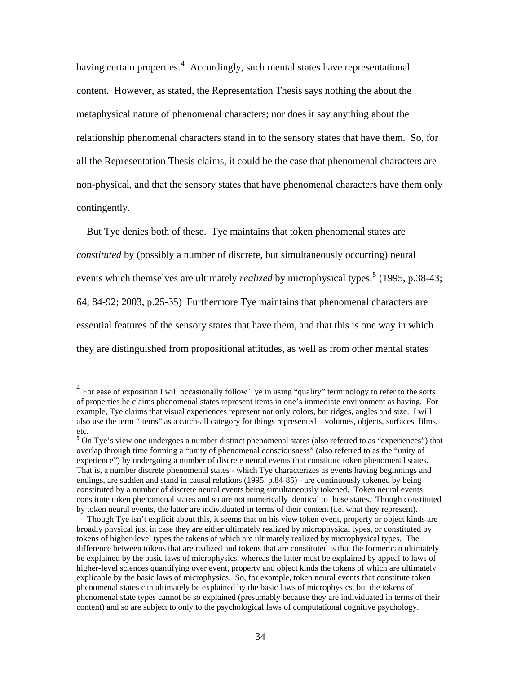having certain properties.<sup>[4](#page-38-0)</sup> Accordingly, such mental states have representational content. However, as stated, the Representation Thesis says nothing the about the metaphysical nature of phenomenal characters; nor does it say anything about the relationship phenomenal characters stand in to the sensory states that have them. So, for all the Representation Thesis claims, it could be the case that phenomenal characters are non-physical, and that the sensory states that have phenomenal characters have them only contingently.

 But Tye denies both of these. Tye maintains that token phenomenal states are *constituted* by (possibly a number of discrete, but simultaneously occurring) neural events which themselves are ultimately *realized* by microphysical types.<sup>[5](#page-38-1)</sup> (1995, p.38-43; 64; 84-92; 2003, p.25-35) Furthermore Tye maintains that phenomenal characters are essential features of the sensory states that have them, and that this is one way in which they are distinguished from propositional attitudes, as well as from other mental states

<span id="page-38-0"></span><sup>&</sup>lt;sup>4</sup> For ease of exposition I will occasionally follow Tye in using "quality" terminology to refer to the sorts of properties he claims phenomenal states represent items in one's immediate environment as having. For example, Tye claims that visual experiences represent not only colors, but ridges, angles and size. I will also use the term "items" as a catch-all category for things represented – volumes, objects, surfaces, films, etc.

<span id="page-38-1"></span> $5$  On Tye's view one undergoes a number distinct phenomenal states (also referred to as "experiences") that overlap through time forming a "unity of phenomenal consciousness" (also referred to as the "unity of experience") by undergoing a number of discrete neural events that constitute token phenomenal states. That is, a number discrete phenomenal states - which Tye characterizes as events having beginnings and endings, are sudden and stand in causal relations (1995, p.84-85) - are continuously tokened by being constituted by a number of discrete neural events being simultaneously tokened. Token neural events constitute token phenomenal states and so are not numerically identical to those states. Though constituted by token neural events, the latter are individuated in terms of their content (i.e. what they represent).

Though Tye isn't explicit about this, it seems that on his view token event, property or object kinds are broadly physical just in case they are either ultimately realized by microphysical types, or constituted by tokens of higher-level types the tokens of which are ultimately realized by microphysical types. The difference between tokens that are realized and tokens that are constituted is that the former can ultimately be explained by the basic laws of microphysics, whereas the latter must be explained by appeal to laws of higher-level sciences quantifying over event, property and object kinds the tokens of which are ultimately explicable by the basic laws of microphysics. So, for example, token neural events that constitute token phenomenal states can ultimately be explained by the basic laws of microphysics, but the tokens of phenomenal state types cannot be so explained (presumably because they are individuated in terms of their content) and so are subject to only to the psychological laws of computational cognitive psychology.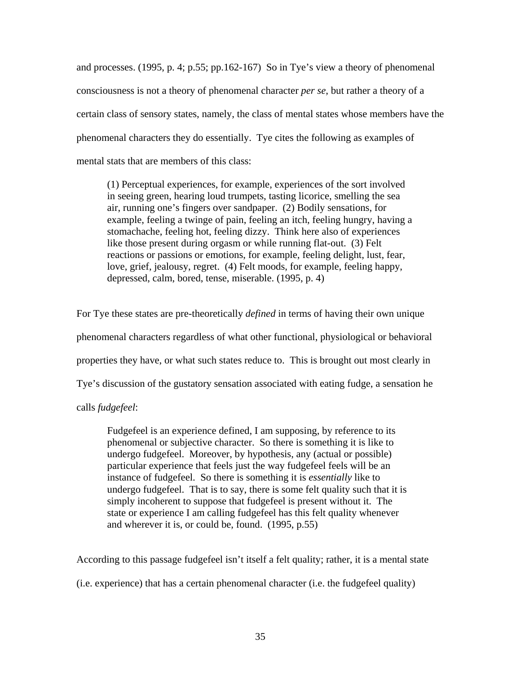and processes. (1995, p. 4; p.55; pp.162-167) So in Tye's view a theory of phenomenal consciousness is not a theory of phenomenal character *per se*, but rather a theory of a certain class of sensory states, namely, the class of mental states whose members have the phenomenal characters they do essentially. Tye cites the following as examples of mental stats that are members of this class:

(1) Perceptual experiences, for example, experiences of the sort involved in seeing green, hearing loud trumpets, tasting licorice, smelling the sea air, running one's fingers over sandpaper. (2) Bodily sensations, for example, feeling a twinge of pain, feeling an itch, feeling hungry, having a stomachache, feeling hot, feeling dizzy. Think here also of experiences like those present during orgasm or while running flat-out. (3) Felt reactions or passions or emotions, for example, feeling delight, lust, fear, love, grief, jealousy, regret. (4) Felt moods, for example, feeling happy, depressed, calm, bored, tense, miserable. (1995, p. 4)

For Tye these states are pre-theoretically *defined* in terms of having their own unique phenomenal characters regardless of what other functional, physiological or behavioral properties they have, or what such states reduce to. This is brought out most clearly in Tye's discussion of the gustatory sensation associated with eating fudge, a sensation he

calls *fudgefeel*:

Fudgefeel is an experience defined, I am supposing, by reference to its phenomenal or subjective character. So there is something it is like to undergo fudgefeel. Moreover, by hypothesis, any (actual or possible) particular experience that feels just the way fudgefeel feels will be an instance of fudgefeel. So there is something it is *essentially* like to undergo fudgefeel. That is to say, there is some felt quality such that it is simply incoherent to suppose that fudgefeel is present without it. The state or experience I am calling fudgefeel has this felt quality whenever and wherever it is, or could be, found. (1995, p.55)

According to this passage fudgefeel isn't itself a felt quality; rather, it is a mental state

(i.e. experience) that has a certain phenomenal character (i.e. the fudgefeel quality)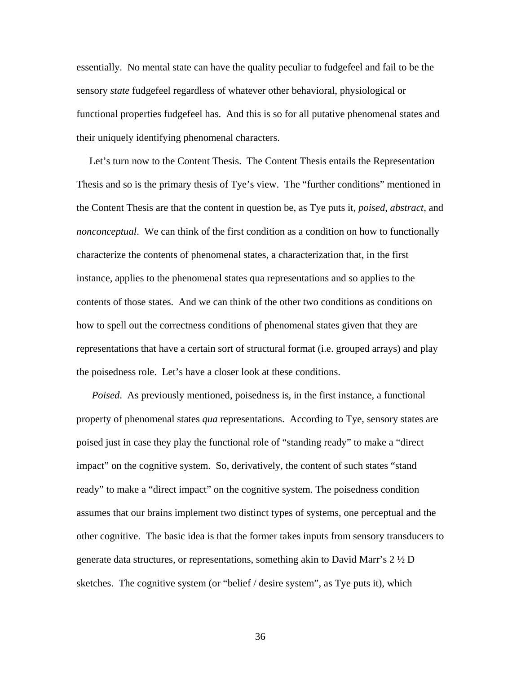essentially. No mental state can have the quality peculiar to fudgefeel and fail to be the sensory *state* fudgefeel regardless of whatever other behavioral, physiological or functional properties fudgefeel has. And this is so for all putative phenomenal states and their uniquely identifying phenomenal characters.

 Let's turn now to the Content Thesis. The Content Thesis entails the Representation Thesis and so is the primary thesis of Tye's view. The "further conditions" mentioned in the Content Thesis are that the content in question be, as Tye puts it, *poised*, *abstract*, and *nonconceptual*. We can think of the first condition as a condition on how to functionally characterize the contents of phenomenal states, a characterization that, in the first instance, applies to the phenomenal states qua representations and so applies to the contents of those states. And we can think of the other two conditions as conditions on how to spell out the correctness conditions of phenomenal states given that they are representations that have a certain sort of structural format (i.e. grouped arrays) and play the poisedness role. Let's have a closer look at these conditions.

 *Poised*. As previously mentioned, poisedness is, in the first instance, a functional property of phenomenal states *qua* representations. According to Tye, sensory states are poised just in case they play the functional role of "standing ready" to make a "direct impact" on the cognitive system. So, derivatively, the content of such states "stand ready" to make a "direct impact" on the cognitive system. The poisedness condition assumes that our brains implement two distinct types of systems, one perceptual and the other cognitive. The basic idea is that the former takes inputs from sensory transducers to generate data structures, or representations, something akin to David Marr's  $2 \frac{1}{2} D$ sketches. The cognitive system (or "belief / desire system", as Tye puts it), which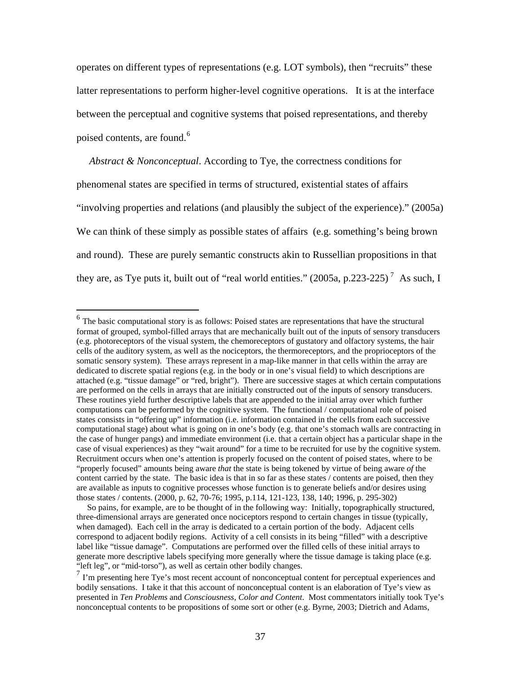operates on different types of representations (e.g. LOT symbols), then "recruits" these latter representations to perform higher-level cognitive operations. It is at the interface between the perceptual and cognitive systems that poised representations, and thereby poised contents, are found.<sup>[6](#page-41-0)</sup>

 *Abstract & Nonconceptual*. According to Tye, the correctness conditions for phenomenal states are specified in terms of structured, existential states of affairs "involving properties and relations (and plausibly the subject of the experience)." (2005a) We can think of these simply as possible states of affairs (e.g. something's being brown and round). These are purely semantic constructs akin to Russellian propositions in that they are, as Tye puts it, built out of "real world entities."  $(2005a, p.223-225)^7$  $(2005a, p.223-225)^7$  As such, I

<span id="page-41-0"></span> $<sup>6</sup>$  The basic computational story is as follows: Poised states are representations that have the structural</sup> format of grouped, symbol-filled arrays that are mechanically built out of the inputs of sensory transducers (e.g. photoreceptors of the visual system, the chemoreceptors of gustatory and olfactory systems, the hair cells of the auditory system, as well as the nociceptors, the thermoreceptors, and the proprioceptors of the somatic sensory system). These arrays represent in a map-like manner in that cells within the array are dedicated to discrete spatial regions (e.g. in the body or in one's visual field) to which descriptions are attached (e.g. "tissue damage" or "red, bright"). There are successive stages at which certain computations are performed on the cells in arrays that are initially constructed out of the inputs of sensory transducers. These routines yield further descriptive labels that are appended to the initial array over which further computations can be performed by the cognitive system. The functional / computational role of poised states consists in "offering up" information (i.e. information contained in the cells from each successive computational stage) about what is going on in one's body (e.g. that one's stomach walls are contracting in the case of hunger pangs) and immediate environment (i.e. that a certain object has a particular shape in the case of visual experiences) as they "wait around" for a time to be recruited for use by the cognitive system. Recruitment occurs when one's attention is properly focused on the content of poised states, where to be "properly focused" amounts being aware *that* the state is being tokened by virtue of being aware *of* the content carried by the state. The basic idea is that in so far as these states / contents are poised, then they are available as inputs to cognitive processes whose function is to generate beliefs and/or desires using those states / contents. (2000, p. 62, 70-76; 1995, p.114, 121-123, 138, 140; 1996, p. 295-302)

So pains, for example, are to be thought of in the following way: Initially, topographically structured, three-dimensional arrays are generated once nociceptors respond to certain changes in tissue (typically, when damaged). Each cell in the array is dedicated to a certain portion of the body. Adjacent cells correspond to adjacent bodily regions. Activity of a cell consists in its being "filled" with a descriptive label like "tissue damage". Computations are performed over the filled cells of these initial arrays to generate more descriptive labels specifying more generally where the tissue damage is taking place (e.g. "left leg", or "mid-torso"), as well as certain other bodily changes.

<span id="page-41-1"></span><sup>7</sup> I'm presenting here Tye's most recent account of nonconceptual content for perceptual experiences and bodily sensations. I take it that this account of nonconceptual content is an elaboration of Tye's view as presented in *Ten Problems* and *Consciousness, Color and Content*. Most commentators initially took Tye's nonconceptual contents to be propositions of some sort or other (e.g. Byrne, 2003; Dietrich and Adams,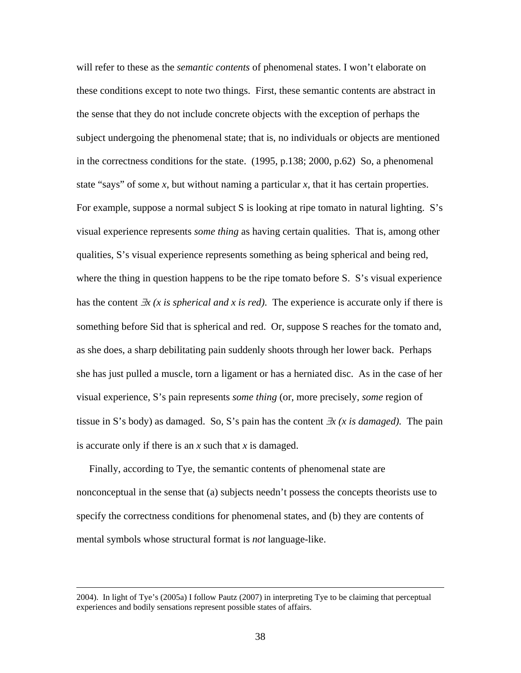will refer to these as the *semantic contents* of phenomenal states. I won't elaborate on these conditions except to note two things. First, these semantic contents are abstract in the sense that they do not include concrete objects with the exception of perhaps the subject undergoing the phenomenal state; that is, no individuals or objects are mentioned in the correctness conditions for the state. (1995, p.138; 2000, p.62) So, a phenomenal state "says" of some *x*, but without naming a particular *x*, that it has certain properties. For example, suppose a normal subject S is looking at ripe tomato in natural lighting. S's visual experience represents *some thing* as having certain qualities. That is, among other qualities, S's visual experience represents something as being spherical and being red, where the thing in question happens to be the ripe tomato before S. S's visual experience has the content ∃*x (x is spherical and x is red)*. The experience is accurate only if there is something before Sid that is spherical and red. Or, suppose S reaches for the tomato and, as she does, a sharp debilitating pain suddenly shoots through her lower back. Perhaps she has just pulled a muscle, torn a ligament or has a herniated disc. As in the case of her visual experience, S's pain represents *some thing* (or, more precisely, *some* region of tissue in S's body) as damaged. So, S's pain has the content ∃*x (x is damaged).* The pain is accurate only if there is an *x* such that *x* is damaged.

 Finally, according to Tye, the semantic contents of phenomenal state are nonconceptual in the sense that (a) subjects needn't possess the concepts theorists use to specify the correctness conditions for phenomenal states, and (b) they are contents of mental symbols whose structural format is *not* language-like.

 <sup>2004).</sup> In light of Tye's (2005a) I follow Pautz (2007) in interpreting Tye to be claiming that perceptual experiences and bodily sensations represent possible states of affairs.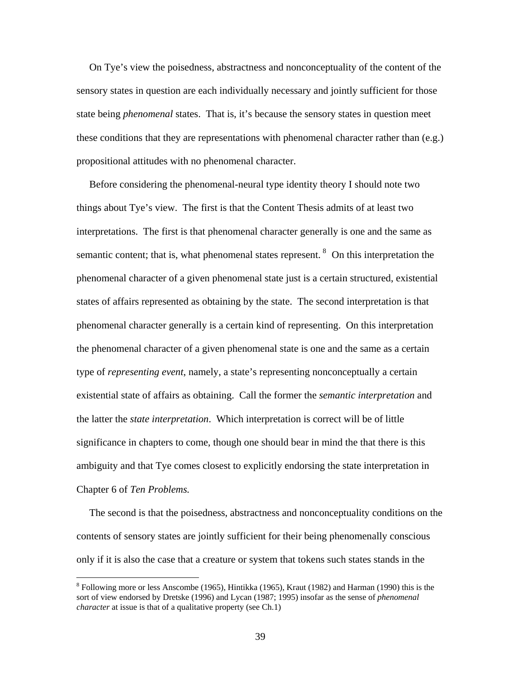On Tye's view the poisedness, abstractness and nonconceptuality of the content of the sensory states in question are each individually necessary and jointly sufficient for those state being *phenomenal* states. That is, it's because the sensory states in question meet these conditions that they are representations with phenomenal character rather than (e.g.) propositional attitudes with no phenomenal character.

 Before considering the phenomenal-neural type identity theory I should note two things about Tye's view. The first is that the Content Thesis admits of at least two interpretations. The first is that phenomenal character generally is one and the same as semantic content; that is, what phenomenal states represent.  $8$  On this interpretation the phenomenal character of a given phenomenal state just is a certain structured, existential states of affairs represented as obtaining by the state. The second interpretation is that phenomenal character generally is a certain kind of representing. On this interpretation the phenomenal character of a given phenomenal state is one and the same as a certain type of *representing event*, namely, a state's representing nonconceptually a certain existential state of affairs as obtaining. Call the former the *semantic interpretation* and the latter the *state interpretation*. Which interpretation is correct will be of little significance in chapters to come, though one should bear in mind the that there is this ambiguity and that Tye comes closest to explicitly endorsing the state interpretation in Chapter 6 of *Ten Problems.*

 The second is that the poisedness, abstractness and nonconceptuality conditions on the contents of sensory states are jointly sufficient for their being phenomenally conscious only if it is also the case that a creature or system that tokens such states stands in the

<span id="page-43-0"></span><sup>&</sup>lt;sup>8</sup> Following more or less Anscombe (1965), Hintikka (1965), Kraut (1982) and Harman (1990) this is the sort of view endorsed by Dretske (1996) and Lycan (1987; 1995) insofar as the sense of *phenomenal character* at issue is that of a qualitative property (see Ch.1)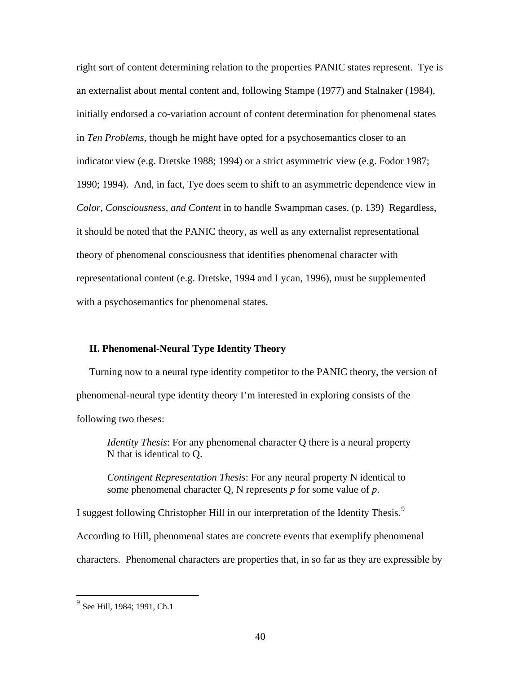right sort of content determining relation to the properties PANIC states represent. Tye is an externalist about mental content and, following Stampe (1977) and Stalnaker (1984), initially endorsed a co-variation account of content determination for phenomenal states in *Ten Problems*, though he might have opted for a psychosemantics closer to an indicator view (e.g. Dretske 1988; 1994) or a strict asymmetric view (e.g. Fodor 1987; 1990; 1994). And, in fact, Tye does seem to shift to an asymmetric dependence view in *Color, Consciousness, and Content* in to handle Swampman cases. (p. 139) Regardless, it should be noted that the PANIC theory, as well as any externalist representational theory of phenomenal consciousness that identifies phenomenal character with representational content (e.g. Dretske, 1994 and Lycan, 1996), must be supplemented with a psychosemantics for phenomenal states.

## **II. Phenomenal-Neural Type Identity Theory**

Turning now to a neural type identity competitor to the PANIC theory, the version of phenomenal-neural type identity theory I'm interested in exploring consists of the following two theses:

*Identity Thesis*: For any phenomenal character Q there is a neural property N that is identical to Q.

*Contingent Representation Thesis*: For any neural property N identical to some phenomenal character Q, N represents *p* for some value of *p*.

I suggest following Christopher Hill in our interpretation of the Identity Thesis.<sup>[9](#page-44-0)</sup>

According to Hill, phenomenal states are concrete events that exemplify phenomenal

characters. Phenomenal characters are properties that, in so far as they are expressible by

<u>.</u>

<span id="page-44-0"></span><sup>&</sup>lt;sup>9</sup> See Hill, 1984; 1991, Ch.1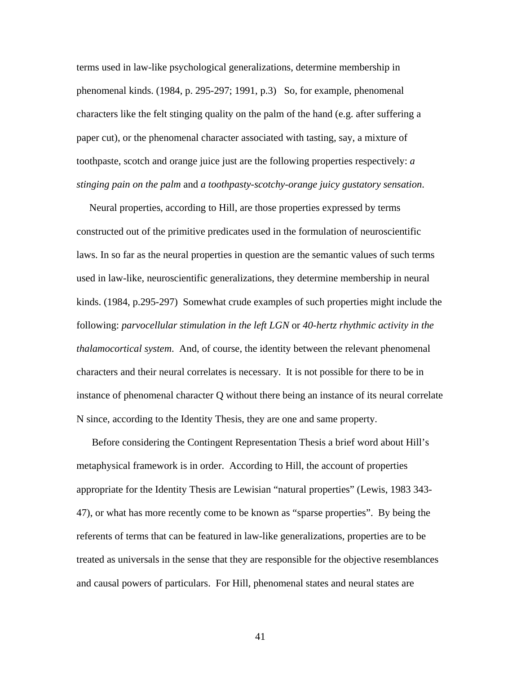terms used in law-like psychological generalizations, determine membership in phenomenal kinds. (1984, p. 295-297; 1991, p.3) So, for example, phenomenal characters like the felt stinging quality on the palm of the hand (e.g. after suffering a paper cut), or the phenomenal character associated with tasting, say, a mixture of toothpaste, scotch and orange juice just are the following properties respectively: *a stinging pain on the palm* and *a toothpasty-scotchy-orange juicy gustatory sensation*.

 Neural properties, according to Hill, are those properties expressed by terms constructed out of the primitive predicates used in the formulation of neuroscientific laws. In so far as the neural properties in question are the semantic values of such terms used in law-like, neuroscientific generalizations, they determine membership in neural kinds. (1984, p.295-297) Somewhat crude examples of such properties might include the following: *parvocellular stimulation in the left LGN* or *40-hertz rhythmic activity in the thalamocortical system*. And, of course, the identity between the relevant phenomenal characters and their neural correlates is necessary. It is not possible for there to be in instance of phenomenal character Q without there being an instance of its neural correlate N since, according to the Identity Thesis, they are one and same property.

 Before considering the Contingent Representation Thesis a brief word about Hill's metaphysical framework is in order. According to Hill, the account of properties appropriate for the Identity Thesis are Lewisian "natural properties" (Lewis, 1983 343- 47), or what has more recently come to be known as "sparse properties". By being the referents of terms that can be featured in law-like generalizations, properties are to be treated as universals in the sense that they are responsible for the objective resemblances and causal powers of particulars. For Hill, phenomenal states and neural states are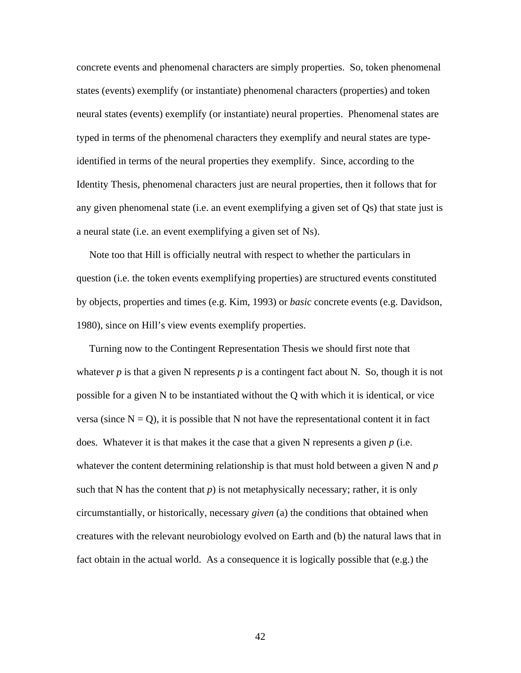concrete events and phenomenal characters are simply properties. So, token phenomenal states (events) exemplify (or instantiate) phenomenal characters (properties) and token neural states (events) exemplify (or instantiate) neural properties. Phenomenal states are typed in terms of the phenomenal characters they exemplify and neural states are typeidentified in terms of the neural properties they exemplify. Since, according to the Identity Thesis, phenomenal characters just are neural properties, then it follows that for any given phenomenal state (i.e. an event exemplifying a given set of Qs) that state just is a neural state (i.e. an event exemplifying a given set of Ns).

 Note too that Hill is officially neutral with respect to whether the particulars in question (i.e. the token events exemplifying properties) are structured events constituted by objects, properties and times (e.g. Kim, 1993) or *basic* concrete events (e.g. Davidson, 1980), since on Hill's view events exemplify properties.

 Turning now to the Contingent Representation Thesis we should first note that whatever  $p$  is that a given N represents  $p$  is a contingent fact about N. So, though it is not possible for a given N to be instantiated without the Q with which it is identical, or vice versa (since  $N = Q$ ), it is possible that N not have the representational content it in fact does. Whatever it is that makes it the case that a given N represents a given *p* (i.e. whatever the content determining relationship is that must hold between a given N and *p* such that N has the content that  $p$ ) is not metaphysically necessary; rather, it is only circumstantially, or historically, necessary *given* (a) the conditions that obtained when creatures with the relevant neurobiology evolved on Earth and (b) the natural laws that in fact obtain in the actual world. As a consequence it is logically possible that (e.g.) the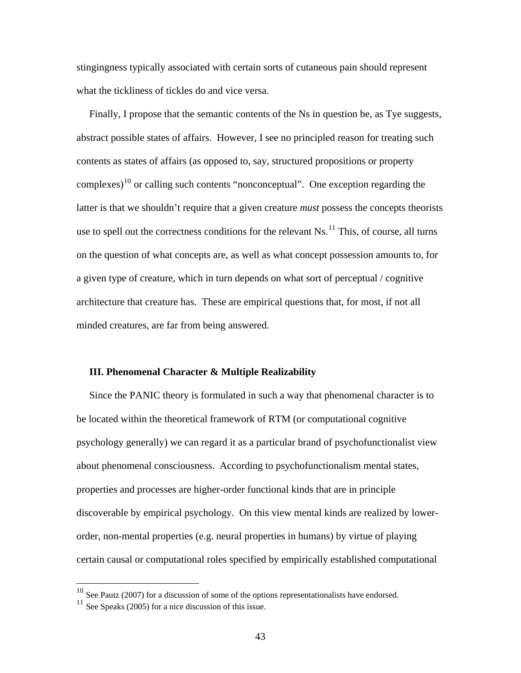stingingness typically associated with certain sorts of cutaneous pain should represent what the tickliness of tickles do and vice versa.

 Finally, I propose that the semantic contents of the Ns in question be, as Tye suggests, abstract possible states of affairs. However, I see no principled reason for treating such contents as states of affairs (as opposed to, say, structured propositions or property complexes)<sup>[10](#page-47-0)</sup> or calling such contents "nonconceptual". One exception regarding the latter is that we shouldn't require that a given creature *must* possess the concepts theorists use to spell out the correctness conditions for the relevant  $Ns$ <sup>[11](#page-47-1)</sup>. This, of course, all turns on the question of what concepts are, as well as what concept possession amounts to, for a given type of creature, which in turn depends on what sort of perceptual / cognitive architecture that creature has. These are empirical questions that, for most, if not all minded creatures, are far from being answered.

### **III. Phenomenal Character & Multiple Realizability**

 Since the PANIC theory is formulated in such a way that phenomenal character is to be located within the theoretical framework of RTM (or computational cognitive psychology generally) we can regard it as a particular brand of psychofunctionalist view about phenomenal consciousness. According to psychofunctionalism mental states, properties and processes are higher-order functional kinds that are in principle discoverable by empirical psychology. On this view mental kinds are realized by lowerorder, non-mental properties (e.g. neural properties in humans) by virtue of playing certain causal or computational roles specified by empirically established computational

<span id="page-47-0"></span> $10$  See Pautz (2007) for a discussion of some of the options representationalists have endorsed.

<span id="page-47-1"></span> $11$  See Speaks (2005) for a nice discussion of this issue.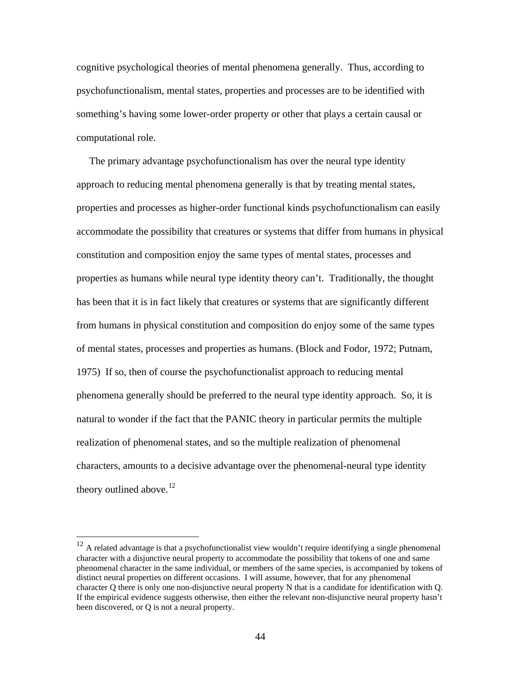cognitive psychological theories of mental phenomena generally. Thus, according to psychofunctionalism, mental states, properties and processes are to be identified with something's having some lower-order property or other that plays a certain causal or computational role.

 The primary advantage psychofunctionalism has over the neural type identity approach to reducing mental phenomena generally is that by treating mental states, properties and processes as higher-order functional kinds psychofunctionalism can easily accommodate the possibility that creatures or systems that differ from humans in physical constitution and composition enjoy the same types of mental states, processes and properties as humans while neural type identity theory can't. Traditionally, the thought has been that it is in fact likely that creatures or systems that are significantly different from humans in physical constitution and composition do enjoy some of the same types of mental states, processes and properties as humans. (Block and Fodor, 1972; Putnam, 1975) If so, then of course the psychofunctionalist approach to reducing mental phenomena generally should be preferred to the neural type identity approach. So, it is natural to wonder if the fact that the PANIC theory in particular permits the multiple realization of phenomenal states, and so the multiple realization of phenomenal characters, amounts to a decisive advantage over the phenomenal-neural type identity theory outlined above.<sup>[12](#page-48-0)</sup>

<span id="page-48-0"></span> $12$  A related advantage is that a psychofunctionalist view wouldn't require identifying a single phenomenal character with a disjunctive neural property to accommodate the possibility that tokens of one and same phenomenal character in the same individual, or members of the same species, is accompanied by tokens of distinct neural properties on different occasions. I will assume, however, that for any phenomenal character Q there is only one non-disjunctive neural property N that is a candidate for identification with Q. If the empirical evidence suggests otherwise, then either the relevant non-disjunctive neural property hasn't been discovered, or Q is not a neural property.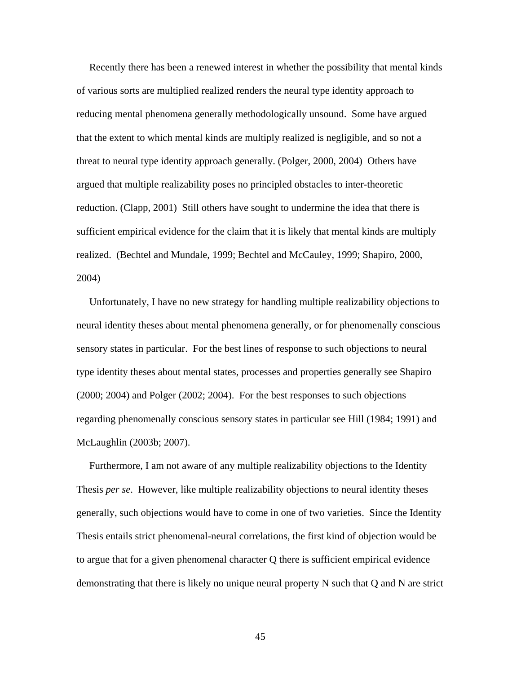Recently there has been a renewed interest in whether the possibility that mental kinds of various sorts are multiplied realized renders the neural type identity approach to reducing mental phenomena generally methodologically unsound. Some have argued that the extent to which mental kinds are multiply realized is negligible, and so not a threat to neural type identity approach generally. (Polger, 2000, 2004) Others have argued that multiple realizability poses no principled obstacles to inter-theoretic reduction. (Clapp, 2001) Still others have sought to undermine the idea that there is sufficient empirical evidence for the claim that it is likely that mental kinds are multiply realized. (Bechtel and Mundale, 1999; Bechtel and McCauley, 1999; Shapiro, 2000, 2004)

 Unfortunately, I have no new strategy for handling multiple realizability objections to neural identity theses about mental phenomena generally, or for phenomenally conscious sensory states in particular. For the best lines of response to such objections to neural type identity theses about mental states, processes and properties generally see Shapiro (2000; 2004) and Polger (2002; 2004). For the best responses to such objections regarding phenomenally conscious sensory states in particular see Hill (1984; 1991) and McLaughlin (2003b; 2007).

 Furthermore, I am not aware of any multiple realizability objections to the Identity Thesis *per se*. However, like multiple realizability objections to neural identity theses generally, such objections would have to come in one of two varieties. Since the Identity Thesis entails strict phenomenal-neural correlations, the first kind of objection would be to argue that for a given phenomenal character Q there is sufficient empirical evidence demonstrating that there is likely no unique neural property N such that Q and N are strict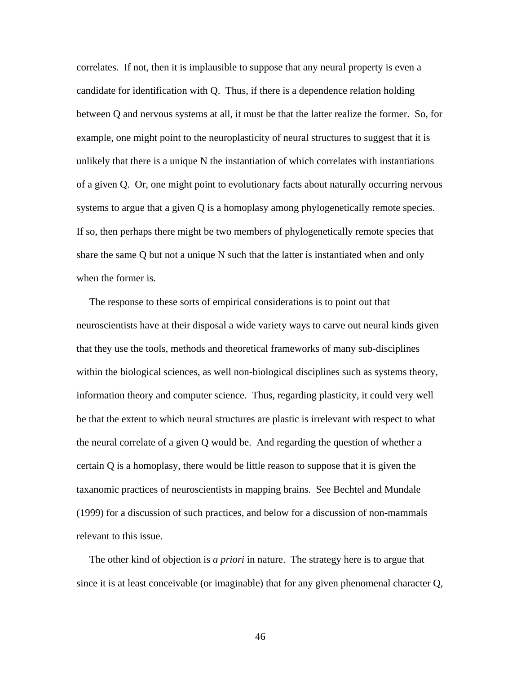correlates. If not, then it is implausible to suppose that any neural property is even a candidate for identification with Q. Thus, if there is a dependence relation holding between Q and nervous systems at all, it must be that the latter realize the former. So, for example, one might point to the neuroplasticity of neural structures to suggest that it is unlikely that there is a unique N the instantiation of which correlates with instantiations of a given Q. Or, one might point to evolutionary facts about naturally occurring nervous systems to argue that a given Q is a homoplasy among phylogenetically remote species. If so, then perhaps there might be two members of phylogenetically remote species that share the same Q but not a unique N such that the latter is instantiated when and only when the former is.

 The response to these sorts of empirical considerations is to point out that neuroscientists have at their disposal a wide variety ways to carve out neural kinds given that they use the tools, methods and theoretical frameworks of many sub-disciplines within the biological sciences, as well non-biological disciplines such as systems theory, information theory and computer science. Thus, regarding plasticity, it could very well be that the extent to which neural structures are plastic is irrelevant with respect to what the neural correlate of a given Q would be. And regarding the question of whether a certain Q is a homoplasy, there would be little reason to suppose that it is given the taxanomic practices of neuroscientists in mapping brains. See Bechtel and Mundale (1999) for a discussion of such practices, and below for a discussion of non-mammals relevant to this issue.

 The other kind of objection is *a priori* in nature. The strategy here is to argue that since it is at least conceivable (or imaginable) that for any given phenomenal character Q,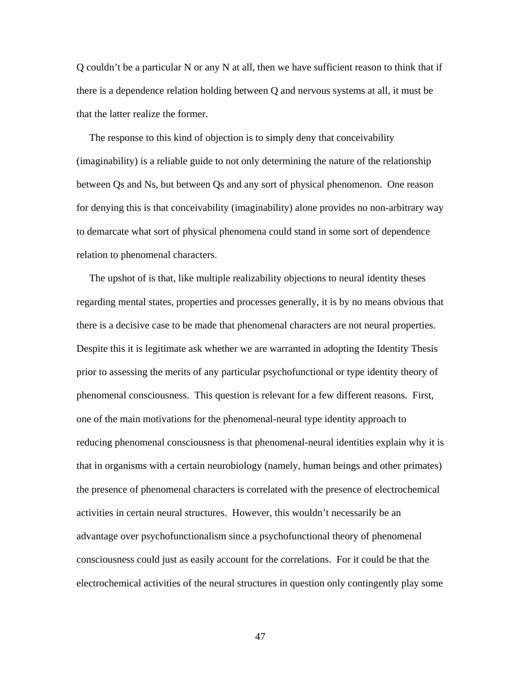Q couldn't be a particular N or any N at all, then we have sufficient reason to think that if there is a dependence relation holding between Q and nervous systems at all, it must be that the latter realize the former.

 The response to this kind of objection is to simply deny that conceivability (imaginability) is a reliable guide to not only determining the nature of the relationship between Qs and Ns, but between Qs and any sort of physical phenomenon. One reason for denying this is that conceivability (imaginability) alone provides no non-arbitrary way to demarcate what sort of physical phenomena could stand in some sort of dependence relation to phenomenal characters.

 The upshot of is that, like multiple realizability objections to neural identity theses regarding mental states, properties and processes generally, it is by no means obvious that there is a decisive case to be made that phenomenal characters are not neural properties. Despite this it is legitimate ask whether we are warranted in adopting the Identity Thesis prior to assessing the merits of any particular psychofunctional or type identity theory of phenomenal consciousness. This question is relevant for a few different reasons. First, one of the main motivations for the phenomenal-neural type identity approach to reducing phenomenal consciousness is that phenomenal-neural identities explain why it is that in organisms with a certain neurobiology (namely, human beings and other primates) the presence of phenomenal characters is correlated with the presence of electrochemical activities in certain neural structures. However, this wouldn't necessarily be an advantage over psychofunctionalism since a psychofunctional theory of phenomenal consciousness could just as easily account for the correlations. For it could be that the electrochemical activities of the neural structures in question only contingently play some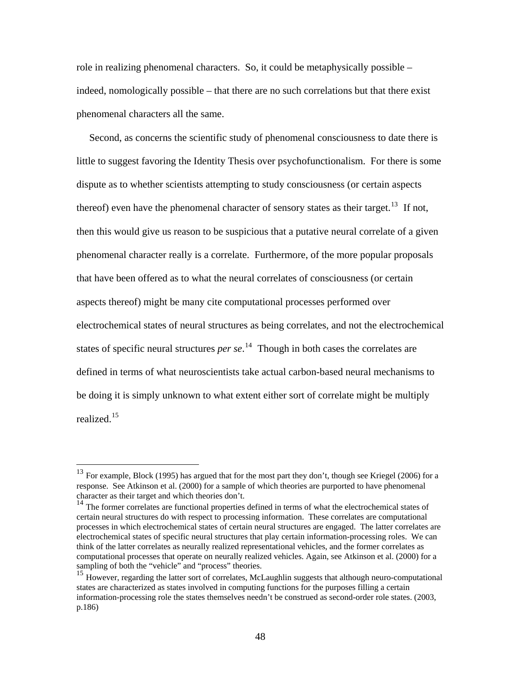role in realizing phenomenal characters. So, it could be metaphysically possible – indeed, nomologically possible – that there are no such correlations but that there exist phenomenal characters all the same.

 Second, as concerns the scientific study of phenomenal consciousness to date there is little to suggest favoring the Identity Thesis over psychofunctionalism. For there is some dispute as to whether scientists attempting to study consciousness (or certain aspects thereof) even have the phenomenal character of sensory states as their target.<sup>[13](#page-52-0)</sup> If not, then this would give us reason to be suspicious that a putative neural correlate of a given phenomenal character really is a correlate. Furthermore, of the more popular proposals that have been offered as to what the neural correlates of consciousness (or certain aspects thereof) might be many cite computational processes performed over electrochemical states of neural structures as being correlates, and not the electrochemical states of specific neural structures *per se*. [14](#page-52-1) Though in both cases the correlates are defined in terms of what neuroscientists take actual carbon-based neural mechanisms to be doing it is simply unknown to what extent either sort of correlate might be multiply realized.[15](#page-52-2)

<u>.</u>

<span id="page-52-0"></span> $13$  For example, Block (1995) has argued that for the most part they don't, though see Kriegel (2006) for a response. See Atkinson et al. (2000) for a sample of which theories are purported to have phenomenal character as their target and which theories don't.

<span id="page-52-1"></span><sup>&</sup>lt;sup>14</sup> The former correlates are functional properties defined in terms of what the electrochemical states of certain neural structures do with respect to processing information. These correlates are computational processes in which electrochemical states of certain neural structures are engaged. The latter correlates are electrochemical states of specific neural structures that play certain information-processing roles. We can think of the latter correlates as neurally realized representational vehicles, and the former correlates as computational processes that operate on neurally realized vehicles. Again, see Atkinson et al. (2000) for a sampling of both the "vehicle" and "process" theories.

<span id="page-52-2"></span><sup>&</sup>lt;sup>15</sup> However, regarding the latter sort of correlates, McLaughlin suggests that although neuro-computational states are characterized as states involved in computing functions for the purposes filling a certain information-processing role the states themselves needn't be construed as second-order role states. (2003, p.186)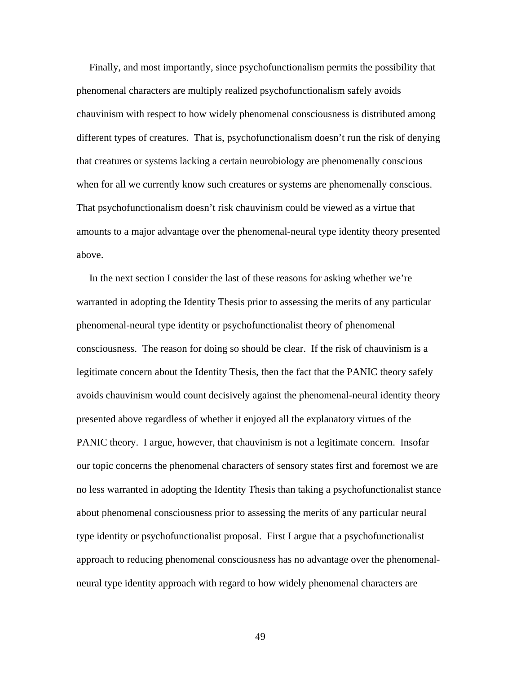Finally, and most importantly, since psychofunctionalism permits the possibility that phenomenal characters are multiply realized psychofunctionalism safely avoids chauvinism with respect to how widely phenomenal consciousness is distributed among different types of creatures. That is, psychofunctionalism doesn't run the risk of denying that creatures or systems lacking a certain neurobiology are phenomenally conscious when for all we currently know such creatures or systems are phenomenally conscious. That psychofunctionalism doesn't risk chauvinism could be viewed as a virtue that amounts to a major advantage over the phenomenal-neural type identity theory presented above.

 In the next section I consider the last of these reasons for asking whether we're warranted in adopting the Identity Thesis prior to assessing the merits of any particular phenomenal-neural type identity or psychofunctionalist theory of phenomenal consciousness. The reason for doing so should be clear. If the risk of chauvinism is a legitimate concern about the Identity Thesis, then the fact that the PANIC theory safely avoids chauvinism would count decisively against the phenomenal-neural identity theory presented above regardless of whether it enjoyed all the explanatory virtues of the PANIC theory. I argue, however, that chauvinism is not a legitimate concern. Insofar our topic concerns the phenomenal characters of sensory states first and foremost we are no less warranted in adopting the Identity Thesis than taking a psychofunctionalist stance about phenomenal consciousness prior to assessing the merits of any particular neural type identity or psychofunctionalist proposal. First I argue that a psychofunctionalist approach to reducing phenomenal consciousness has no advantage over the phenomenalneural type identity approach with regard to how widely phenomenal characters are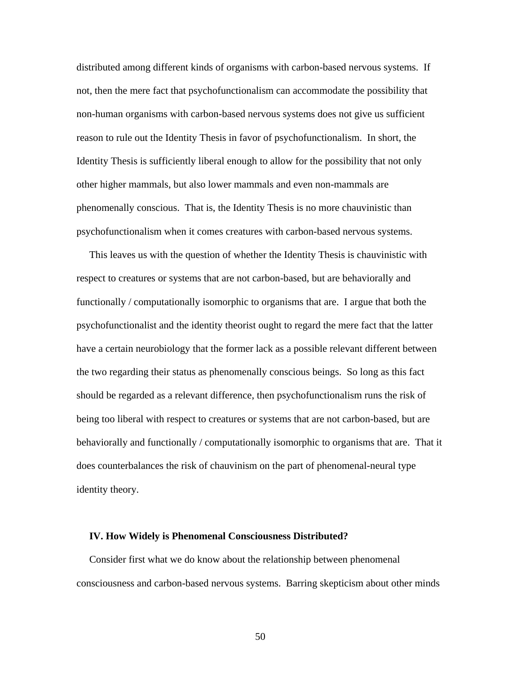distributed among different kinds of organisms with carbon-based nervous systems. If not, then the mere fact that psychofunctionalism can accommodate the possibility that non-human organisms with carbon-based nervous systems does not give us sufficient reason to rule out the Identity Thesis in favor of psychofunctionalism. In short, the Identity Thesis is sufficiently liberal enough to allow for the possibility that not only other higher mammals, but also lower mammals and even non-mammals are phenomenally conscious. That is, the Identity Thesis is no more chauvinistic than psychofunctionalism when it comes creatures with carbon-based nervous systems.

 This leaves us with the question of whether the Identity Thesis is chauvinistic with respect to creatures or systems that are not carbon-based, but are behaviorally and functionally / computationally isomorphic to organisms that are. I argue that both the psychofunctionalist and the identity theorist ought to regard the mere fact that the latter have a certain neurobiology that the former lack as a possible relevant different between the two regarding their status as phenomenally conscious beings. So long as this fact should be regarded as a relevant difference, then psychofunctionalism runs the risk of being too liberal with respect to creatures or systems that are not carbon-based, but are behaviorally and functionally / computationally isomorphic to organisms that are. That it does counterbalances the risk of chauvinism on the part of phenomenal-neural type identity theory.

#### **IV. How Widely is Phenomenal Consciousness Distributed?**

 Consider first what we do know about the relationship between phenomenal consciousness and carbon-based nervous systems. Barring skepticism about other minds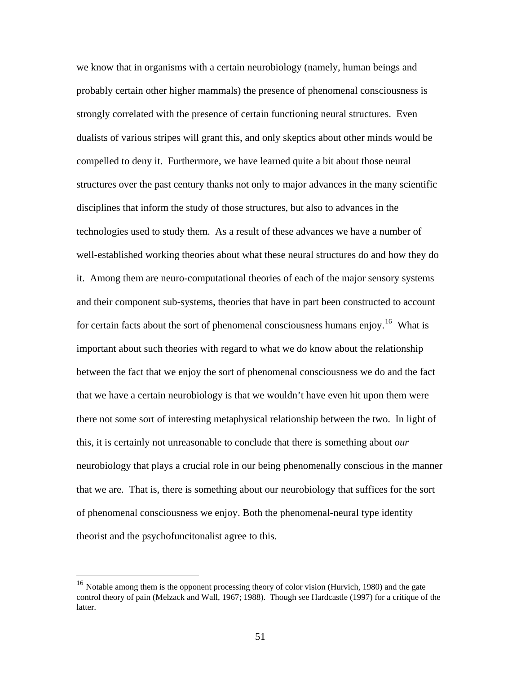we know that in organisms with a certain neurobiology (namely, human beings and probably certain other higher mammals) the presence of phenomenal consciousness is strongly correlated with the presence of certain functioning neural structures. Even dualists of various stripes will grant this, and only skeptics about other minds would be compelled to deny it. Furthermore, we have learned quite a bit about those neural structures over the past century thanks not only to major advances in the many scientific disciplines that inform the study of those structures, but also to advances in the technologies used to study them. As a result of these advances we have a number of well-established working theories about what these neural structures do and how they do it. Among them are neuro-computational theories of each of the major sensory systems and their component sub-systems, theories that have in part been constructed to account for certain facts about the sort of phenomenal consciousness humans enjoy.<sup>[16](#page-55-0)</sup> What is important about such theories with regard to what we do know about the relationship between the fact that we enjoy the sort of phenomenal consciousness we do and the fact that we have a certain neurobiology is that we wouldn't have even hit upon them were there not some sort of interesting metaphysical relationship between the two. In light of this, it is certainly not unreasonable to conclude that there is something about *our*  neurobiology that plays a crucial role in our being phenomenally conscious in the manner that we are. That is, there is something about our neurobiology that suffices for the sort of phenomenal consciousness we enjoy. Both the phenomenal-neural type identity theorist and the psychofuncitonalist agree to this.

<span id="page-55-0"></span> $16$  Notable among them is the opponent processing theory of color vision (Hurvich, 1980) and the gate control theory of pain (Melzack and Wall, 1967; 1988). Though see Hardcastle (1997) for a critique of the latter.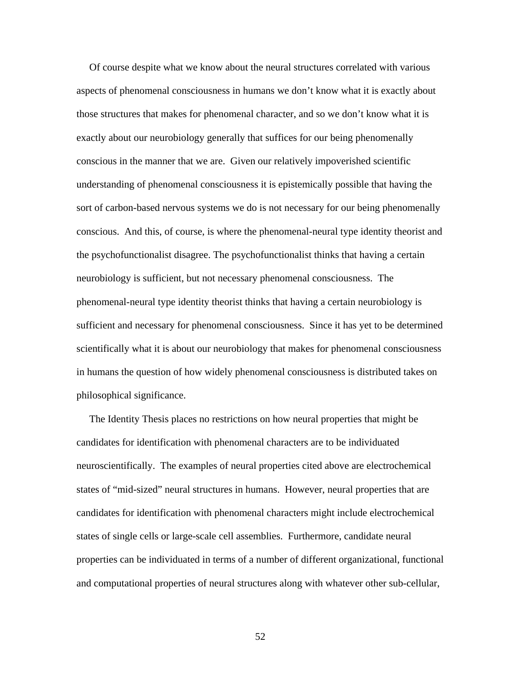Of course despite what we know about the neural structures correlated with various aspects of phenomenal consciousness in humans we don't know what it is exactly about those structures that makes for phenomenal character, and so we don't know what it is exactly about our neurobiology generally that suffices for our being phenomenally conscious in the manner that we are. Given our relatively impoverished scientific understanding of phenomenal consciousness it is epistemically possible that having the sort of carbon-based nervous systems we do is not necessary for our being phenomenally conscious. And this, of course, is where the phenomenal-neural type identity theorist and the psychofunctionalist disagree. The psychofunctionalist thinks that having a certain neurobiology is sufficient, but not necessary phenomenal consciousness. The phenomenal-neural type identity theorist thinks that having a certain neurobiology is sufficient and necessary for phenomenal consciousness. Since it has yet to be determined scientifically what it is about our neurobiology that makes for phenomenal consciousness in humans the question of how widely phenomenal consciousness is distributed takes on philosophical significance.

 The Identity Thesis places no restrictions on how neural properties that might be candidates for identification with phenomenal characters are to be individuated neuroscientifically. The examples of neural properties cited above are electrochemical states of "mid-sized" neural structures in humans. However, neural properties that are candidates for identification with phenomenal characters might include electrochemical states of single cells or large-scale cell assemblies. Furthermore, candidate neural properties can be individuated in terms of a number of different organizational, functional and computational properties of neural structures along with whatever other sub-cellular,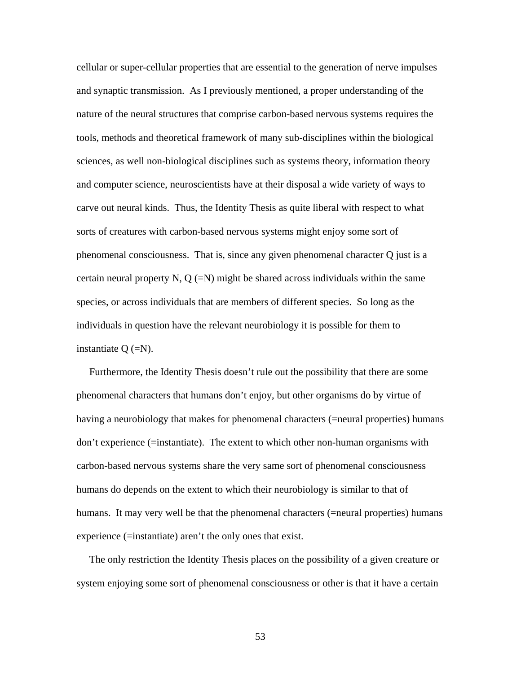cellular or super-cellular properties that are essential to the generation of nerve impulses and synaptic transmission. As I previously mentioned, a proper understanding of the nature of the neural structures that comprise carbon-based nervous systems requires the tools, methods and theoretical framework of many sub-disciplines within the biological sciences, as well non-biological disciplines such as systems theory, information theory and computer science, neuroscientists have at their disposal a wide variety of ways to carve out neural kinds. Thus, the Identity Thesis as quite liberal with respect to what sorts of creatures with carbon-based nervous systems might enjoy some sort of phenomenal consciousness. That is, since any given phenomenal character Q just is a certain neural property N, Q  $(=N)$  might be shared across individuals within the same species, or across individuals that are members of different species. So long as the individuals in question have the relevant neurobiology it is possible for them to instantiate  $Q (=N)$ .

 Furthermore, the Identity Thesis doesn't rule out the possibility that there are some phenomenal characters that humans don't enjoy, but other organisms do by virtue of having a neurobiology that makes for phenomenal characters (=neural properties) humans don't experience (=instantiate). The extent to which other non-human organisms with carbon-based nervous systems share the very same sort of phenomenal consciousness humans do depends on the extent to which their neurobiology is similar to that of humans. It may very well be that the phenomenal characters (=neural properties) humans experience (=instantiate) aren't the only ones that exist.

 The only restriction the Identity Thesis places on the possibility of a given creature or system enjoying some sort of phenomenal consciousness or other is that it have a certain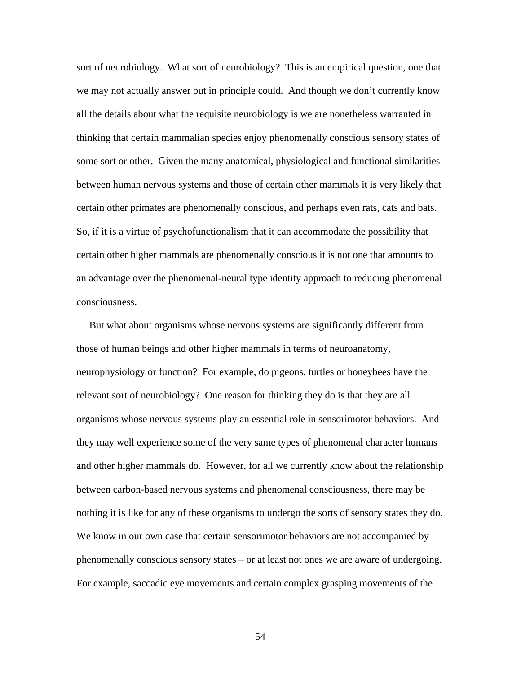sort of neurobiology. What sort of neurobiology? This is an empirical question, one that we may not actually answer but in principle could. And though we don't currently know all the details about what the requisite neurobiology is we are nonetheless warranted in thinking that certain mammalian species enjoy phenomenally conscious sensory states of some sort or other. Given the many anatomical, physiological and functional similarities between human nervous systems and those of certain other mammals it is very likely that certain other primates are phenomenally conscious, and perhaps even rats, cats and bats. So, if it is a virtue of psychofunctionalism that it can accommodate the possibility that certain other higher mammals are phenomenally conscious it is not one that amounts to an advantage over the phenomenal-neural type identity approach to reducing phenomenal consciousness.

 But what about organisms whose nervous systems are significantly different from those of human beings and other higher mammals in terms of neuroanatomy, neurophysiology or function? For example, do pigeons, turtles or honeybees have the relevant sort of neurobiology? One reason for thinking they do is that they are all organisms whose nervous systems play an essential role in sensorimotor behaviors. And they may well experience some of the very same types of phenomenal character humans and other higher mammals do. However, for all we currently know about the relationship between carbon-based nervous systems and phenomenal consciousness, there may be nothing it is like for any of these organisms to undergo the sorts of sensory states they do. We know in our own case that certain sensorimotor behaviors are not accompanied by phenomenally conscious sensory states – or at least not ones we are aware of undergoing. For example, saccadic eye movements and certain complex grasping movements of the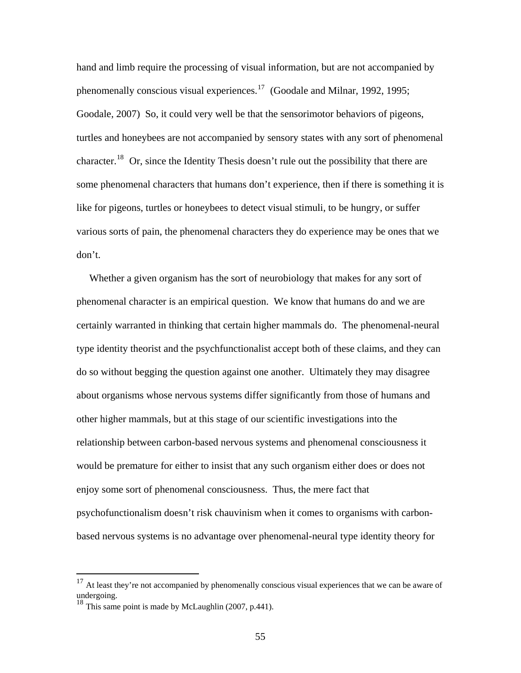hand and limb require the processing of visual information, but are not accompanied by phenomenally conscious visual experiences.<sup>[17](#page-59-0)</sup> (Goodale and Milnar, 1992, 1995; Goodale, 2007) So, it could very well be that the sensorimotor behaviors of pigeons, turtles and honeybees are not accompanied by sensory states with any sort of phenomenal character.<sup>[18](#page-59-1)</sup> Or, since the Identity Thesis doesn't rule out the possibility that there are some phenomenal characters that humans don't experience, then if there is something it is like for pigeons, turtles or honeybees to detect visual stimuli, to be hungry, or suffer various sorts of pain, the phenomenal characters they do experience may be ones that we don't.

 Whether a given organism has the sort of neurobiology that makes for any sort of phenomenal character is an empirical question. We know that humans do and we are certainly warranted in thinking that certain higher mammals do. The phenomenal-neural type identity theorist and the psychfunctionalist accept both of these claims, and they can do so without begging the question against one another. Ultimately they may disagree about organisms whose nervous systems differ significantly from those of humans and other higher mammals, but at this stage of our scientific investigations into the relationship between carbon-based nervous systems and phenomenal consciousness it would be premature for either to insist that any such organism either does or does not enjoy some sort of phenomenal consciousness. Thus, the mere fact that psychofunctionalism doesn't risk chauvinism when it comes to organisms with carbonbased nervous systems is no advantage over phenomenal-neural type identity theory for

<span id="page-59-0"></span> $17$  At least they're not accompanied by phenomenally conscious visual experiences that we can be aware of undergoing.

<span id="page-59-1"></span><sup>&</sup>lt;sup>18</sup> This same point is made by McLaughlin (2007, p.441).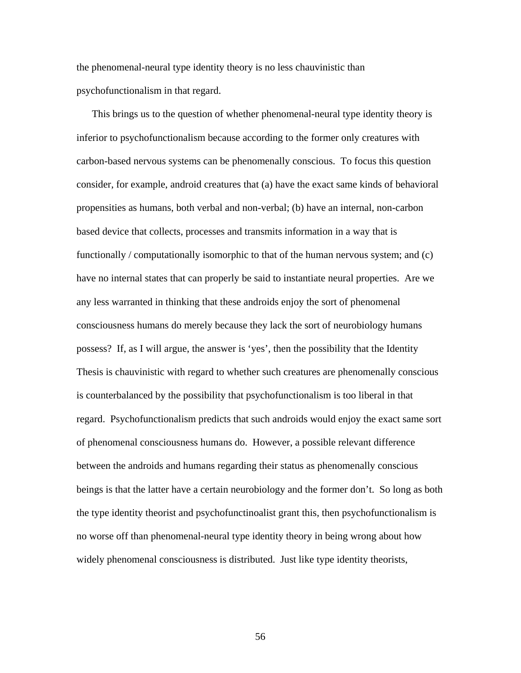the phenomenal-neural type identity theory is no less chauvinistic than psychofunctionalism in that regard.

 This brings us to the question of whether phenomenal-neural type identity theory is inferior to psychofunctionalism because according to the former only creatures with carbon-based nervous systems can be phenomenally conscious. To focus this question consider, for example, android creatures that (a) have the exact same kinds of behavioral propensities as humans, both verbal and non-verbal; (b) have an internal, non-carbon based device that collects, processes and transmits information in a way that is functionally / computationally isomorphic to that of the human nervous system; and (c) have no internal states that can properly be said to instantiate neural properties. Are we any less warranted in thinking that these androids enjoy the sort of phenomenal consciousness humans do merely because they lack the sort of neurobiology humans possess? If, as I will argue, the answer is 'yes', then the possibility that the Identity Thesis is chauvinistic with regard to whether such creatures are phenomenally conscious is counterbalanced by the possibility that psychofunctionalism is too liberal in that regard. Psychofunctionalism predicts that such androids would enjoy the exact same sort of phenomenal consciousness humans do. However, a possible relevant difference between the androids and humans regarding their status as phenomenally conscious beings is that the latter have a certain neurobiology and the former don't. So long as both the type identity theorist and psychofunctinoalist grant this, then psychofunctionalism is no worse off than phenomenal-neural type identity theory in being wrong about how widely phenomenal consciousness is distributed. Just like type identity theorists,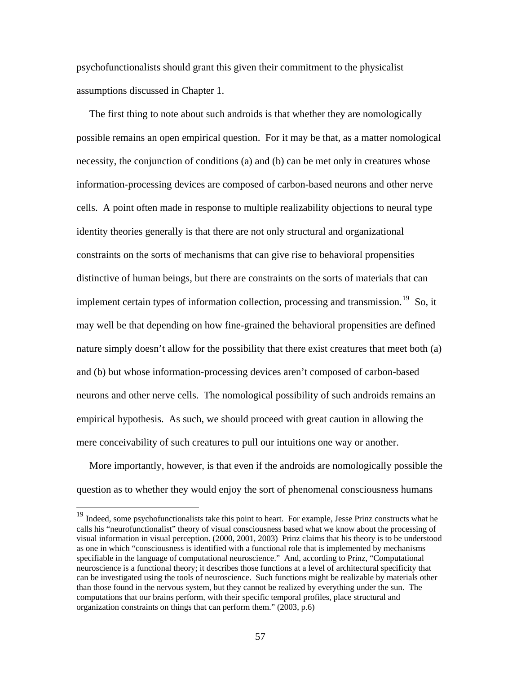psychofunctionalists should grant this given their commitment to the physicalist assumptions discussed in Chapter 1.

 The first thing to note about such androids is that whether they are nomologically possible remains an open empirical question. For it may be that, as a matter nomological necessity, the conjunction of conditions (a) and (b) can be met only in creatures whose information-processing devices are composed of carbon-based neurons and other nerve cells. A point often made in response to multiple realizability objections to neural type identity theories generally is that there are not only structural and organizational constraints on the sorts of mechanisms that can give rise to behavioral propensities distinctive of human beings, but there are constraints on the sorts of materials that can implement certain types of information collection, processing and transmission.<sup>[19](#page-61-0)</sup> So, it may well be that depending on how fine-grained the behavioral propensities are defined nature simply doesn't allow for the possibility that there exist creatures that meet both (a) and (b) but whose information-processing devices aren't composed of carbon-based neurons and other nerve cells. The nomological possibility of such androids remains an empirical hypothesis. As such, we should proceed with great caution in allowing the mere conceivability of such creatures to pull our intuitions one way or another.

 More importantly, however, is that even if the androids are nomologically possible the question as to whether they would enjoy the sort of phenomenal consciousness humans

<span id="page-61-0"></span><sup>&</sup>lt;sup>19</sup> Indeed, some psychofunctionalists take this point to heart. For example, Jesse Prinz constructs what he calls his "neurofunctionalist" theory of visual consciousness based what we know about the processing of visual information in visual perception. (2000, 2001, 2003) Prinz claims that his theory is to be understood as one in which "consciousness is identified with a functional role that is implemented by mechanisms specifiable in the language of computational neuroscience." And, according to Prinz, "Computational neuroscience is a functional theory; it describes those functions at a level of architectural specificity that can be investigated using the tools of neuroscience. Such functions might be realizable by materials other than those found in the nervous system, but they cannot be realized by everything under the sun. The computations that our brains perform, with their specific temporal profiles, place structural and organization constraints on things that can perform them." (2003, p.6)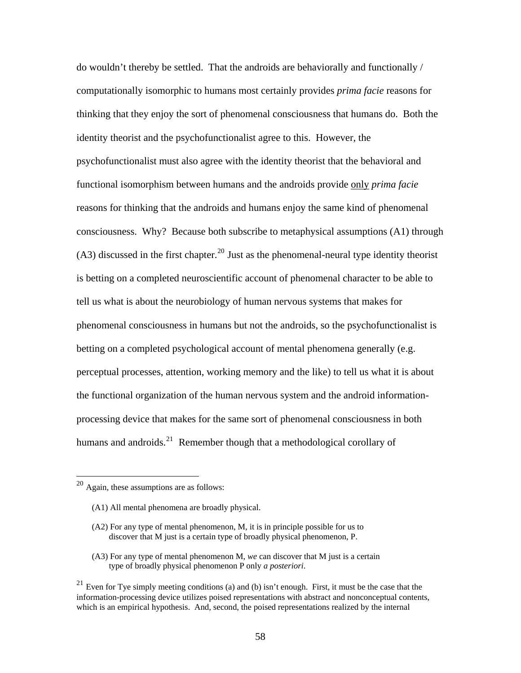do wouldn't thereby be settled. That the androids are behaviorally and functionally / computationally isomorphic to humans most certainly provides *prima facie* reasons for thinking that they enjoy the sort of phenomenal consciousness that humans do. Both the identity theorist and the psychofunctionalist agree to this. However, the psychofunctionalist must also agree with the identity theorist that the behavioral and functional isomorphism between humans and the androids provide only *prima facie* reasons for thinking that the androids and humans enjoy the same kind of phenomenal consciousness. Why? Because both subscribe to metaphysical assumptions (A1) through  $(A3)$  discussed in the first chapter.<sup>[20](#page-62-0)</sup> Just as the phenomenal-neural type identity theorist is betting on a completed neuroscientific account of phenomenal character to be able to tell us what is about the neurobiology of human nervous systems that makes for phenomenal consciousness in humans but not the androids, so the psychofunctionalist is betting on a completed psychological account of mental phenomena generally (e.g. perceptual processes, attention, working memory and the like) to tell us what it is about the functional organization of the human nervous system and the android informationprocessing device that makes for the same sort of phenomenal consciousness in both humans and androids.<sup>[21](#page-62-1)</sup> Remember though that a methodological corollary of

<span id="page-62-0"></span> $20$  Again, these assumptions are as follows:

<sup>(</sup>A1) All mental phenomena are broadly physical.

<sup>(</sup>A2) For any type of mental phenomenon, M, it is in principle possible for us to discover that M just is a certain type of broadly physical phenomenon, P.

<sup>(</sup>A3) For any type of mental phenomenon M, *we* can discover that M just is a certain type of broadly physical phenomenon P only *a posteriori*.

<span id="page-62-1"></span><sup>&</sup>lt;sup>21</sup> Even for Tye simply meeting conditions (a) and (b) isn't enough. First, it must be the case that the information-processing device utilizes poised representations with abstract and nonconceptual contents, which is an empirical hypothesis. And, second, the poised representations realized by the internal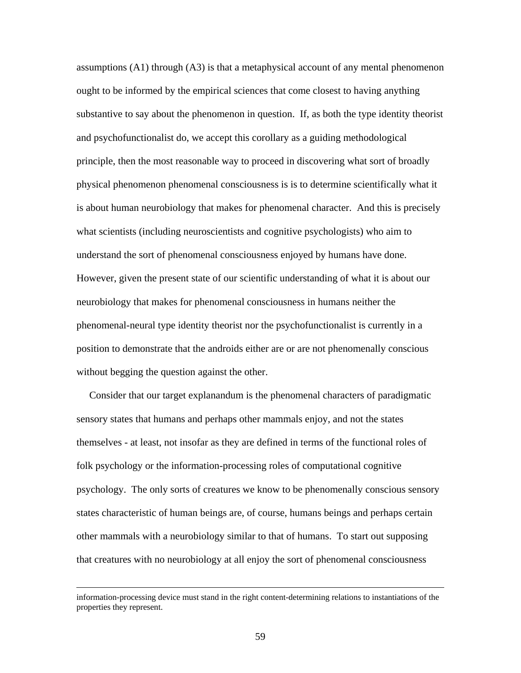assumptions (A1) through (A3) is that a metaphysical account of any mental phenomenon ought to be informed by the empirical sciences that come closest to having anything substantive to say about the phenomenon in question. If, as both the type identity theorist and psychofunctionalist do, we accept this corollary as a guiding methodological principle, then the most reasonable way to proceed in discovering what sort of broadly physical phenomenon phenomenal consciousness is is to determine scientifically what it is about human neurobiology that makes for phenomenal character. And this is precisely what scientists (including neuroscientists and cognitive psychologists) who aim to understand the sort of phenomenal consciousness enjoyed by humans have done. However, given the present state of our scientific understanding of what it is about our neurobiology that makes for phenomenal consciousness in humans neither the phenomenal-neural type identity theorist nor the psychofunctionalist is currently in a position to demonstrate that the androids either are or are not phenomenally conscious without begging the question against the other.

 Consider that our target explanandum is the phenomenal characters of paradigmatic sensory states that humans and perhaps other mammals enjoy, and not the states themselves - at least, not insofar as they are defined in terms of the functional roles of folk psychology or the information-processing roles of computational cognitive psychology. The only sorts of creatures we know to be phenomenally conscious sensory states characteristic of human beings are, of course, humans beings and perhaps certain other mammals with a neurobiology similar to that of humans. To start out supposing that creatures with no neurobiology at all enjoy the sort of phenomenal consciousness

information-processing device must stand in the right content-determining relations to instantiations of the properties they represent.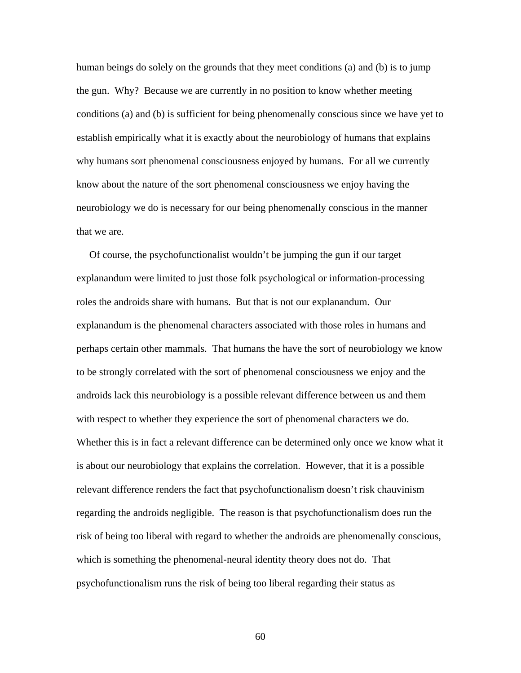human beings do solely on the grounds that they meet conditions (a) and (b) is to jump the gun. Why? Because we are currently in no position to know whether meeting conditions (a) and (b) is sufficient for being phenomenally conscious since we have yet to establish empirically what it is exactly about the neurobiology of humans that explains why humans sort phenomenal consciousness enjoyed by humans. For all we currently know about the nature of the sort phenomenal consciousness we enjoy having the neurobiology we do is necessary for our being phenomenally conscious in the manner that we are.

 Of course, the psychofunctionalist wouldn't be jumping the gun if our target explanandum were limited to just those folk psychological or information-processing roles the androids share with humans. But that is not our explanandum. Our explanandum is the phenomenal characters associated with those roles in humans and perhaps certain other mammals. That humans the have the sort of neurobiology we know to be strongly correlated with the sort of phenomenal consciousness we enjoy and the androids lack this neurobiology is a possible relevant difference between us and them with respect to whether they experience the sort of phenomenal characters we do. Whether this is in fact a relevant difference can be determined only once we know what it is about our neurobiology that explains the correlation. However, that it is a possible relevant difference renders the fact that psychofunctionalism doesn't risk chauvinism regarding the androids negligible. The reason is that psychofunctionalism does run the risk of being too liberal with regard to whether the androids are phenomenally conscious, which is something the phenomenal-neural identity theory does not do. That psychofunctionalism runs the risk of being too liberal regarding their status as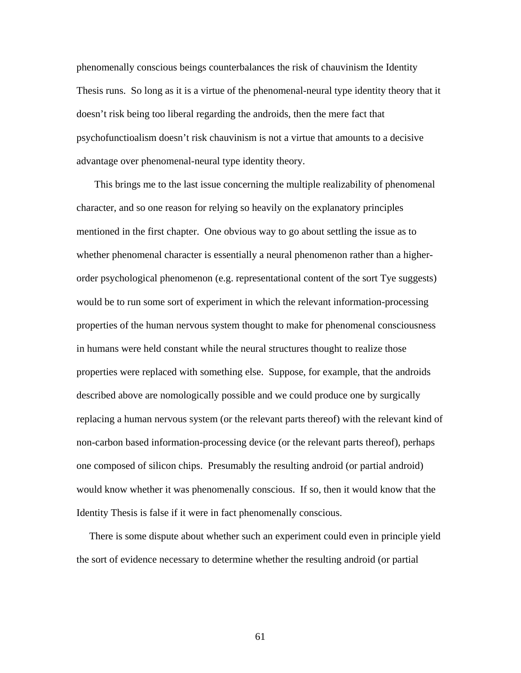phenomenally conscious beings counterbalances the risk of chauvinism the Identity Thesis runs. So long as it is a virtue of the phenomenal-neural type identity theory that it doesn't risk being too liberal regarding the androids, then the mere fact that psychofunctioalism doesn't risk chauvinism is not a virtue that amounts to a decisive advantage over phenomenal-neural type identity theory.

 This brings me to the last issue concerning the multiple realizability of phenomenal character, and so one reason for relying so heavily on the explanatory principles mentioned in the first chapter. One obvious way to go about settling the issue as to whether phenomenal character is essentially a neural phenomenon rather than a higherorder psychological phenomenon (e.g. representational content of the sort Tye suggests) would be to run some sort of experiment in which the relevant information-processing properties of the human nervous system thought to make for phenomenal consciousness in humans were held constant while the neural structures thought to realize those properties were replaced with something else. Suppose, for example, that the androids described above are nomologically possible and we could produce one by surgically replacing a human nervous system (or the relevant parts thereof) with the relevant kind of non-carbon based information-processing device (or the relevant parts thereof), perhaps one composed of silicon chips. Presumably the resulting android (or partial android) would know whether it was phenomenally conscious. If so, then it would know that the Identity Thesis is false if it were in fact phenomenally conscious.

 There is some dispute about whether such an experiment could even in principle yield the sort of evidence necessary to determine whether the resulting android (or partial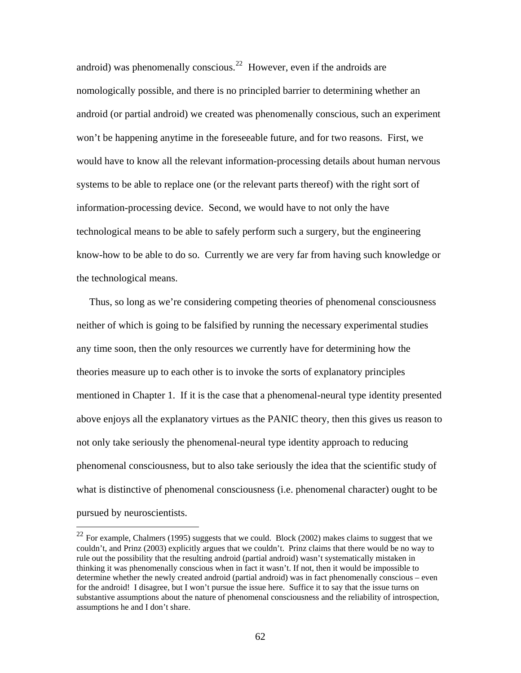android) was phenomenally conscious.<sup>[22](#page-66-0)</sup> However, even if the androids are nomologically possible, and there is no principled barrier to determining whether an android (or partial android) we created was phenomenally conscious, such an experiment won't be happening anytime in the foreseeable future, and for two reasons. First, we would have to know all the relevant information-processing details about human nervous systems to be able to replace one (or the relevant parts thereof) with the right sort of information-processing device. Second, we would have to not only the have technological means to be able to safely perform such a surgery, but the engineering know-how to be able to do so. Currently we are very far from having such knowledge or the technological means.

 Thus, so long as we're considering competing theories of phenomenal consciousness neither of which is going to be falsified by running the necessary experimental studies any time soon, then the only resources we currently have for determining how the theories measure up to each other is to invoke the sorts of explanatory principles mentioned in Chapter 1. If it is the case that a phenomenal-neural type identity presented above enjoys all the explanatory virtues as the PANIC theory, then this gives us reason to not only take seriously the phenomenal-neural type identity approach to reducing phenomenal consciousness, but to also take seriously the idea that the scientific study of what is distinctive of phenomenal consciousness (i.e. phenomenal character) ought to be pursued by neuroscientists.

<span id="page-66-0"></span> $^{22}$  For example, Chalmers (1995) suggests that we could. Block (2002) makes claims to suggest that we couldn't, and Prinz (2003) explicitly argues that we couldn't. Prinz claims that there would be no way to rule out the possibility that the resulting android (partial android) wasn't systematically mistaken in thinking it was phenomenally conscious when in fact it wasn't. If not, then it would be impossible to determine whether the newly created android (partial android) was in fact phenomenally conscious – even for the android! I disagree, but I won't pursue the issue here. Suffice it to say that the issue turns on substantive assumptions about the nature of phenomenal consciousness and the reliability of introspection, assumptions he and I don't share.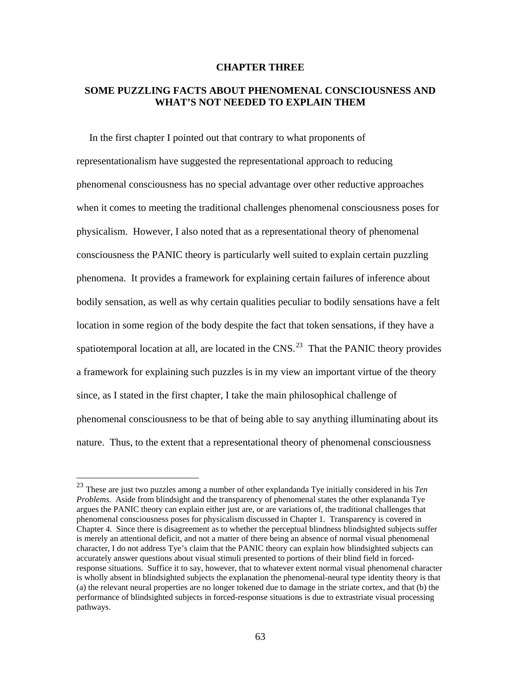## **CHAPTER THREE**

# **SOME PUZZLING FACTS ABOUT PHENOMENAL CONSCIOUSNESS AND WHAT'S NOT NEEDED TO EXPLAIN THEM**

 In the first chapter I pointed out that contrary to what proponents of representationalism have suggested the representational approach to reducing phenomenal consciousness has no special advantage over other reductive approaches when it comes to meeting the traditional challenges phenomenal consciousness poses for physicalism. However, I also noted that as a representational theory of phenomenal consciousness the PANIC theory is particularly well suited to explain certain puzzling phenomena. It provides a framework for explaining certain failures of inference about bodily sensation, as well as why certain qualities peculiar to bodily sensations have a felt location in some region of the body despite the fact that token sensations, if they have a spatiotemporal location at all, are located in the CNS.<sup>[23](#page-67-0)</sup> That the PANIC theory provides a framework for explaining such puzzles is in my view an important virtue of the theory since, as I stated in the first chapter, I take the main philosophical challenge of phenomenal consciousness to be that of being able to say anything illuminating about its nature. Thus, to the extent that a representational theory of phenomenal consciousness

<u>.</u>

<span id="page-67-0"></span><sup>23</sup> These are just two puzzles among a number of other explandanda Tye initially considered in his *Ten Problems*. Aside from blindsight and the transparency of phenomenal states the other explananda Tye argues the PANIC theory can explain either just are, or are variations of, the traditional challenges that phenomenal consciousness poses for physicalism discussed in Chapter 1. Transparency is covered in Chapter 4. Since there is disagreement as to whether the perceptual blindness blindsighted subjects suffer is merely an attentional deficit, and not a matter of there being an absence of normal visual phenomenal character, I do not address Tye's claim that the PANIC theory can explain how blindsighted subjects can accurately answer questions about visual stimuli presented to portions of their blind field in forcedresponse situations. Suffice it to say, however, that to whatever extent normal visual phenomenal character is wholly absent in blindsighted subjects the explanation the phenomenal-neural type identity theory is that (a) the relevant neural properties are no longer tokened due to damage in the striate cortex, and that (b) the performance of blindsighted subjects in forced-response situations is due to extrastriate visual processing pathways.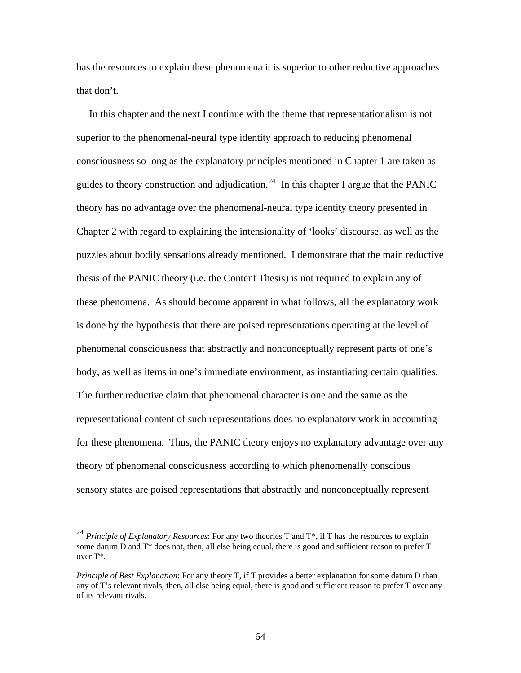has the resources to explain these phenomena it is superior to other reductive approaches that don't.

 In this chapter and the next I continue with the theme that representationalism is not superior to the phenomenal-neural type identity approach to reducing phenomenal consciousness so long as the explanatory principles mentioned in Chapter 1 are taken as guides to theory construction and adjudication.<sup>[24](#page-68-0)</sup> In this chapter I argue that the PANIC theory has no advantage over the phenomenal-neural type identity theory presented in Chapter 2 with regard to explaining the intensionality of 'looks' discourse, as well as the puzzles about bodily sensations already mentioned. I demonstrate that the main reductive thesis of the PANIC theory (i.e. the Content Thesis) is not required to explain any of these phenomena. As should become apparent in what follows, all the explanatory work is done by the hypothesis that there are poised representations operating at the level of phenomenal consciousness that abstractly and nonconceptually represent parts of one's body, as well as items in one's immediate environment, as instantiating certain qualities. The further reductive claim that phenomenal character is one and the same as the representational content of such representations does no explanatory work in accounting for these phenomena. Thus, the PANIC theory enjoys no explanatory advantage over any theory of phenomenal consciousness according to which phenomenally conscious sensory states are poised representations that abstractly and nonconceptually represent

<span id="page-68-0"></span><sup>&</sup>lt;sup>24</sup> *Principle of Explanatory Resources*: For any two theories T and T<sup>\*</sup>, if T has the resources to explain some datum D and T\* does not, then, all else being equal, there is good and sufficient reason to prefer T over T\*.

*Principle of Best Explanation*: For any theory T, if T provides a better explanation for some datum D than any of T's relevant rivals, then, all else being equal, there is good and sufficient reason to prefer T over any of its relevant rivals.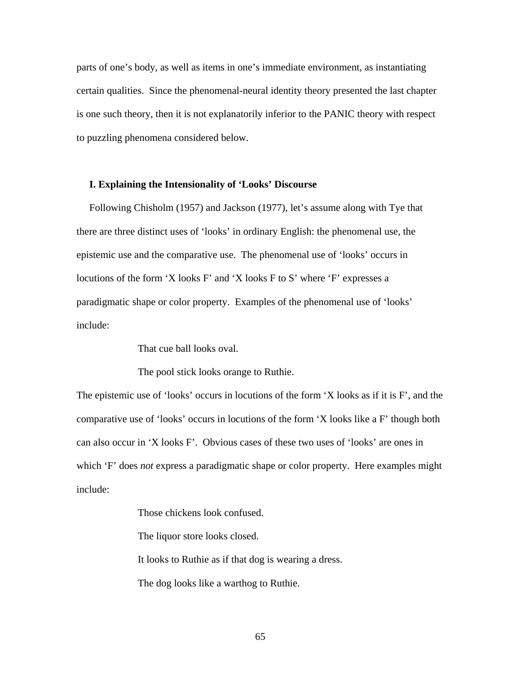parts of one's body, as well as items in one's immediate environment, as instantiating certain qualities. Since the phenomenal-neural identity theory presented the last chapter is one such theory, then it is not explanatorily inferior to the PANIC theory with respect to puzzling phenomena considered below.

### **I. Explaining the Intensionality of 'Looks' Discourse**

 Following Chisholm (1957) and Jackson (1977), let's assume along with Tye that there are three distinct uses of 'looks' in ordinary English: the phenomenal use, the epistemic use and the comparative use. The phenomenal use of 'looks' occurs in locutions of the form 'X looks F' and 'X looks F to S' where 'F' expresses a paradigmatic shape or color property. Examples of the phenomenal use of 'looks' include:

That cue ball looks oval.

The pool stick looks orange to Ruthie.

The epistemic use of 'looks' occurs in locutions of the form 'X looks as if it is F', and the comparative use of 'looks' occurs in locutions of the form 'X looks like a F' though both can also occur in 'X looks F'. Obvious cases of these two uses of 'looks' are ones in which 'F' does *not* express a paradigmatic shape or color property. Here examples might include:

Those chickens look confused.

The liquor store looks closed.

It looks to Ruthie as if that dog is wearing a dress.

The dog looks like a warthog to Ruthie.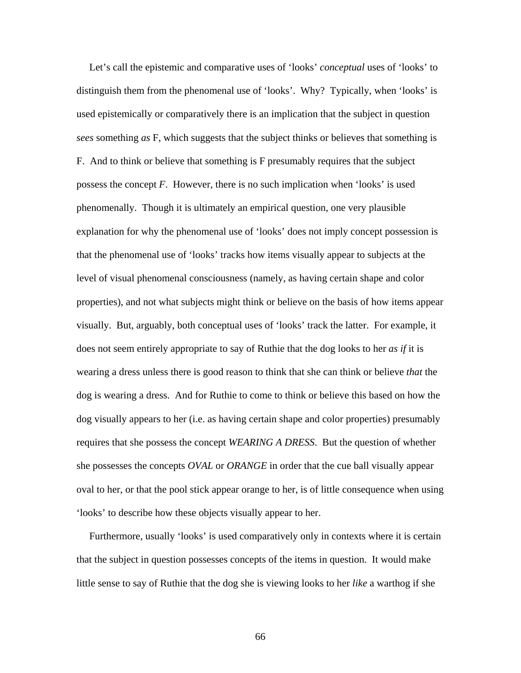Let's call the epistemic and comparative uses of 'looks' *conceptual* uses of 'looks' to distinguish them from the phenomenal use of 'looks'. Why? Typically, when 'looks' is used epistemically or comparatively there is an implication that the subject in question *sees* something *as* F, which suggests that the subject thinks or believes that something is F. And to think or believe that something is F presumably requires that the subject possess the concept *F*. However, there is no such implication when 'looks' is used phenomenally. Though it is ultimately an empirical question, one very plausible explanation for why the phenomenal use of 'looks' does not imply concept possession is that the phenomenal use of 'looks' tracks how items visually appear to subjects at the level of visual phenomenal consciousness (namely, as having certain shape and color properties), and not what subjects might think or believe on the basis of how items appear visually. But, arguably, both conceptual uses of 'looks' track the latter. For example, it does not seem entirely appropriate to say of Ruthie that the dog looks to her *as if* it is wearing a dress unless there is good reason to think that she can think or believe *that* the dog is wearing a dress. And for Ruthie to come to think or believe this based on how the dog visually appears to her (i.e. as having certain shape and color properties) presumably requires that she possess the concept *WEARING A DRESS*. But the question of whether she possesses the concepts *OVAL* or *ORANGE* in order that the cue ball visually appear oval to her, or that the pool stick appear orange to her, is of little consequence when using 'looks' to describe how these objects visually appear to her.

 Furthermore, usually 'looks' is used comparatively only in contexts where it is certain that the subject in question possesses concepts of the items in question. It would make little sense to say of Ruthie that the dog she is viewing looks to her *like* a warthog if she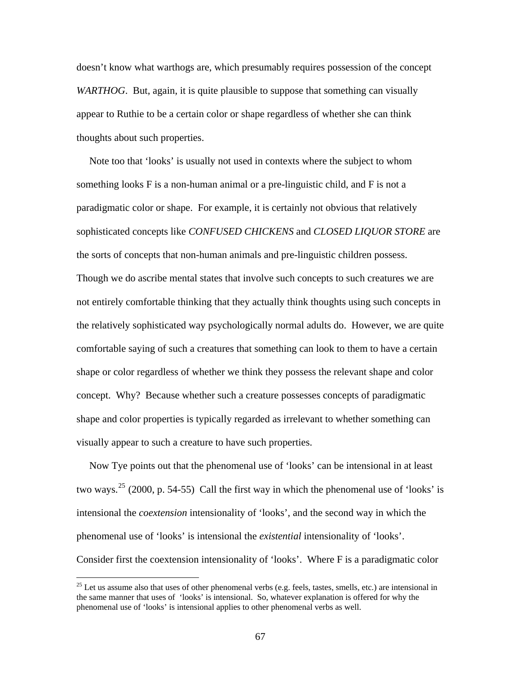doesn't know what warthogs are, which presumably requires possession of the concept *WARTHOG*. But, again, it is quite plausible to suppose that something can visually appear to Ruthie to be a certain color or shape regardless of whether she can think thoughts about such properties.

 Note too that 'looks' is usually not used in contexts where the subject to whom something looks F is a non-human animal or a pre-linguistic child, and F is not a paradigmatic color or shape. For example, it is certainly not obvious that relatively sophisticated concepts like *CONFUSED CHICKENS* and *CLOSED LIQUOR STORE* are the sorts of concepts that non-human animals and pre-linguistic children possess. Though we do ascribe mental states that involve such concepts to such creatures we are not entirely comfortable thinking that they actually think thoughts using such concepts in the relatively sophisticated way psychologically normal adults do. However, we are quite comfortable saying of such a creatures that something can look to them to have a certain shape or color regardless of whether we think they possess the relevant shape and color concept. Why? Because whether such a creature possesses concepts of paradigmatic shape and color properties is typically regarded as irrelevant to whether something can visually appear to such a creature to have such properties.

 Now Tye points out that the phenomenal use of 'looks' can be intensional in at least two ways.<sup>[25](#page-71-0)</sup> (2000, p. 54-55) Call the first way in which the phenomenal use of 'looks' is intensional the *coextension* intensionality of 'looks', and the second way in which the phenomenal use of 'looks' is intensional the *existential* intensionality of 'looks'. Consider first the coextension intensionality of 'looks'. Where F is a paradigmatic color

<span id="page-71-0"></span><sup>&</sup>lt;sup>25</sup> Let us assume also that uses of other phenomenal verbs (e.g. feels, tastes, smells, etc.) are intensional in the same manner that uses of 'looks' is intensional. So, whatever explanation is offered for why the phenomenal use of 'looks' is intensional applies to other phenomenal verbs as well.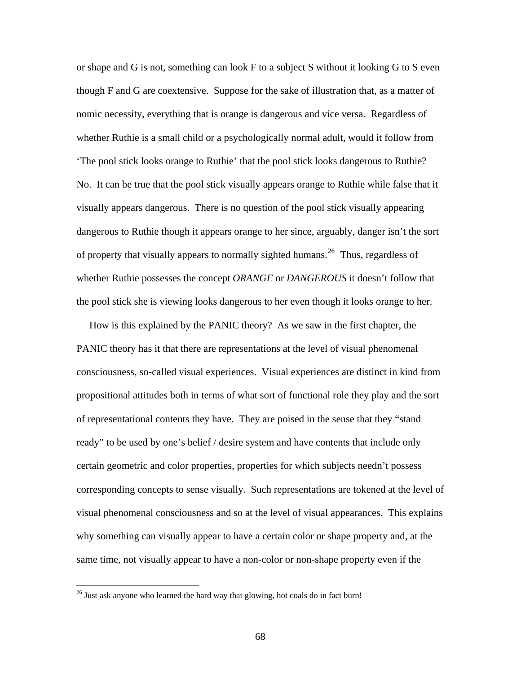or shape and G is not, something can look F to a subject S without it looking G to S even though F and G are coextensive. Suppose for the sake of illustration that, as a matter of nomic necessity, everything that is orange is dangerous and vice versa. Regardless of whether Ruthie is a small child or a psychologically normal adult, would it follow from 'The pool stick looks orange to Ruthie' that the pool stick looks dangerous to Ruthie? No. It can be true that the pool stick visually appears orange to Ruthie while false that it visually appears dangerous. There is no question of the pool stick visually appearing dangerous to Ruthie though it appears orange to her since, arguably, danger isn't the sort of property that visually appears to normally sighted humans.<sup>[26](#page-72-0)</sup> Thus, regardless of whether Ruthie possesses the concept *ORANGE* or *DANGEROUS* it doesn't follow that the pool stick she is viewing looks dangerous to her even though it looks orange to her.

 How is this explained by the PANIC theory? As we saw in the first chapter, the PANIC theory has it that there are representations at the level of visual phenomenal consciousness, so-called visual experiences. Visual experiences are distinct in kind from propositional attitudes both in terms of what sort of functional role they play and the sort of representational contents they have. They are poised in the sense that they "stand ready" to be used by one's belief / desire system and have contents that include only certain geometric and color properties, properties for which subjects needn't possess corresponding concepts to sense visually. Such representations are tokened at the level of visual phenomenal consciousness and so at the level of visual appearances. This explains why something can visually appear to have a certain color or shape property and, at the same time, not visually appear to have a non-color or non-shape property even if the

<span id="page-72-0"></span> $26$  Just ask anyone who learned the hard way that glowing, hot coals do in fact burn!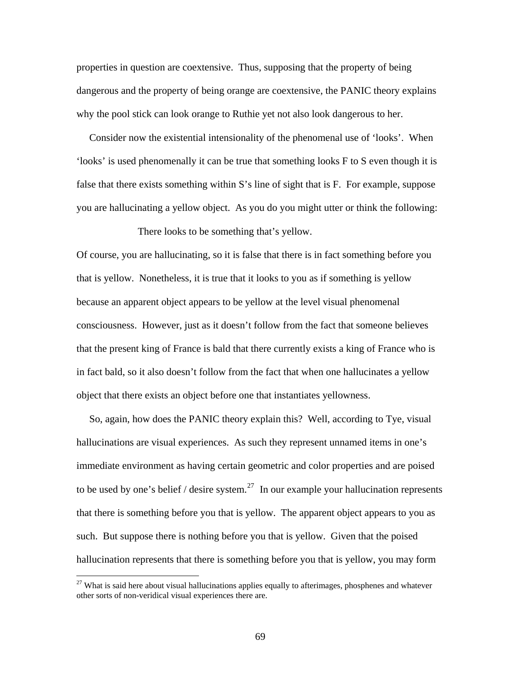properties in question are coextensive. Thus, supposing that the property of being dangerous and the property of being orange are coextensive, the PANIC theory explains why the pool stick can look orange to Ruthie yet not also look dangerous to her.

 Consider now the existential intensionality of the phenomenal use of 'looks'. When 'looks' is used phenomenally it can be true that something looks F to S even though it is false that there exists something within S's line of sight that is F. For example, suppose you are hallucinating a yellow object. As you do you might utter or think the following:

There looks to be something that's yellow.

Of course, you are hallucinating, so it is false that there is in fact something before you that is yellow. Nonetheless, it is true that it looks to you as if something is yellow because an apparent object appears to be yellow at the level visual phenomenal consciousness. However, just as it doesn't follow from the fact that someone believes that the present king of France is bald that there currently exists a king of France who is in fact bald, so it also doesn't follow from the fact that when one hallucinates a yellow object that there exists an object before one that instantiates yellowness.

 So, again, how does the PANIC theory explain this? Well, according to Tye, visual hallucinations are visual experiences. As such they represent unnamed items in one's immediate environment as having certain geometric and color properties and are poised to be used by one's belief / desire system.<sup>[27](#page-73-0)</sup> In our example your hallucination represents that there is something before you that is yellow. The apparent object appears to you as such. But suppose there is nothing before you that is yellow. Given that the poised hallucination represents that there is something before you that is yellow, you may form

<span id="page-73-0"></span> $27$  What is said here about visual hallucinations applies equally to afterimages, phosphenes and whatever other sorts of non-veridical visual experiences there are.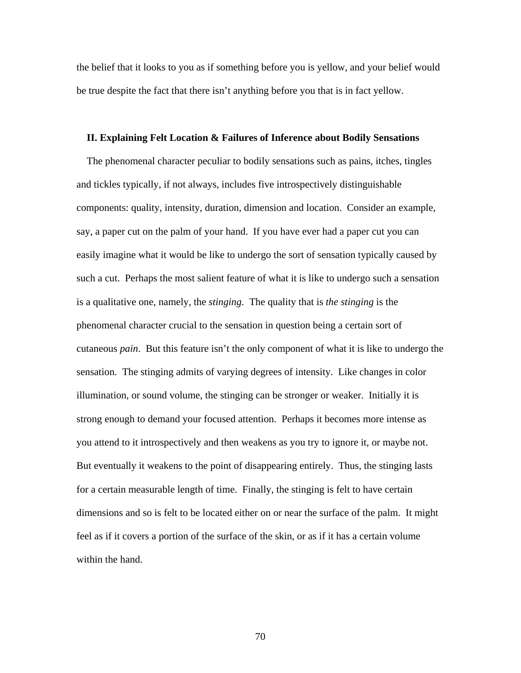the belief that it looks to you as if something before you is yellow, and your belief would be true despite the fact that there isn't anything before you that is in fact yellow.

#### **II. Explaining Felt Location & Failures of Inference about Bodily Sensations**

 The phenomenal character peculiar to bodily sensations such as pains, itches, tingles and tickles typically, if not always, includes five introspectively distinguishable components: quality, intensity, duration, dimension and location. Consider an example, say, a paper cut on the palm of your hand. If you have ever had a paper cut you can easily imagine what it would be like to undergo the sort of sensation typically caused by such a cut. Perhaps the most salient feature of what it is like to undergo such a sensation is a qualitative one, namely, the *stinging*. The quality that is *the stinging* is the phenomenal character crucial to the sensation in question being a certain sort of cutaneous *pain*. But this feature isn't the only component of what it is like to undergo the sensation. The stinging admits of varying degrees of intensity. Like changes in color illumination, or sound volume, the stinging can be stronger or weaker. Initially it is strong enough to demand your focused attention. Perhaps it becomes more intense as you attend to it introspectively and then weakens as you try to ignore it, or maybe not. But eventually it weakens to the point of disappearing entirely. Thus, the stinging lasts for a certain measurable length of time. Finally, the stinging is felt to have certain dimensions and so is felt to be located either on or near the surface of the palm. It might feel as if it covers a portion of the surface of the skin, or as if it has a certain volume within the hand.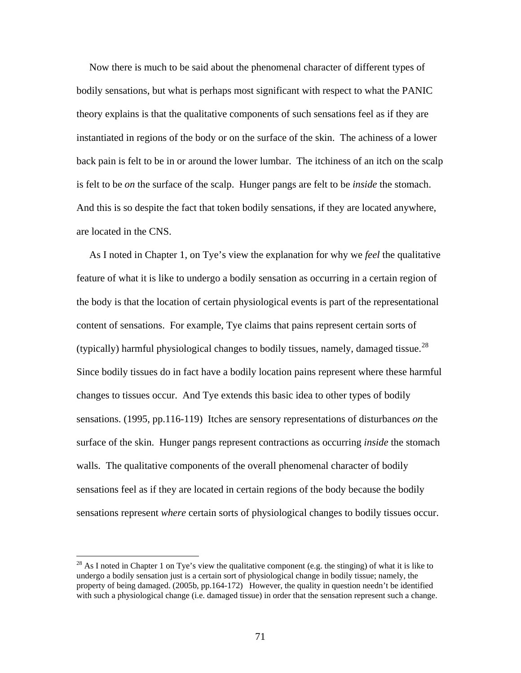Now there is much to be said about the phenomenal character of different types of bodily sensations, but what is perhaps most significant with respect to what the PANIC theory explains is that the qualitative components of such sensations feel as if they are instantiated in regions of the body or on the surface of the skin. The achiness of a lower back pain is felt to be in or around the lower lumbar. The itchiness of an itch on the scalp is felt to be *on* the surface of the scalp. Hunger pangs are felt to be *inside* the stomach. And this is so despite the fact that token bodily sensations, if they are located anywhere, are located in the CNS.

 As I noted in Chapter 1, on Tye's view the explanation for why we *feel* the qualitative feature of what it is like to undergo a bodily sensation as occurring in a certain region of the body is that the location of certain physiological events is part of the representational content of sensations. For example, Tye claims that pains represent certain sorts of (typically) harmful physiological changes to bodily tissues, namely, damaged tissue.<sup>[28](#page-75-0)</sup> Since bodily tissues do in fact have a bodily location pains represent where these harmful changes to tissues occur. And Tye extends this basic idea to other types of bodily sensations. (1995, pp.116-119) Itches are sensory representations of disturbances *on* the surface of the skin. Hunger pangs represent contractions as occurring *inside* the stomach walls. The qualitative components of the overall phenomenal character of bodily sensations feel as if they are located in certain regions of the body because the bodily sensations represent *where* certain sorts of physiological changes to bodily tissues occur.

<span id="page-75-0"></span> $^{28}$  As I noted in Chapter 1 on Tye's view the qualitative component (e.g. the stinging) of what it is like to undergo a bodily sensation just is a certain sort of physiological change in bodily tissue; namely, the property of being damaged. (2005b, pp.164-172) However, the quality in question needn't be identified with such a physiological change (i.e. damaged tissue) in order that the sensation represent such a change.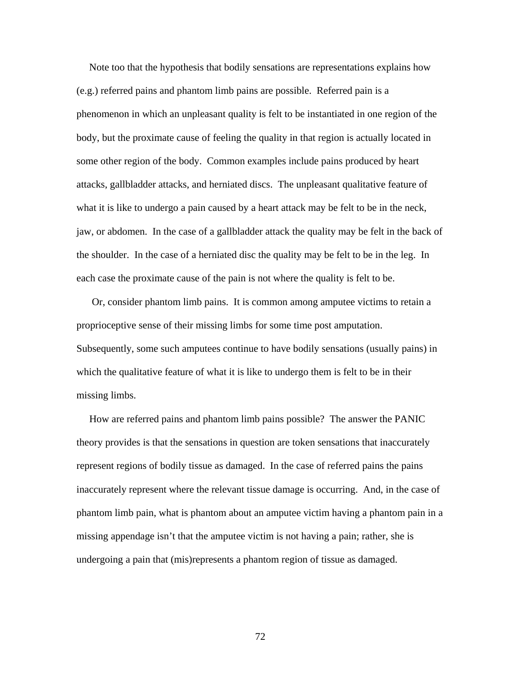Note too that the hypothesis that bodily sensations are representations explains how (e.g.) referred pains and phantom limb pains are possible. Referred pain is a phenomenon in which an unpleasant quality is felt to be instantiated in one region of the body, but the proximate cause of feeling the quality in that region is actually located in some other region of the body. Common examples include pains produced by heart attacks, gallbladder attacks, and herniated discs. The unpleasant qualitative feature of what it is like to undergo a pain caused by a heart attack may be felt to be in the neck, jaw, or abdomen. In the case of a gallbladder attack the quality may be felt in the back of the shoulder. In the case of a herniated disc the quality may be felt to be in the leg. In each case the proximate cause of the pain is not where the quality is felt to be.

 Or, consider phantom limb pains. It is common among amputee victims to retain a proprioceptive sense of their missing limbs for some time post amputation. Subsequently, some such amputees continue to have bodily sensations (usually pains) in which the qualitative feature of what it is like to undergo them is felt to be in their missing limbs.

 How are referred pains and phantom limb pains possible? The answer the PANIC theory provides is that the sensations in question are token sensations that inaccurately represent regions of bodily tissue as damaged. In the case of referred pains the pains inaccurately represent where the relevant tissue damage is occurring. And, in the case of phantom limb pain, what is phantom about an amputee victim having a phantom pain in a missing appendage isn't that the amputee victim is not having a pain; rather, she is undergoing a pain that (mis)represents a phantom region of tissue as damaged.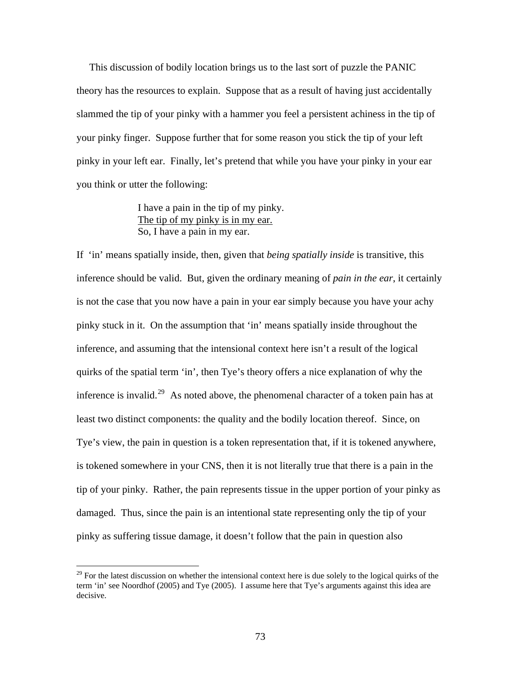This discussion of bodily location brings us to the last sort of puzzle the PANIC theory has the resources to explain. Suppose that as a result of having just accidentally slammed the tip of your pinky with a hammer you feel a persistent achiness in the tip of your pinky finger. Suppose further that for some reason you stick the tip of your left pinky in your left ear. Finally, let's pretend that while you have your pinky in your ear you think or utter the following:

> I have a pain in the tip of my pinky. The tip of my pinky is in my ear. So, I have a pain in my ear.

If 'in' means spatially inside, then, given that *being spatially inside* is transitive, this inference should be valid. But, given the ordinary meaning of *pain in the ear*, it certainly is not the case that you now have a pain in your ear simply because you have your achy pinky stuck in it. On the assumption that 'in' means spatially inside throughout the inference, and assuming that the intensional context here isn't a result of the logical quirks of the spatial term 'in', then Tye's theory offers a nice explanation of why the inference is invalid.<sup>[29](#page-77-0)</sup> As noted above, the phenomenal character of a token pain has at least two distinct components: the quality and the bodily location thereof. Since, on Tye's view, the pain in question is a token representation that, if it is tokened anywhere, is tokened somewhere in your CNS, then it is not literally true that there is a pain in the tip of your pinky. Rather, the pain represents tissue in the upper portion of your pinky as damaged. Thus, since the pain is an intentional state representing only the tip of your pinky as suffering tissue damage, it doesn't follow that the pain in question also

<u>.</u>

<span id="page-77-0"></span> $2<sup>29</sup>$  For the latest discussion on whether the intensional context here is due solely to the logical quirks of the term 'in' see Noordhof (2005) and Tye (2005). I assume here that Tye's arguments against this idea are decisive.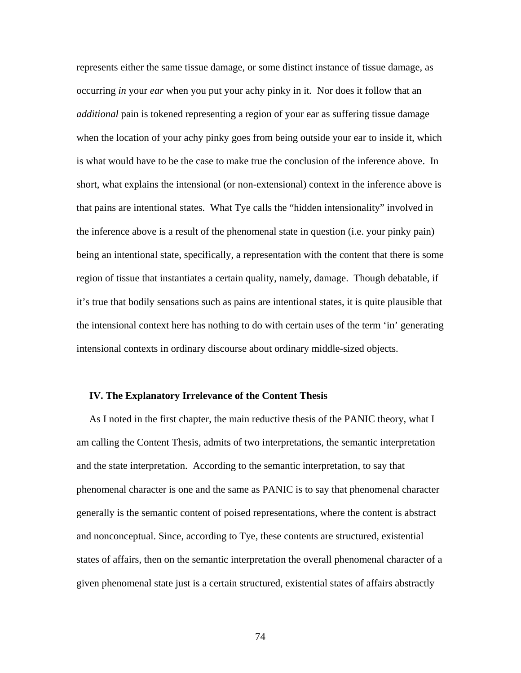represents either the same tissue damage, or some distinct instance of tissue damage, as occurring *in* your *ear* when you put your achy pinky in it. Nor does it follow that an *additional* pain is tokened representing a region of your ear as suffering tissue damage when the location of your achy pinky goes from being outside your ear to inside it, which is what would have to be the case to make true the conclusion of the inference above. In short, what explains the intensional (or non-extensional) context in the inference above is that pains are intentional states. What Tye calls the "hidden intensionality" involved in the inference above is a result of the phenomenal state in question (i.e. your pinky pain) being an intentional state, specifically, a representation with the content that there is some region of tissue that instantiates a certain quality, namely, damage. Though debatable, if it's true that bodily sensations such as pains are intentional states, it is quite plausible that the intensional context here has nothing to do with certain uses of the term 'in' generating intensional contexts in ordinary discourse about ordinary middle-sized objects.

## **IV. The Explanatory Irrelevance of the Content Thesis**

 As I noted in the first chapter, the main reductive thesis of the PANIC theory, what I am calling the Content Thesis, admits of two interpretations, the semantic interpretation and the state interpretation. According to the semantic interpretation, to say that phenomenal character is one and the same as PANIC is to say that phenomenal character generally is the semantic content of poised representations, where the content is abstract and nonconceptual. Since, according to Tye, these contents are structured, existential states of affairs, then on the semantic interpretation the overall phenomenal character of a given phenomenal state just is a certain structured, existential states of affairs abstractly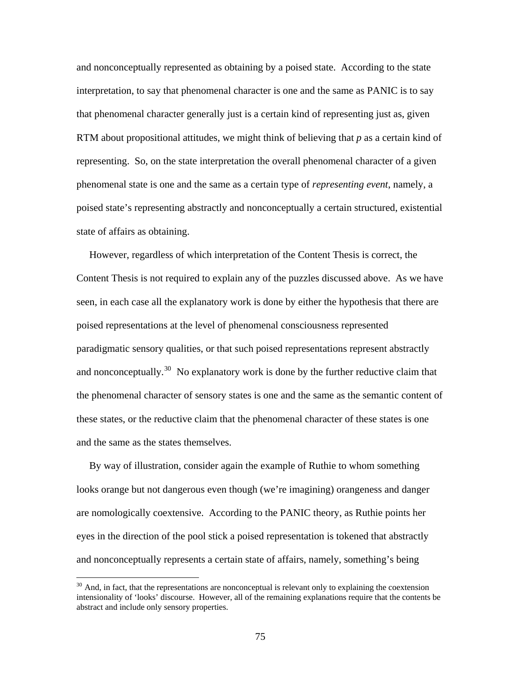and nonconceptually represented as obtaining by a poised state. According to the state interpretation, to say that phenomenal character is one and the same as PANIC is to say that phenomenal character generally just is a certain kind of representing just as, given RTM about propositional attitudes, we might think of believing that *p* as a certain kind of representing. So, on the state interpretation the overall phenomenal character of a given phenomenal state is one and the same as a certain type of *representing event*, namely, a poised state's representing abstractly and nonconceptually a certain structured, existential state of affairs as obtaining.

 However, regardless of which interpretation of the Content Thesis is correct, the Content Thesis is not required to explain any of the puzzles discussed above. As we have seen, in each case all the explanatory work is done by either the hypothesis that there are poised representations at the level of phenomenal consciousness represented paradigmatic sensory qualities, or that such poised representations represent abstractly and nonconceptually.<sup>[30](#page-79-0)</sup> No explanatory work is done by the further reductive claim that the phenomenal character of sensory states is one and the same as the semantic content of these states, or the reductive claim that the phenomenal character of these states is one and the same as the states themselves.

 By way of illustration, consider again the example of Ruthie to whom something looks orange but not dangerous even though (we're imagining) orangeness and danger are nomologically coextensive. According to the PANIC theory, as Ruthie points her eyes in the direction of the pool stick a poised representation is tokened that abstractly and nonconceptually represents a certain state of affairs, namely, something's being

<span id="page-79-0"></span><sup>&</sup>lt;sup>30</sup> And, in fact, that the representations are nonconceptual is relevant only to explaining the coextension intensionality of 'looks' discourse. However, all of the remaining explanations require that the contents be abstract and include only sensory properties.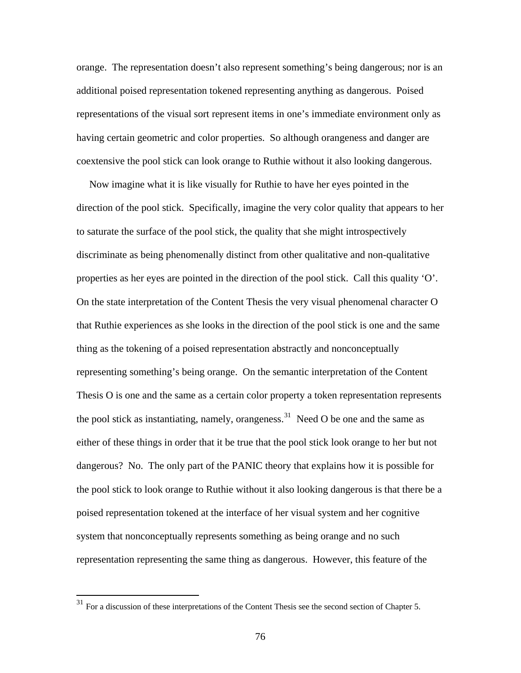orange. The representation doesn't also represent something's being dangerous; nor is an additional poised representation tokened representing anything as dangerous. Poised representations of the visual sort represent items in one's immediate environment only as having certain geometric and color properties. So although orangeness and danger are coextensive the pool stick can look orange to Ruthie without it also looking dangerous.

 Now imagine what it is like visually for Ruthie to have her eyes pointed in the direction of the pool stick. Specifically, imagine the very color quality that appears to her to saturate the surface of the pool stick, the quality that she might introspectively discriminate as being phenomenally distinct from other qualitative and non-qualitative properties as her eyes are pointed in the direction of the pool stick. Call this quality 'O'. On the state interpretation of the Content Thesis the very visual phenomenal character O that Ruthie experiences as she looks in the direction of the pool stick is one and the same thing as the tokening of a poised representation abstractly and nonconceptually representing something's being orange. On the semantic interpretation of the Content Thesis O is one and the same as a certain color property a token representation represents the pool stick as instantiating, namely, orangeness.<sup>[31](#page-80-0)</sup> Need O be one and the same as either of these things in order that it be true that the pool stick look orange to her but not dangerous? No. The only part of the PANIC theory that explains how it is possible for the pool stick to look orange to Ruthie without it also looking dangerous is that there be a poised representation tokened at the interface of her visual system and her cognitive system that nonconceptually represents something as being orange and no such representation representing the same thing as dangerous. However, this feature of the

<span id="page-80-0"></span> $31$  For a discussion of these interpretations of the Content Thesis see the second section of Chapter 5.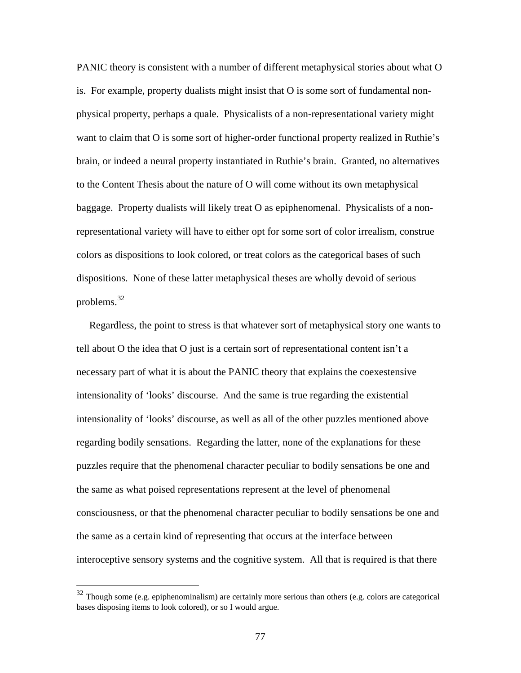PANIC theory is consistent with a number of different metaphysical stories about what O is. For example, property dualists might insist that O is some sort of fundamental nonphysical property, perhaps a quale. Physicalists of a non-representational variety might want to claim that O is some sort of higher-order functional property realized in Ruthie's brain, or indeed a neural property instantiated in Ruthie's brain. Granted, no alternatives to the Content Thesis about the nature of O will come without its own metaphysical baggage. Property dualists will likely treat O as epiphenomenal. Physicalists of a nonrepresentational variety will have to either opt for some sort of color irrealism, construe colors as dispositions to look colored, or treat colors as the categorical bases of such dispositions. None of these latter metaphysical theses are wholly devoid of serious problems.[32](#page-81-0)

 Regardless, the point to stress is that whatever sort of metaphysical story one wants to tell about O the idea that O just is a certain sort of representational content isn't a necessary part of what it is about the PANIC theory that explains the coexestensive intensionality of 'looks' discourse. And the same is true regarding the existential intensionality of 'looks' discourse, as well as all of the other puzzles mentioned above regarding bodily sensations. Regarding the latter, none of the explanations for these puzzles require that the phenomenal character peculiar to bodily sensations be one and the same as what poised representations represent at the level of phenomenal consciousness, or that the phenomenal character peculiar to bodily sensations be one and the same as a certain kind of representing that occurs at the interface between interoceptive sensory systems and the cognitive system. All that is required is that there

<span id="page-81-0"></span> $32$  Though some (e.g. epiphenominalism) are certainly more serious than others (e.g. colors are categorical bases disposing items to look colored), or so I would argue.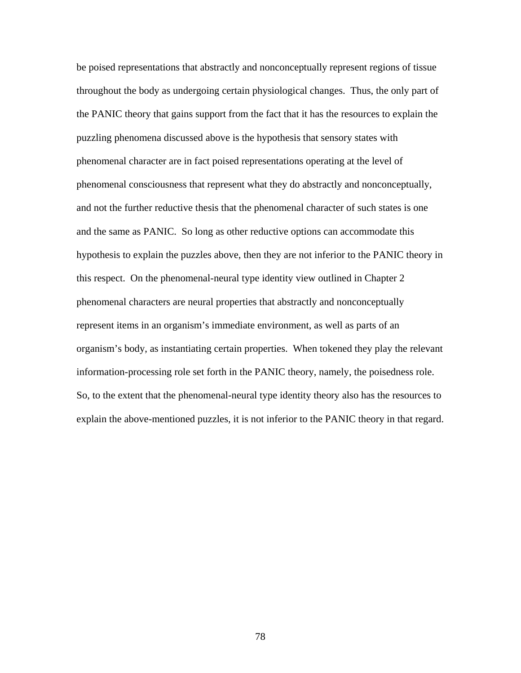be poised representations that abstractly and nonconceptually represent regions of tissue throughout the body as undergoing certain physiological changes. Thus, the only part of the PANIC theory that gains support from the fact that it has the resources to explain the puzzling phenomena discussed above is the hypothesis that sensory states with phenomenal character are in fact poised representations operating at the level of phenomenal consciousness that represent what they do abstractly and nonconceptually, and not the further reductive thesis that the phenomenal character of such states is one and the same as PANIC. So long as other reductive options can accommodate this hypothesis to explain the puzzles above, then they are not inferior to the PANIC theory in this respect. On the phenomenal-neural type identity view outlined in Chapter 2 phenomenal characters are neural properties that abstractly and nonconceptually represent items in an organism's immediate environment, as well as parts of an organism's body, as instantiating certain properties. When tokened they play the relevant information-processing role set forth in the PANIC theory, namely, the poisedness role. So, to the extent that the phenomenal-neural type identity theory also has the resources to explain the above-mentioned puzzles, it is not inferior to the PANIC theory in that regard.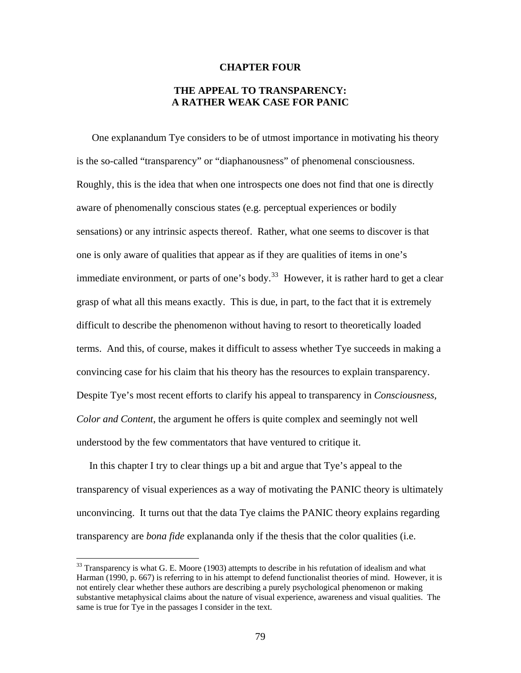#### **CHAPTER FOUR**

# **THE APPEAL TO TRANSPARENCY: A RATHER WEAK CASE FOR PANIC**

 One explanandum Tye considers to be of utmost importance in motivating his theory is the so-called "transparency" or "diaphanousness" of phenomenal consciousness. Roughly, this is the idea that when one introspects one does not find that one is directly aware of phenomenally conscious states (e.g. perceptual experiences or bodily sensations) or any intrinsic aspects thereof. Rather, what one seems to discover is that one is only aware of qualities that appear as if they are qualities of items in one's immediate environment, or parts of one's body.<sup>[33](#page-83-0)</sup> However, it is rather hard to get a clear grasp of what all this means exactly. This is due, in part, to the fact that it is extremely difficult to describe the phenomenon without having to resort to theoretically loaded terms. And this, of course, makes it difficult to assess whether Tye succeeds in making a convincing case for his claim that his theory has the resources to explain transparency. Despite Tye's most recent efforts to clarify his appeal to transparency in *Consciousness, Color and Content*, the argument he offers is quite complex and seemingly not well understood by the few commentators that have ventured to critique it.

 In this chapter I try to clear things up a bit and argue that Tye's appeal to the transparency of visual experiences as a way of motivating the PANIC theory is ultimately unconvincing. It turns out that the data Tye claims the PANIC theory explains regarding transparency are *bona fide* explananda only if the thesis that the color qualities (i.e.

<span id="page-83-0"></span><sup>&</sup>lt;sup>33</sup> Transparency is what G. E. Moore (1903) attempts to describe in his refutation of idealism and what Harman (1990, p. 667) is referring to in his attempt to defend functionalist theories of mind. However, it is not entirely clear whether these authors are describing a purely psychological phenomenon or making substantive metaphysical claims about the nature of visual experience, awareness and visual qualities. The same is true for Tye in the passages I consider in the text.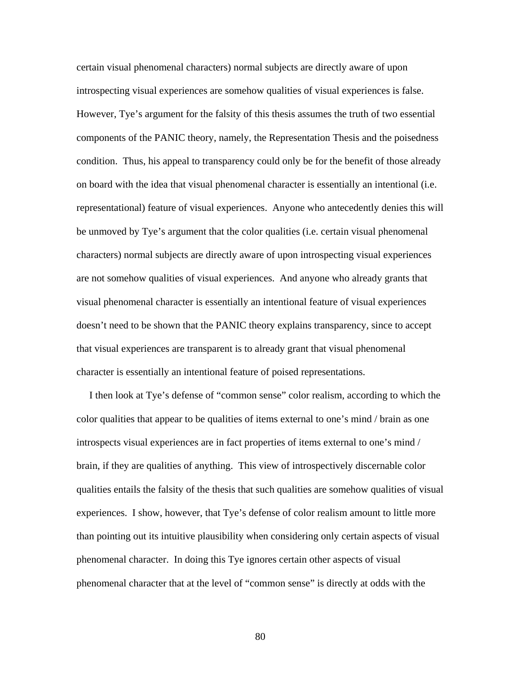certain visual phenomenal characters) normal subjects are directly aware of upon introspecting visual experiences are somehow qualities of visual experiences is false. However, Tye's argument for the falsity of this thesis assumes the truth of two essential components of the PANIC theory, namely, the Representation Thesis and the poisedness condition. Thus, his appeal to transparency could only be for the benefit of those already on board with the idea that visual phenomenal character is essentially an intentional (i.e. representational) feature of visual experiences. Anyone who antecedently denies this will be unmoved by Tye's argument that the color qualities (i.e. certain visual phenomenal characters) normal subjects are directly aware of upon introspecting visual experiences are not somehow qualities of visual experiences. And anyone who already grants that visual phenomenal character is essentially an intentional feature of visual experiences doesn't need to be shown that the PANIC theory explains transparency, since to accept that visual experiences are transparent is to already grant that visual phenomenal character is essentially an intentional feature of poised representations.

 I then look at Tye's defense of "common sense" color realism, according to which the color qualities that appear to be qualities of items external to one's mind / brain as one introspects visual experiences are in fact properties of items external to one's mind / brain, if they are qualities of anything. This view of introspectively discernable color qualities entails the falsity of the thesis that such qualities are somehow qualities of visual experiences. I show, however, that Tye's defense of color realism amount to little more than pointing out its intuitive plausibility when considering only certain aspects of visual phenomenal character. In doing this Tye ignores certain other aspects of visual phenomenal character that at the level of "common sense" is directly at odds with the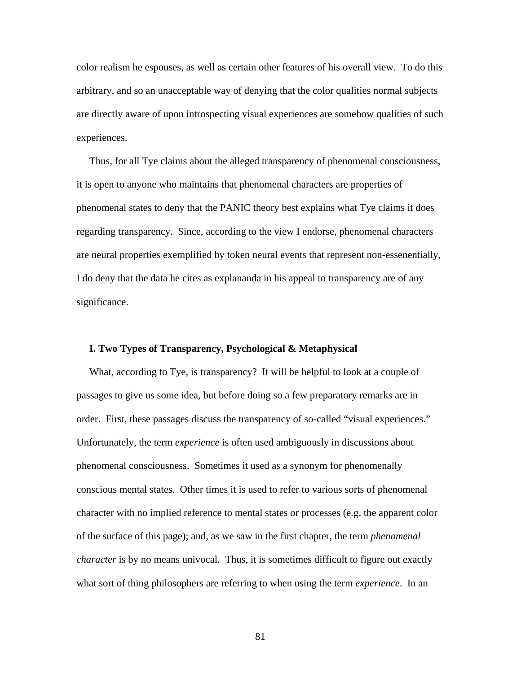color realism he espouses, as well as certain other features of his overall view. To do this arbitrary, and so an unacceptable way of denying that the color qualities normal subjects are directly aware of upon introspecting visual experiences are somehow qualities of such experiences.

 Thus, for all Tye claims about the alleged transparency of phenomenal consciousness, it is open to anyone who maintains that phenomenal characters are properties of phenomenal states to deny that the PANIC theory best explains what Tye claims it does regarding transparency. Since, according to the view I endorse, phenomenal characters are neural properties exemplified by token neural events that represent non-essenentially, I do deny that the data he cites as explananda in his appeal to transparency are of any significance.

# **I. Two Types of Transparency, Psychological & Metaphysical**

 What, according to Tye, is transparency? It will be helpful to look at a couple of passages to give us some idea, but before doing so a few preparatory remarks are in order. First, these passages discuss the transparency of so-called "visual experiences." Unfortunately, the term *experience* is often used ambiguously in discussions about phenomenal consciousness. Sometimes it used as a synonym for phenomenally conscious mental states. Other times it is used to refer to various sorts of phenomenal character with no implied reference to mental states or processes (e.g. the apparent color of the surface of this page); and, as we saw in the first chapter, the term *phenomenal character* is by no means univocal. Thus, it is sometimes difficult to figure out exactly what sort of thing philosophers are referring to when using the term *experience*. In an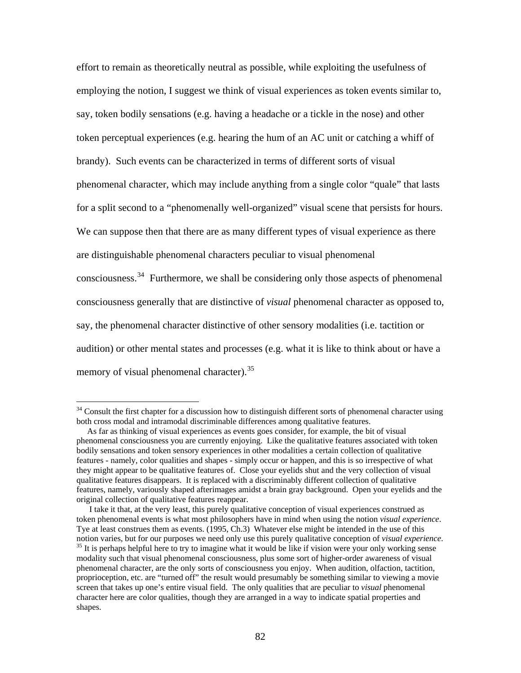effort to remain as theoretically neutral as possible, while exploiting the usefulness of employing the notion, I suggest we think of visual experiences as token events similar to, say, token bodily sensations (e.g. having a headache or a tickle in the nose) and other token perceptual experiences (e.g. hearing the hum of an AC unit or catching a whiff of brandy). Such events can be characterized in terms of different sorts of visual phenomenal character, which may include anything from a single color "quale" that lasts for a split second to a "phenomenally well-organized" visual scene that persists for hours. We can suppose then that there are as many different types of visual experience as there are distinguishable phenomenal characters peculiar to visual phenomenal consciousness.[34](#page-86-0) Furthermore, we shall be considering only those aspects of phenomenal consciousness generally that are distinctive of *visual* phenomenal character as opposed to, say, the phenomenal character distinctive of other sensory modalities (i.e. tactition or audition) or other mental states and processes (e.g. what it is like to think about or have a memory of visual phenomenal character).<sup>[35](#page-86-1)</sup>

<span id="page-86-0"></span> $34$  Consult the first chapter for a discussion how to distinguish different sorts of phenomenal character using both cross modal and intramodal discriminable differences among qualitative features.

As far as thinking of visual experiences as events goes consider, for example, the bit of visual phenomenal consciousness you are currently enjoying. Like the qualitative features associated with token bodily sensations and token sensory experiences in other modalities a certain collection of qualitative features - namely, color qualities and shapes - simply occur or happen, and this is so irrespective of what they might appear to be qualitative features of. Close your eyelids shut and the very collection of visual qualitative features disappears. It is replaced with a discriminably different collection of qualitative features, namely, variously shaped afterimages amidst a brain gray background. Open your eyelids and the original collection of qualitative features reappear.

<span id="page-86-1"></span>I take it that, at the very least, this purely qualitative conception of visual experiences construed as token phenomenal events is what most philosophers have in mind when using the notion *visual experience*. Tye at least construes them as events. (1995, Ch.3) Whatever else might be intended in the use of this notion varies, but for our purposes we need only use this purely qualitative conception of *visual experience*.<br><sup>35</sup> It is perhaps helpful here to try to imagine what it would be like if vision were your only working sense modality such that visual phenomenal consciousness, plus some sort of higher-order awareness of visual phenomenal character, are the only sorts of consciousness you enjoy. When audition, olfaction, tactition, proprioception, etc. are "turned off" the result would presumably be something similar to viewing a movie screen that takes up one's entire visual field. The only qualities that are peculiar to *visual* phenomenal character here are color qualities, though they are arranged in a way to indicate spatial properties and shapes.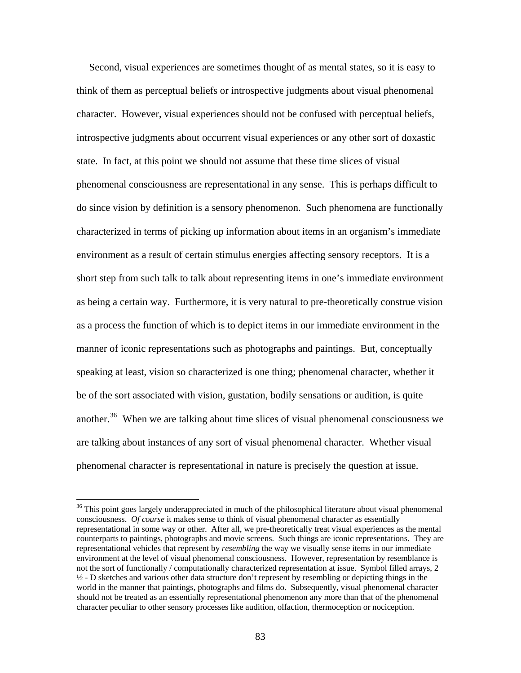Second, visual experiences are sometimes thought of as mental states, so it is easy to think of them as perceptual beliefs or introspective judgments about visual phenomenal character. However, visual experiences should not be confused with perceptual beliefs, introspective judgments about occurrent visual experiences or any other sort of doxastic state. In fact, at this point we should not assume that these time slices of visual phenomenal consciousness are representational in any sense. This is perhaps difficult to do since vision by definition is a sensory phenomenon. Such phenomena are functionally characterized in terms of picking up information about items in an organism's immediate environment as a result of certain stimulus energies affecting sensory receptors. It is a short step from such talk to talk about representing items in one's immediate environment as being a certain way. Furthermore, it is very natural to pre-theoretically construe vision as a process the function of which is to depict items in our immediate environment in the manner of iconic representations such as photographs and paintings. But, conceptually speaking at least, vision so characterized is one thing; phenomenal character, whether it be of the sort associated with vision, gustation, bodily sensations or audition, is quite another.<sup>[36](#page-87-0)</sup> When we are talking about time slices of visual phenomenal consciousness we are talking about instances of any sort of visual phenomenal character. Whether visual phenomenal character is representational in nature is precisely the question at issue.

<span id="page-87-0"></span><sup>&</sup>lt;sup>36</sup> This point goes largely underappreciated in much of the philosophical literature about visual phenomenal consciousness. *Of course* it makes sense to think of visual phenomenal character as essentially representational in some way or other. After all, we pre-theoretically treat visual experiences as the mental counterparts to paintings, photographs and movie screens. Such things are iconic representations. They are representational vehicles that represent by *resembling* the way we visually sense items in our immediate environment at the level of visual phenomenal consciousness. However, representation by resemblance is not the sort of functionally / computationally characterized representation at issue. Symbol filled arrays, 2  $\frac{1}{2}$  - D sketches and various other data structure don't represent by resembling or depicting things in the world in the manner that paintings, photographs and films do. Subsequently, visual phenomenal character should not be treated as an essentially representational phenomenon any more than that of the phenomenal character peculiar to other sensory processes like audition, olfaction, thermoception or nociception.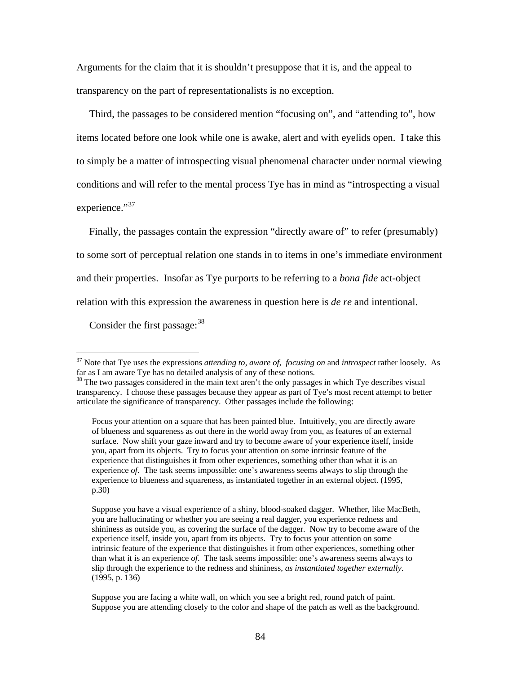Arguments for the claim that it is shouldn't presuppose that it is, and the appeal to transparency on the part of representationalists is no exception.

 Third, the passages to be considered mention "focusing on", and "attending to", how items located before one look while one is awake, alert and with eyelids open. I take this to simply be a matter of introspecting visual phenomenal character under normal viewing conditions and will refer to the mental process Tye has in mind as "introspecting a visual experience."<sup>[37](#page-88-0)</sup>

 Finally, the passages contain the expression "directly aware of" to refer (presumably) to some sort of perceptual relation one stands in to items in one's immediate environment and their properties. Insofar as Tye purports to be referring to a *bona fide* act-object relation with this expression the awareness in question here is *de re* and intentional.

Consider the first passage: <sup>[38](#page-88-1)</sup>

<span id="page-88-0"></span><sup>37</sup> Note that Tye uses the expressions *attending to*, *aware of*, *focusing on* and *introspect* rather loosely. As

<span id="page-88-1"></span> $38$  The two passages considered in the main text aren't the only passages in which Tye describes visual transparency. I choose these passages because they appear as part of Tye's most recent attempt to better articulate the significance of transparency. Other passages include the following:

Focus your attention on a square that has been painted blue. Intuitively, you are directly aware of blueness and squareness as out there in the world away from you, as features of an external surface. Now shift your gaze inward and try to become aware of your experience itself, inside you, apart from its objects. Try to focus your attention on some intrinsic feature of the experience that distinguishes it from other experiences, something other than what it is an experience *of*. The task seems impossible: one's awareness seems always to slip through the experience to blueness and squareness, as instantiated together in an external object. (1995, p.30)

Suppose you have a visual experience of a shiny, blood-soaked dagger. Whether, like MacBeth, you are hallucinating or whether you are seeing a real dagger, you experience redness and shininess as outside you, as covering the surface of the dagger. Now try to become aware of the experience itself, inside you, apart from its objects. Try to focus your attention on some intrinsic feature of the experience that distinguishes it from other experiences, something other than what it is an experience *of*. The task seems impossible: one's awareness seems always to slip through the experience to the redness and shininess, *as instantiated together externally*. (1995, p. 136)

Suppose you are facing a white wall, on which you see a bright red, round patch of paint. Suppose you are attending closely to the color and shape of the patch as well as the background.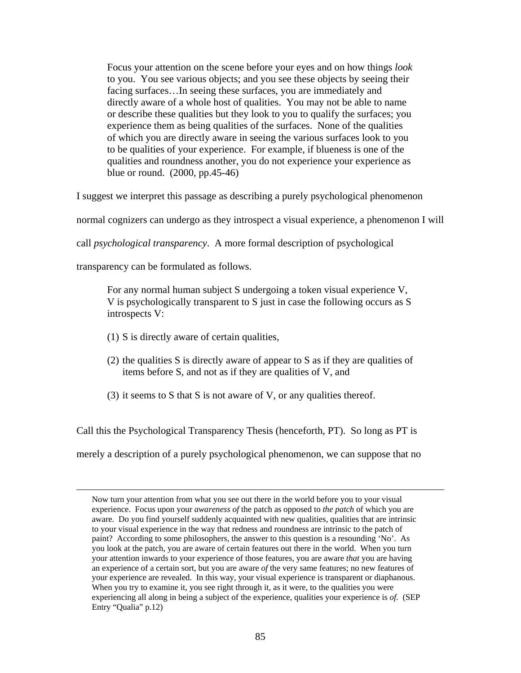Focus your attention on the scene before your eyes and on how things *look*  to you. You see various objects; and you see these objects by seeing their facing surfaces…In seeing these surfaces, you are immediately and directly aware of a whole host of qualities. You may not be able to name or describe these qualities but they look to you to qualify the surfaces; you experience them as being qualities of the surfaces. None of the qualities of which you are directly aware in seeing the various surfaces look to you to be qualities of your experience. For example, if blueness is one of the qualities and roundness another, you do not experience your experience as blue or round. (2000, pp.45-46)

I suggest we interpret this passage as describing a purely psychological phenomenon

normal cognizers can undergo as they introspect a visual experience, a phenomenon I will

call *psychological transparency*. A more formal description of psychological

transparency can be formulated as follows.

For any normal human subject S undergoing a token visual experience V, V is psychologically transparent to S just in case the following occurs as S introspects V:

- (1) S is directly aware of certain qualities,
- (2) the qualities S is directly aware of appear to S as if they are qualities of items before S, and not as if they are qualities of V, and
- (3) it seems to  $S$  that  $S$  is not aware of  $V$ , or any qualities thereof.

Call this the Psychological Transparency Thesis (henceforth, PT). So long as PT is

merely a description of a purely psychological phenomenon, we can suppose that no

Now turn your attention from what you see out there in the world before you to your visual experience. Focus upon your *awareness of* the patch as opposed to *the patch* of which you are aware. Do you find yourself suddenly acquainted with new qualities, qualities that are intrinsic to your visual experience in the way that redness and roundness are intrinsic to the patch of paint? According to some philosophers, the answer to this question is a resounding 'No'. As you look at the patch, you are aware of certain features out there in the world. When you turn your attention inwards to your experience of those features, you are aware *that* you are having an experience of a certain sort, but you are aware *of* the very same features; no new features of your experience are revealed. In this way, your visual experience is transparent or diaphanous. When you try to examine it, you see right through it, as it were, to the qualities you were experiencing all along in being a subject of the experience, qualities your experience is *of*. (SEP Entry "Qualia" p.12)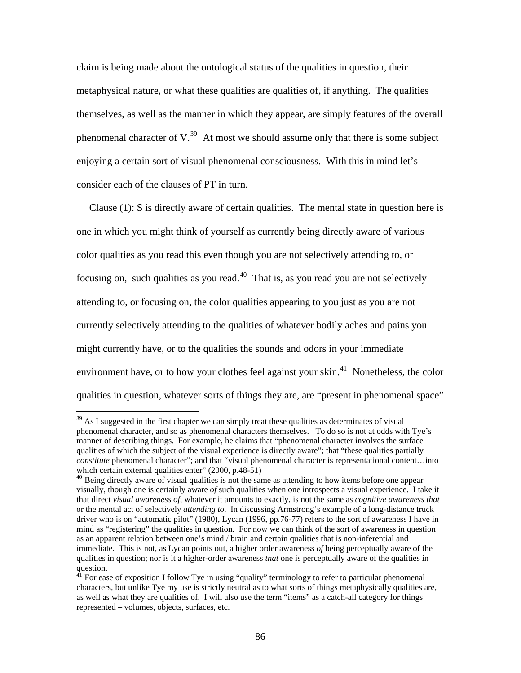claim is being made about the ontological status of the qualities in question, their metaphysical nature, or what these qualities are qualities of, if anything. The qualities themselves, as well as the manner in which they appear, are simply features of the overall phenomenal character of  $V<sup>39</sup>$  $V<sup>39</sup>$  $V<sup>39</sup>$ . At most we should assume only that there is some subject enjoying a certain sort of visual phenomenal consciousness. With this in mind let's consider each of the clauses of PT in turn.

 Clause (1): S is directly aware of certain qualities. The mental state in question here is one in which you might think of yourself as currently being directly aware of various color qualities as you read this even though you are not selectively attending to, or focusing on, such qualities as you read.<sup>[40](#page-90-1)</sup> That is, as you read you are not selectively attending to, or focusing on, the color qualities appearing to you just as you are not currently selectively attending to the qualities of whatever bodily aches and pains you might currently have, or to the qualities the sounds and odors in your immediate environment have, or to how your clothes feel against your skin.<sup>[41](#page-90-2)</sup> Nonetheless, the color qualities in question, whatever sorts of things they are, are "present in phenomenal space"

<span id="page-90-0"></span> $39$  As I suggested in the first chapter we can simply treat these qualities as determinates of visual phenomenal character, and so as phenomenal characters themselves. To do so is not at odds with Tye's manner of describing things. For example, he claims that "phenomenal character involves the surface qualities of which the subject of the visual experience is directly aware"; that "these qualities partially *constitute* phenomenal character"; and that "visual phenomenal character is representational content…into which certain external qualities enter" (2000, p.48-51)

<span id="page-90-1"></span><sup>&</sup>lt;sup>40</sup> Being directly aware of visual qualities is not the same as attending to how items before one appear visually, though one is certainly aware *of* such qualities when one introspects a visual experience. I take it that direct *visual awareness of*, whatever it amounts to exactly, is not the same as *cognitive awareness that*  or the mental act of selectively *attending to*. In discussing Armstrong's example of a long-distance truck driver who is on "automatic pilot" (1980), Lycan (1996, pp.76-77) refers to the sort of awareness I have in mind as "registering" the qualities in question. For now we can think of the sort of awareness in question as an apparent relation between one's mind / brain and certain qualities that is non-inferential and immediate. This is not, as Lycan points out, a higher order awareness *of* being perceptually aware of the qualities in question; nor is it a higher-order awareness *that* one is perceptually aware of the qualities in question.<br><sup>41</sup> For ease of exposition I follow Tye in using "quality" terminology to refer to particular phenomenal

<span id="page-90-2"></span>characters, but unlike Tye my use is strictly neutral as to what sorts of things metaphysically qualities are, as well as what they are qualities of. I will also use the term "items" as a catch-all category for things represented – volumes, objects, surfaces, etc.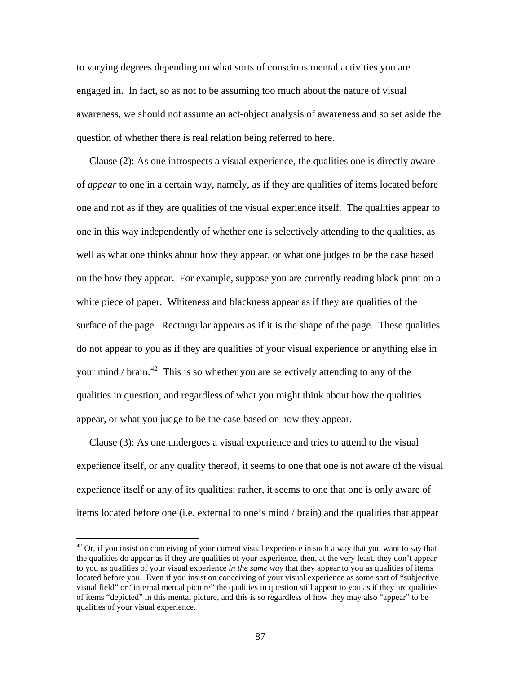to varying degrees depending on what sorts of conscious mental activities you are engaged in. In fact, so as not to be assuming too much about the nature of visual awareness, we should not assume an act-object analysis of awareness and so set aside the question of whether there is real relation being referred to here.

 Clause (2): As one introspects a visual experience, the qualities one is directly aware of *appear* to one in a certain way, namely, as if they are qualities of items located before one and not as if they are qualities of the visual experience itself. The qualities appear to one in this way independently of whether one is selectively attending to the qualities, as well as what one thinks about how they appear, or what one judges to be the case based on the how they appear. For example, suppose you are currently reading black print on a white piece of paper. Whiteness and blackness appear as if they are qualities of the surface of the page. Rectangular appears as if it is the shape of the page. These qualities do not appear to you as if they are qualities of your visual experience or anything else in your mind / brain.<sup>[42](#page-91-0)</sup> This is so whether you are selectively attending to any of the qualities in question, and regardless of what you might think about how the qualities appear, or what you judge to be the case based on how they appear.

 Clause (3): As one undergoes a visual experience and tries to attend to the visual experience itself, or any quality thereof, it seems to one that one is not aware of the visual experience itself or any of its qualities; rather, it seems to one that one is only aware of items located before one (i.e. external to one's mind / brain) and the qualities that appear

<span id="page-91-0"></span> $42$  Or, if you insist on conceiving of your current visual experience in such a way that you want to say that the qualities do appear as if they are qualities of your experience, then, at the very least, they don't appear to you as qualities of your visual experience *in the same way* that they appear to you as qualities of items located before you. Even if you insist on conceiving of your visual experience as some sort of "subjective visual field" or "internal mental picture" the qualities in question still appear to you as if they are qualities of items "depicted" in this mental picture, and this is so regardless of how they may also "appear" to be qualities of your visual experience.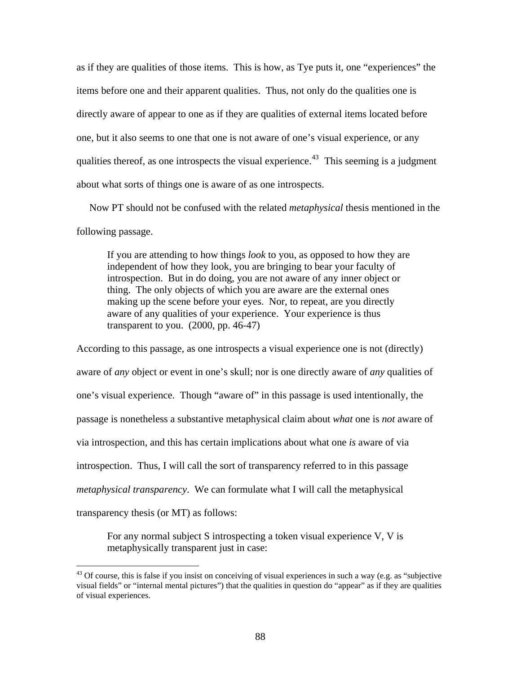as if they are qualities of those items. This is how, as Tye puts it, one "experiences" the items before one and their apparent qualities. Thus, not only do the qualities one is directly aware of appear to one as if they are qualities of external items located before one, but it also seems to one that one is not aware of one's visual experience, or any qualities thereof, as one introspects the visual experience.<sup>[43](#page-92-0)</sup> This seeming is a judgment about what sorts of things one is aware of as one introspects.

 Now PT should not be confused with the related *metaphysical* thesis mentioned in the following passage.

If you are attending to how things *look* to you, as opposed to how they are independent of how they look, you are bringing to bear your faculty of introspection. But in do doing, you are not aware of any inner object or thing. The only objects of which you are aware are the external ones making up the scene before your eyes. Nor, to repeat, are you directly aware of any qualities of your experience. Your experience is thus transparent to you.  $(2000, pp. 46-47)$ 

According to this passage, as one introspects a visual experience one is not (directly) aware of *any* object or event in one's skull; nor is one directly aware of *any* qualities of one's visual experience. Though "aware of" in this passage is used intentionally, the passage is nonetheless a substantive metaphysical claim about *what* one is *not* aware of via introspection, and this has certain implications about what one *is* aware of via introspection. Thus, I will call the sort of transparency referred to in this passage *metaphysical transparency*.We can formulate what I will call the metaphysical transparency thesis (or MT) as follows:

For any normal subject S introspecting a token visual experience V, V is metaphysically transparent just in case:

<span id="page-92-0"></span> $43$  Of course, this is false if you insist on conceiving of visual experiences in such a way (e.g. as "subjective visual fields" or "internal mental pictures") that the qualities in question do "appear" as if they are qualities of visual experiences.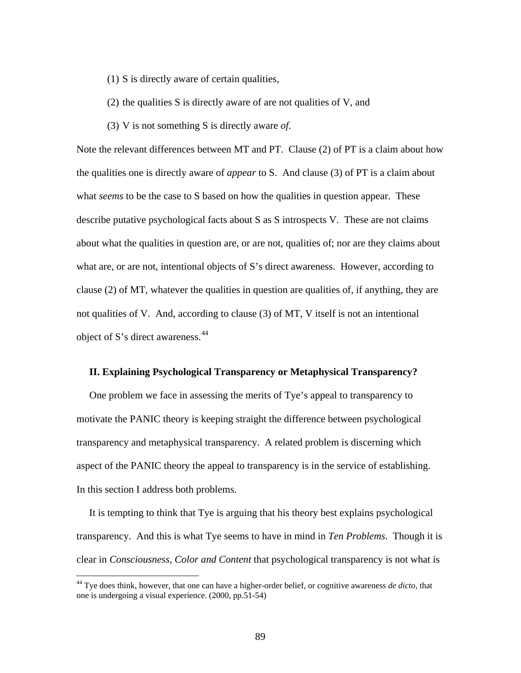- (1) S is directly aware of certain qualities,
- (2) the qualities S is directly aware of are not qualities of V, and
- (3) V is not something S is directly aware *of*.

Note the relevant differences between MT and PT. Clause (2) of PT is a claim about how the qualities one is directly aware of *appear* to S. And clause (3) of PT is a claim about what *seems* to be the case to S based on how the qualities in question appear. These describe putative psychological facts about S as S introspects V. These are not claims about what the qualities in question are, or are not, qualities of; nor are they claims about what are, or are not, intentional objects of S's direct awareness. However, according to clause (2) of MT, whatever the qualities in question are qualities of, if anything, they are not qualities of V. And, according to clause (3) of MT, V itself is not an intentional object of S's direct awareness.<sup>[44](#page-93-0)</sup>

#### **II. Explaining Psychological Transparency or Metaphysical Transparency?**

 One problem we face in assessing the merits of Tye's appeal to transparency to motivate the PANIC theory is keeping straight the difference between psychological transparency and metaphysical transparency. A related problem is discerning which aspect of the PANIC theory the appeal to transparency is in the service of establishing. In this section I address both problems.

 It is tempting to think that Tye is arguing that his theory best explains psychological transparency. And this is what Tye seems to have in mind in *Ten Problems*. Though it is clear in *Consciousness, Color and Content* that psychological transparency is not what is

<span id="page-93-0"></span><sup>44</sup> Tye does think, however, that one can have a higher-order belief, or cognitive awareness *de dicto*, that one is undergoing a visual experience. (2000, pp.51-54)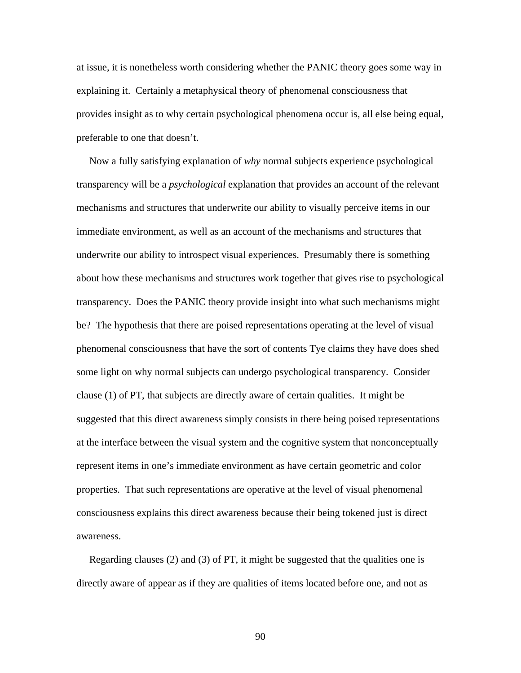at issue, it is nonetheless worth considering whether the PANIC theory goes some way in explaining it. Certainly a metaphysical theory of phenomenal consciousness that provides insight as to why certain psychological phenomena occur is, all else being equal, preferable to one that doesn't.

 Now a fully satisfying explanation of *why* normal subjects experience psychological transparency will be a *psychological* explanation that provides an account of the relevant mechanisms and structures that underwrite our ability to visually perceive items in our immediate environment, as well as an account of the mechanisms and structures that underwrite our ability to introspect visual experiences. Presumably there is something about how these mechanisms and structures work together that gives rise to psychological transparency. Does the PANIC theory provide insight into what such mechanisms might be? The hypothesis that there are poised representations operating at the level of visual phenomenal consciousness that have the sort of contents Tye claims they have does shed some light on why normal subjects can undergo psychological transparency. Consider clause (1) of PT, that subjects are directly aware of certain qualities. It might be suggested that this direct awareness simply consists in there being poised representations at the interface between the visual system and the cognitive system that nonconceptually represent items in one's immediate environment as have certain geometric and color properties. That such representations are operative at the level of visual phenomenal consciousness explains this direct awareness because their being tokened just is direct awareness.

 Regarding clauses (2) and (3) of PT, it might be suggested that the qualities one is directly aware of appear as if they are qualities of items located before one, and not as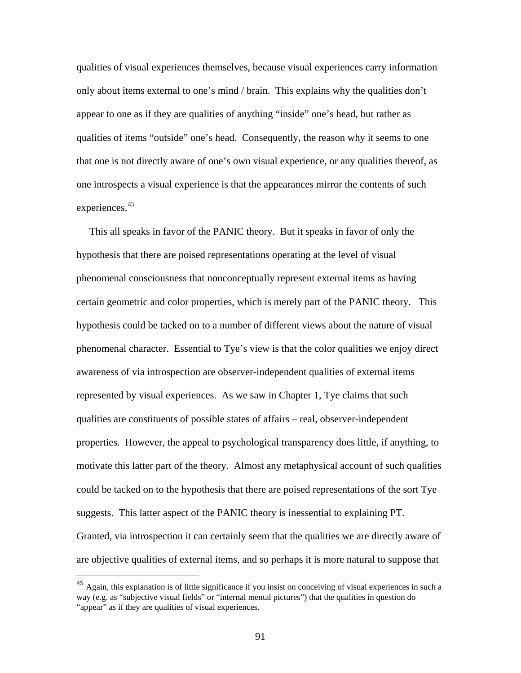qualities of visual experiences themselves, because visual experiences carry information only about items external to one's mind / brain. This explains why the qualities don't appear to one as if they are qualities of anything "inside" one's head, but rather as qualities of items "outside" one's head. Consequently, the reason why it seems to one that one is not directly aware of one's own visual experience, or any qualities thereof, as one introspects a visual experience is that the appearances mirror the contents of such experiences.<sup>[45](#page-95-0)</sup>

 This all speaks in favor of the PANIC theory. But it speaks in favor of only the hypothesis that there are poised representations operating at the level of visual phenomenal consciousness that nonconceptually represent external items as having certain geometric and color properties, which is merely part of the PANIC theory. This hypothesis could be tacked on to a number of different views about the nature of visual phenomenal character. Essential to Tye's view is that the color qualities we enjoy direct awareness of via introspection are observer-independent qualities of external items represented by visual experiences. As we saw in Chapter 1, Tye claims that such qualities are constituents of possible states of affairs – real, observer-independent properties. However, the appeal to psychological transparency does little, if anything, to motivate this latter part of the theory. Almost any metaphysical account of such qualities could be tacked on to the hypothesis that there are poised representations of the sort Tye suggests. This latter aspect of the PANIC theory is inessential to explaining PT. Granted, via introspection it can certainly seem that the qualities we are directly aware of are objective qualities of external items, and so perhaps it is more natural to suppose that

<span id="page-95-0"></span> $^{45}$  Again, this explanation is of little significance if you insist on conceiving of visual experiences in such a way (e.g. as "subjective visual fields" or "internal mental pictures") that the qualities in question do "appear" as if they are qualities of visual experiences.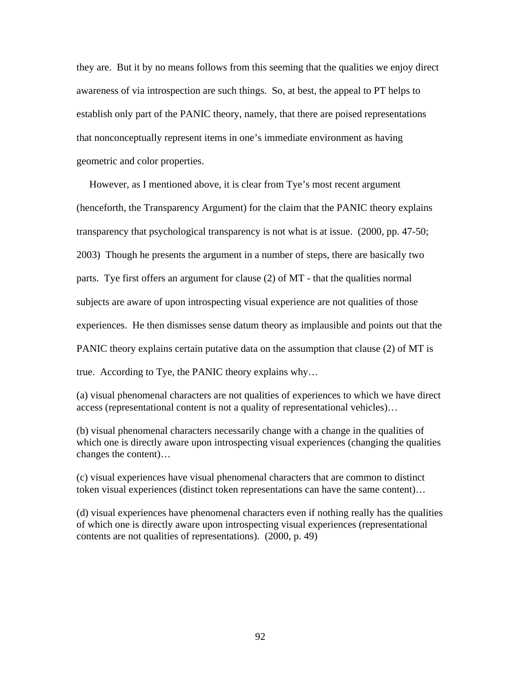they are. But it by no means follows from this seeming that the qualities we enjoy direct awareness of via introspection are such things. So, at best, the appeal to PT helps to establish only part of the PANIC theory, namely, that there are poised representations that nonconceptually represent items in one's immediate environment as having geometric and color properties.

 However, as I mentioned above, it is clear from Tye's most recent argument (henceforth, the Transparency Argument) for the claim that the PANIC theory explains transparency that psychological transparency is not what is at issue. (2000, pp. 47-50; 2003) Though he presents the argument in a number of steps, there are basically two parts. Tye first offers an argument for clause (2) of MT - that the qualities normal subjects are aware of upon introspecting visual experience are not qualities of those experiences. He then dismisses sense datum theory as implausible and points out that the PANIC theory explains certain putative data on the assumption that clause (2) of MT is true. According to Tye, the PANIC theory explains why…

(a) visual phenomenal characters are not qualities of experiences to which we have direct access (representational content is not a quality of representational vehicles)…

(b) visual phenomenal characters necessarily change with a change in the qualities of which one is directly aware upon introspecting visual experiences (changing the qualities changes the content)…

(c) visual experiences have visual phenomenal characters that are common to distinct token visual experiences (distinct token representations can have the same content)…

(d) visual experiences have phenomenal characters even if nothing really has the qualities of which one is directly aware upon introspecting visual experiences (representational contents are not qualities of representations). (2000, p. 49)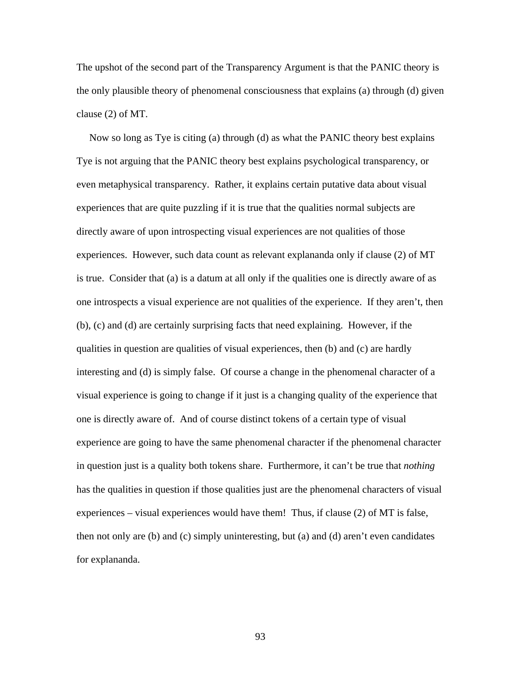The upshot of the second part of the Transparency Argument is that the PANIC theory is the only plausible theory of phenomenal consciousness that explains (a) through (d) given clause (2) of MT.

 Now so long as Tye is citing (a) through (d) as what the PANIC theory best explains Tye is not arguing that the PANIC theory best explains psychological transparency, or even metaphysical transparency. Rather, it explains certain putative data about visual experiences that are quite puzzling if it is true that the qualities normal subjects are directly aware of upon introspecting visual experiences are not qualities of those experiences. However, such data count as relevant explananda only if clause (2) of MT is true. Consider that (a) is a datum at all only if the qualities one is directly aware of as one introspects a visual experience are not qualities of the experience. If they aren't, then (b), (c) and (d) are certainly surprising facts that need explaining. However, if the qualities in question are qualities of visual experiences, then (b) and (c) are hardly interesting and (d) is simply false. Of course a change in the phenomenal character of a visual experience is going to change if it just is a changing quality of the experience that one is directly aware of. And of course distinct tokens of a certain type of visual experience are going to have the same phenomenal character if the phenomenal character in question just is a quality both tokens share. Furthermore, it can't be true that *nothing* has the qualities in question if those qualities just are the phenomenal characters of visual experiences – visual experiences would have them! Thus, if clause (2) of MT is false, then not only are (b) and (c) simply uninteresting, but (a) and (d) aren't even candidates for explananda.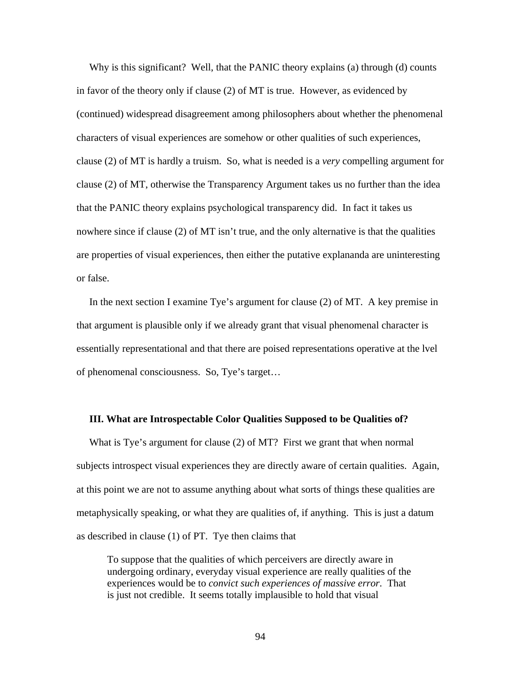Why is this significant? Well, that the PANIC theory explains (a) through (d) counts in favor of the theory only if clause (2) of MT is true. However, as evidenced by (continued) widespread disagreement among philosophers about whether the phenomenal characters of visual experiences are somehow or other qualities of such experiences, clause (2) of MT is hardly a truism. So, what is needed is a *very* compelling argument for clause (2) of MT, otherwise the Transparency Argument takes us no further than the idea that the PANIC theory explains psychological transparency did. In fact it takes us nowhere since if clause (2) of MT isn't true, and the only alternative is that the qualities are properties of visual experiences, then either the putative explananda are uninteresting or false.

 In the next section I examine Tye's argument for clause (2) of MT. A key premise in that argument is plausible only if we already grant that visual phenomenal character is essentially representational and that there are poised representations operative at the lvel of phenomenal consciousness. So, Tye's target…

# **III. What are Introspectable Color Qualities Supposed to be Qualities of?**

 What is Tye's argument for clause (2) of MT? First we grant that when normal subjects introspect visual experiences they are directly aware of certain qualities. Again, at this point we are not to assume anything about what sorts of things these qualities are metaphysically speaking, or what they are qualities of, if anything. This is just a datum as described in clause (1) of PT. Tye then claims that

To suppose that the qualities of which perceivers are directly aware in undergoing ordinary, everyday visual experience are really qualities of the experiences would be to *convict such experiences of massive error*. That is just not credible. It seems totally implausible to hold that visual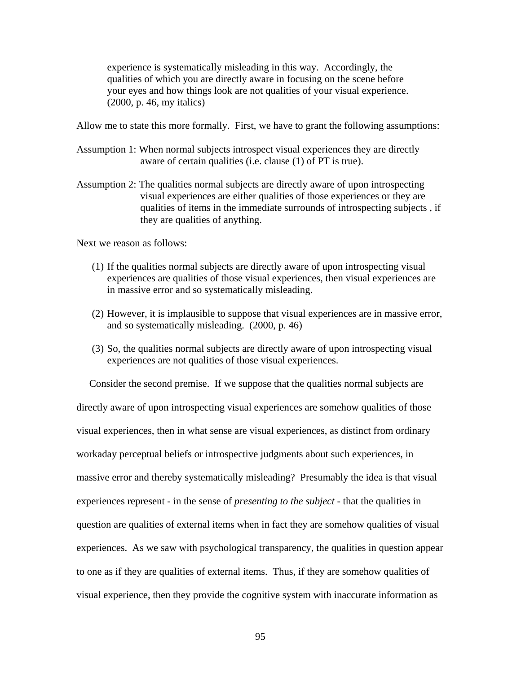experience is systematically misleading in this way. Accordingly, the qualities of which you are directly aware in focusing on the scene before your eyes and how things look are not qualities of your visual experience. (2000, p. 46, my italics)

Allow me to state this more formally. First, we have to grant the following assumptions:

- Assumption 1: When normal subjects introspect visual experiences they are directly aware of certain qualities (i.e. clause (1) of PT is true).
- Assumption 2: The qualities normal subjects are directly aware of upon introspecting visual experiences are either qualities of those experiences or they are qualities of items in the immediate surrounds of introspecting subjects , if they are qualities of anything.

Next we reason as follows:

- (1) If the qualities normal subjects are directly aware of upon introspecting visual experiences are qualities of those visual experiences, then visual experiences are in massive error and so systematically misleading.
- (2) However, it is implausible to suppose that visual experiences are in massive error, and so systematically misleading. (2000, p. 46)
- (3) So, the qualities normal subjects are directly aware of upon introspecting visual experiences are not qualities of those visual experiences.

 Consider the second premise. If we suppose that the qualities normal subjects are directly aware of upon introspecting visual experiences are somehow qualities of those visual experiences, then in what sense are visual experiences, as distinct from ordinary workaday perceptual beliefs or introspective judgments about such experiences, in massive error and thereby systematically misleading? Presumably the idea is that visual experiences represent - in the sense of *presenting to the subject* - that the qualities in question are qualities of external items when in fact they are somehow qualities of visual experiences. As we saw with psychological transparency, the qualities in question appear to one as if they are qualities of external items. Thus, if they are somehow qualities of visual experience, then they provide the cognitive system with inaccurate information as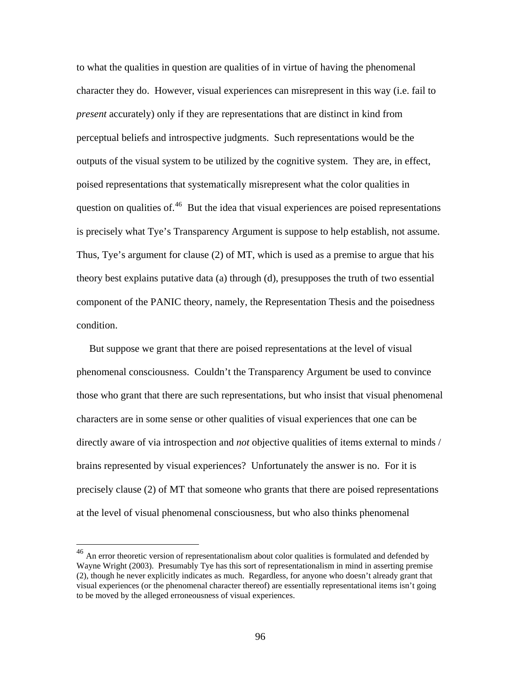to what the qualities in question are qualities of in virtue of having the phenomenal character they do. However, visual experiences can misrepresent in this way (i.e. fail to *present* accurately) only if they are representations that are distinct in kind from perceptual beliefs and introspective judgments. Such representations would be the outputs of the visual system to be utilized by the cognitive system. They are, in effect, poised representations that systematically misrepresent what the color qualities in question on qualities of. $46$  But the idea that visual experiences are poised representations is precisely what Tye's Transparency Argument is suppose to help establish, not assume. Thus, Tye's argument for clause (2) of MT, which is used as a premise to argue that his theory best explains putative data (a) through (d), presupposes the truth of two essential component of the PANIC theory, namely, the Representation Thesis and the poisedness condition.

 But suppose we grant that there are poised representations at the level of visual phenomenal consciousness. Couldn't the Transparency Argument be used to convince those who grant that there are such representations, but who insist that visual phenomenal characters are in some sense or other qualities of visual experiences that one can be directly aware of via introspection and *not* objective qualities of items external to minds / brains represented by visual experiences? Unfortunately the answer is no. For it is precisely clause (2) of MT that someone who grants that there are poised representations at the level of visual phenomenal consciousness, but who also thinks phenomenal

<span id="page-100-0"></span> $^{46}$  An error theoretic version of representationalism about color qualities is formulated and defended by Wayne Wright (2003). Presumably Tye has this sort of representationalism in mind in asserting premise (2), though he never explicitly indicates as much. Regardless, for anyone who doesn't already grant that visual experiences (or the phenomenal character thereof) are essentially representational items isn't going to be moved by the alleged erroneousness of visual experiences.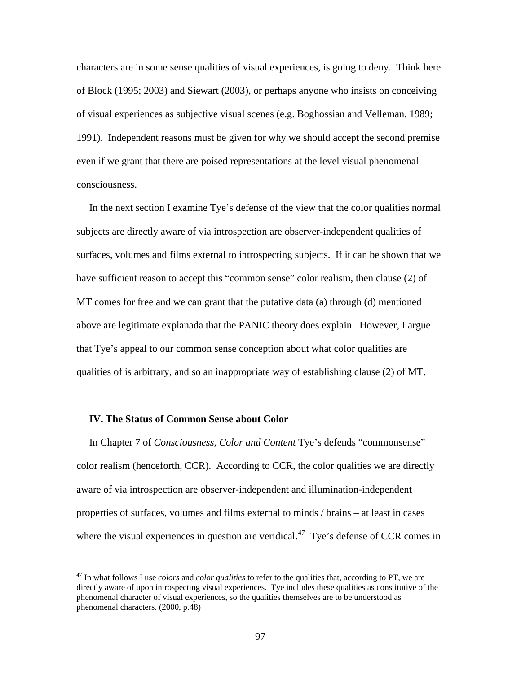characters are in some sense qualities of visual experiences, is going to deny. Think here of Block (1995; 2003) and Siewart (2003), or perhaps anyone who insists on conceiving of visual experiences as subjective visual scenes (e.g. Boghossian and Velleman, 1989; 1991). Independent reasons must be given for why we should accept the second premise even if we grant that there are poised representations at the level visual phenomenal consciousness.

 In the next section I examine Tye's defense of the view that the color qualities normal subjects are directly aware of via introspection are observer-independent qualities of surfaces, volumes and films external to introspecting subjects. If it can be shown that we have sufficient reason to accept this "common sense" color realism, then clause (2) of MT comes for free and we can grant that the putative data (a) through (d) mentioned above are legitimate explanada that the PANIC theory does explain. However, I argue that Tye's appeal to our common sense conception about what color qualities are qualities of is arbitrary, and so an inappropriate way of establishing clause (2) of MT.

# **IV. The Status of Common Sense about Color**

 $\overline{a}$ 

 In Chapter 7 of *Consciousness, Color and Content* Tye's defends "commonsense" color realism (henceforth, CCR). According to CCR, the color qualities we are directly aware of via introspection are observer-independent and illumination-independent properties of surfaces, volumes and films external to minds / brains – at least in cases where the visual experiences in question are veridical.<sup>[47](#page-101-0)</sup> Tye's defense of CCR comes in

<span id="page-101-0"></span><sup>47</sup> In what follows I use *colors* and *color qualities* to refer to the qualities that, according to PT, we are directly aware of upon introspecting visual experiences. Tye includes these qualities as constitutive of the phenomenal character of visual experiences, so the qualities themselves are to be understood as phenomenal characters. (2000, p.48)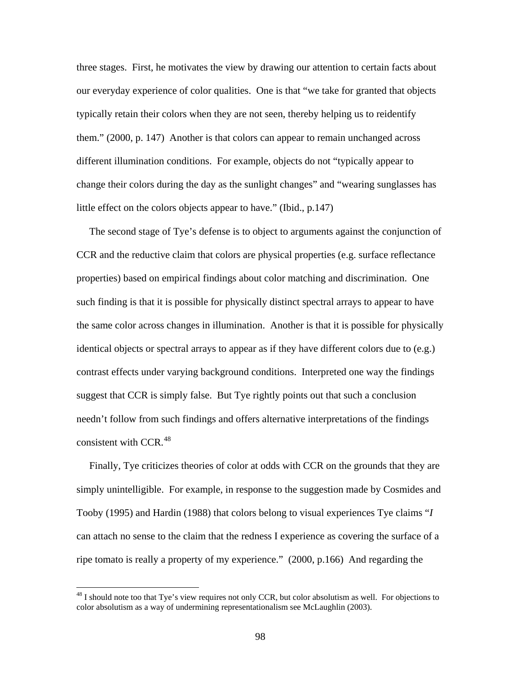three stages. First, he motivates the view by drawing our attention to certain facts about our everyday experience of color qualities. One is that "we take for granted that objects typically retain their colors when they are not seen, thereby helping us to reidentify them." (2000, p. 147) Another is that colors can appear to remain unchanged across different illumination conditions. For example, objects do not "typically appear to change their colors during the day as the sunlight changes" and "wearing sunglasses has little effect on the colors objects appear to have." (Ibid., p.147)

 The second stage of Tye's defense is to object to arguments against the conjunction of CCR and the reductive claim that colors are physical properties (e.g. surface reflectance properties) based on empirical findings about color matching and discrimination. One such finding is that it is possible for physically distinct spectral arrays to appear to have the same color across changes in illumination. Another is that it is possible for physically identical objects or spectral arrays to appear as if they have different colors due to (e.g.) contrast effects under varying background conditions. Interpreted one way the findings suggest that CCR is simply false. But Tye rightly points out that such a conclusion needn't follow from such findings and offers alternative interpretations of the findings consistent with CCR.<sup>[48](#page-102-0)</sup>

 Finally, Tye criticizes theories of color at odds with CCR on the grounds that they are simply unintelligible. For example, in response to the suggestion made by Cosmides and Tooby (1995) and Hardin (1988) that colors belong to visual experiences Tye claims "*I* can attach no sense to the claim that the redness I experience as covering the surface of a ripe tomato is really a property of my experience." (2000, p.166) And regarding the

<span id="page-102-0"></span><sup>&</sup>lt;sup>48</sup> I should note too that Tye's view requires not only CCR, but color absolutism as well. For objections to color absolutism as a way of undermining representationalism see McLaughlin (2003).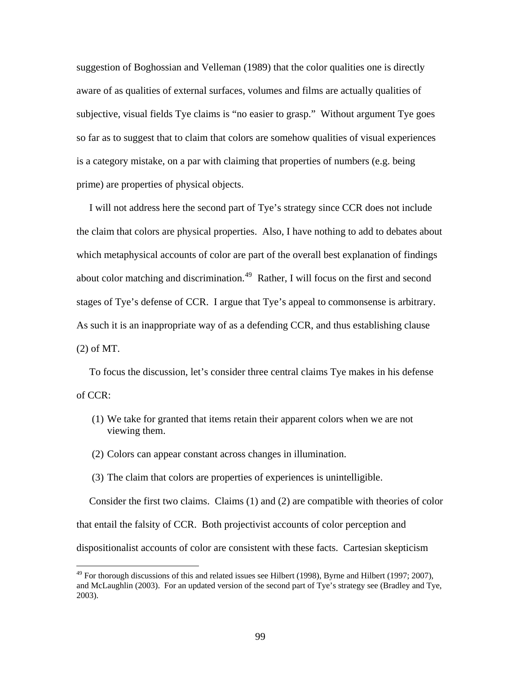suggestion of Boghossian and Velleman (1989) that the color qualities one is directly aware of as qualities of external surfaces, volumes and films are actually qualities of subjective, visual fields Tye claims is "no easier to grasp." Without argument Tye goes so far as to suggest that to claim that colors are somehow qualities of visual experiences is a category mistake, on a par with claiming that properties of numbers (e.g. being prime) are properties of physical objects.

 I will not address here the second part of Tye's strategy since CCR does not include the claim that colors are physical properties. Also, I have nothing to add to debates about which metaphysical accounts of color are part of the overall best explanation of findings about color matching and discrimination.<sup>[49](#page-103-0)</sup> Rather, I will focus on the first and second stages of Tye's defense of CCR. I argue that Tye's appeal to commonsense is arbitrary. As such it is an inappropriate way of as a defending CCR, and thus establishing clause (2) of MT.

 To focus the discussion, let's consider three central claims Tye makes in his defense of CCR:

- (1) We take for granted that items retain their apparent colors when we are not viewing them.
- (2) Colors can appear constant across changes in illumination.

 $\overline{a}$ 

(3) The claim that colors are properties of experiences is unintelligible.

 Consider the first two claims. Claims (1) and (2) are compatible with theories of color that entail the falsity of CCR. Both projectivist accounts of color perception and dispositionalist accounts of color are consistent with these facts. Cartesian skepticism

<span id="page-103-0"></span> $49$  For thorough discussions of this and related issues see Hilbert (1998), Byrne and Hilbert (1997; 2007), and McLaughlin (2003). For an updated version of the second part of Tye's strategy see (Bradley and Tye, 2003).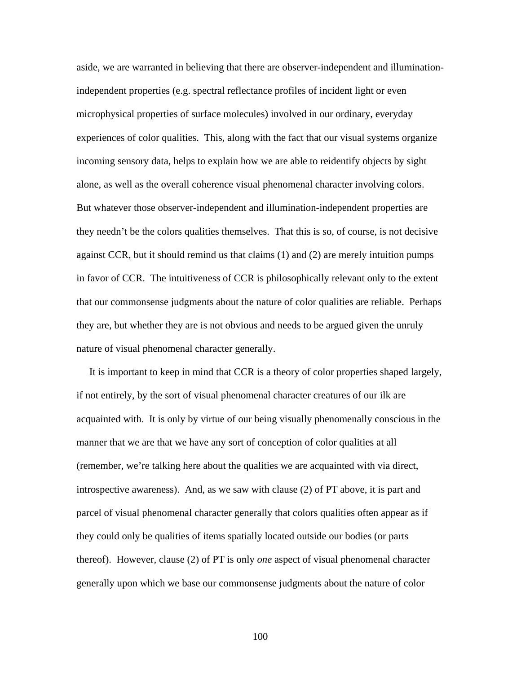aside, we are warranted in believing that there are observer-independent and illuminationindependent properties (e.g. spectral reflectance profiles of incident light or even microphysical properties of surface molecules) involved in our ordinary, everyday experiences of color qualities. This, along with the fact that our visual systems organize incoming sensory data, helps to explain how we are able to reidentify objects by sight alone, as well as the overall coherence visual phenomenal character involving colors. But whatever those observer-independent and illumination-independent properties are they needn't be the colors qualities themselves. That this is so, of course, is not decisive against CCR, but it should remind us that claims (1) and (2) are merely intuition pumps in favor of CCR. The intuitiveness of CCR is philosophically relevant only to the extent that our commonsense judgments about the nature of color qualities are reliable. Perhaps they are, but whether they are is not obvious and needs to be argued given the unruly nature of visual phenomenal character generally.

 It is important to keep in mind that CCR is a theory of color properties shaped largely, if not entirely, by the sort of visual phenomenal character creatures of our ilk are acquainted with. It is only by virtue of our being visually phenomenally conscious in the manner that we are that we have any sort of conception of color qualities at all (remember, we're talking here about the qualities we are acquainted with via direct, introspective awareness). And, as we saw with clause (2) of PT above, it is part and parcel of visual phenomenal character generally that colors qualities often appear as if they could only be qualities of items spatially located outside our bodies (or parts thereof). However, clause (2) of PT is only *one* aspect of visual phenomenal character generally upon which we base our commonsense judgments about the nature of color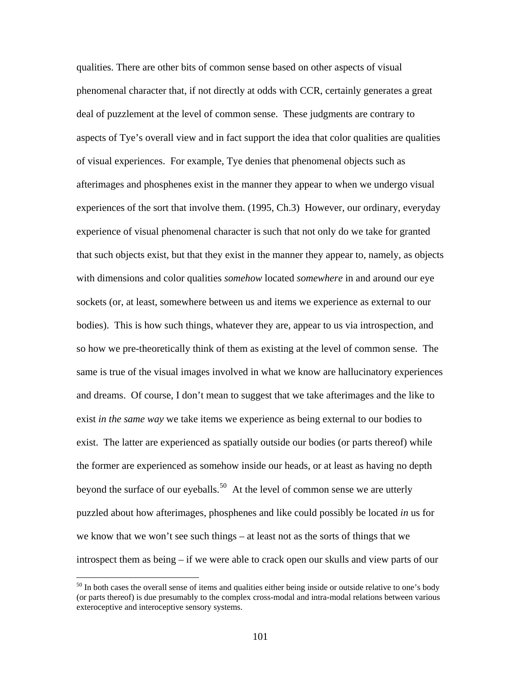qualities. There are other bits of common sense based on other aspects of visual phenomenal character that, if not directly at odds with CCR, certainly generates a great deal of puzzlement at the level of common sense. These judgments are contrary to aspects of Tye's overall view and in fact support the idea that color qualities are qualities of visual experiences. For example, Tye denies that phenomenal objects such as afterimages and phosphenes exist in the manner they appear to when we undergo visual experiences of the sort that involve them. (1995, Ch.3) However, our ordinary, everyday experience of visual phenomenal character is such that not only do we take for granted that such objects exist, but that they exist in the manner they appear to, namely, as objects with dimensions and color qualities *somehow* located *somewhere* in and around our eye sockets (or, at least, somewhere between us and items we experience as external to our bodies). This is how such things, whatever they are, appear to us via introspection, and so how we pre-theoretically think of them as existing at the level of common sense. The same is true of the visual images involved in what we know are hallucinatory experiences and dreams. Of course, I don't mean to suggest that we take afterimages and the like to exist *in the same way* we take items we experience as being external to our bodies to exist. The latter are experienced as spatially outside our bodies (or parts thereof) while the former are experienced as somehow inside our heads, or at least as having no depth beyond the surface of our eyeballs.<sup>[50](#page-105-0)</sup> At the level of common sense we are utterly puzzled about how afterimages, phosphenes and like could possibly be located *in* us for we know that we won't see such things – at least not as the sorts of things that we introspect them as being – if we were able to crack open our skulls and view parts of our

<span id="page-105-0"></span><sup>&</sup>lt;sup>50</sup> In both cases the overall sense of items and qualities either being inside or outside relative to one's body (or parts thereof) is due presumably to the complex cross-modal and intra-modal relations between various exteroceptive and interoceptive sensory systems.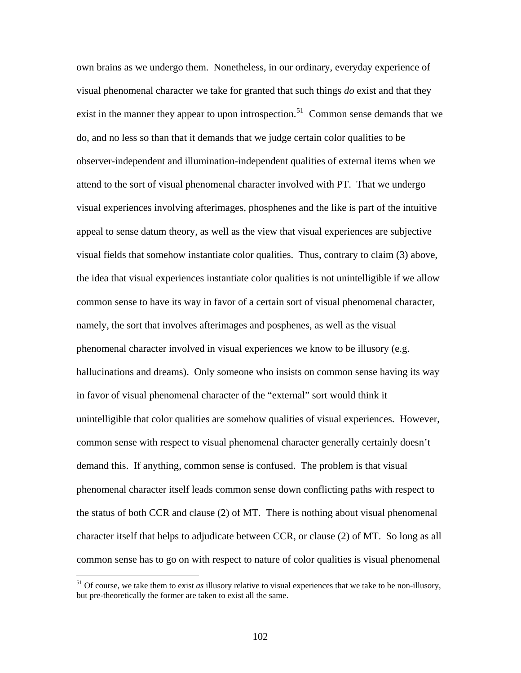own brains as we undergo them. Nonetheless, in our ordinary, everyday experience of visual phenomenal character we take for granted that such things *do* exist and that they exist in the manner they appear to upon introspection.<sup>[51](#page-106-0)</sup> Common sense demands that we do, and no less so than that it demands that we judge certain color qualities to be observer-independent and illumination-independent qualities of external items when we attend to the sort of visual phenomenal character involved with PT. That we undergo visual experiences involving afterimages, phosphenes and the like is part of the intuitive appeal to sense datum theory, as well as the view that visual experiences are subjective visual fields that somehow instantiate color qualities. Thus, contrary to claim (3) above, the idea that visual experiences instantiate color qualities is not unintelligible if we allow common sense to have its way in favor of a certain sort of visual phenomenal character, namely, the sort that involves afterimages and posphenes, as well as the visual phenomenal character involved in visual experiences we know to be illusory (e.g. hallucinations and dreams). Only someone who insists on common sense having its way in favor of visual phenomenal character of the "external" sort would think it unintelligible that color qualities are somehow qualities of visual experiences. However, common sense with respect to visual phenomenal character generally certainly doesn't demand this. If anything, common sense is confused. The problem is that visual phenomenal character itself leads common sense down conflicting paths with respect to the status of both CCR and clause (2) of MT. There is nothing about visual phenomenal character itself that helps to adjudicate between CCR, or clause (2) of MT. So long as all common sense has to go on with respect to nature of color qualities is visual phenomenal

<span id="page-106-0"></span><sup>51</sup> Of course, we take them to exist *as* illusory relative to visual experiences that we take to be non-illusory, but pre-theoretically the former are taken to exist all the same.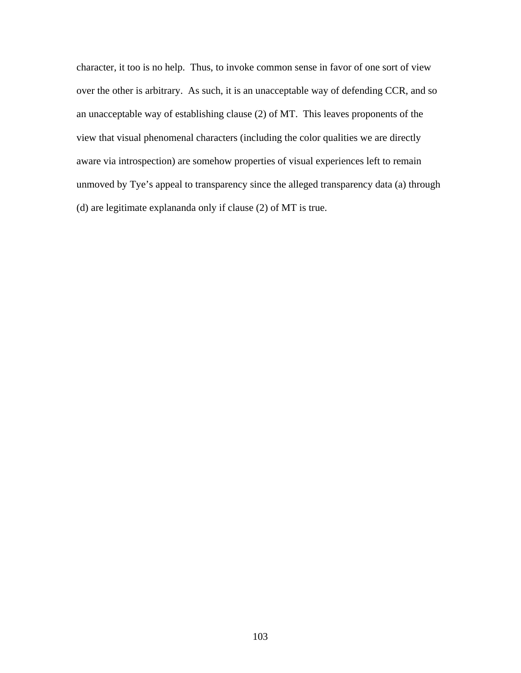character, it too is no help. Thus, to invoke common sense in favor of one sort of view over the other is arbitrary. As such, it is an unacceptable way of defending CCR, and so an unacceptable way of establishing clause (2) of MT. This leaves proponents of the view that visual phenomenal characters (including the color qualities we are directly aware via introspection) are somehow properties of visual experiences left to remain unmoved by Tye's appeal to transparency since the alleged transparency data (a) through (d) are legitimate explananda only if clause (2) of MT is true.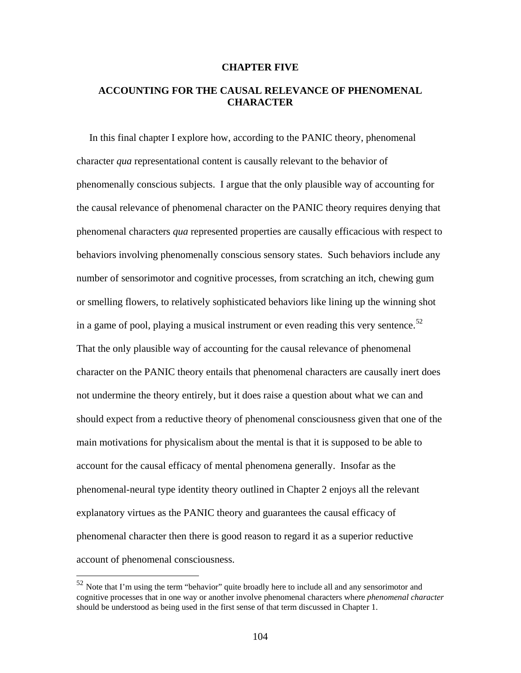#### **CHAPTER FIVE**

# **ACCOUNTING FOR THE CAUSAL RELEVANCE OF PHENOMENAL CHARACTER**

 In this final chapter I explore how, according to the PANIC theory, phenomenal character *qua* representational content is causally relevant to the behavior of phenomenally conscious subjects. I argue that the only plausible way of accounting for the causal relevance of phenomenal character on the PANIC theory requires denying that phenomenal characters *qua* represented properties are causally efficacious with respect to behaviors involving phenomenally conscious sensory states. Such behaviors include any number of sensorimotor and cognitive processes, from scratching an itch, chewing gum or smelling flowers, to relatively sophisticated behaviors like lining up the winning shot in a game of pool, playing a musical instrument or even reading this very sentence. $52$ That the only plausible way of accounting for the causal relevance of phenomenal character on the PANIC theory entails that phenomenal characters are causally inert does not undermine the theory entirely, but it does raise a question about what we can and should expect from a reductive theory of phenomenal consciousness given that one of the main motivations for physicalism about the mental is that it is supposed to be able to account for the causal efficacy of mental phenomena generally. Insofar as the phenomenal-neural type identity theory outlined in Chapter 2 enjoys all the relevant explanatory virtues as the PANIC theory and guarantees the causal efficacy of phenomenal character then there is good reason to regard it as a superior reductive account of phenomenal consciousness.

<span id="page-108-0"></span> $52$  Note that I'm using the term "behavior" quite broadly here to include all and any sensorimotor and cognitive processes that in one way or another involve phenomenal characters where *phenomenal character* should be understood as being used in the first sense of that term discussed in Chapter 1.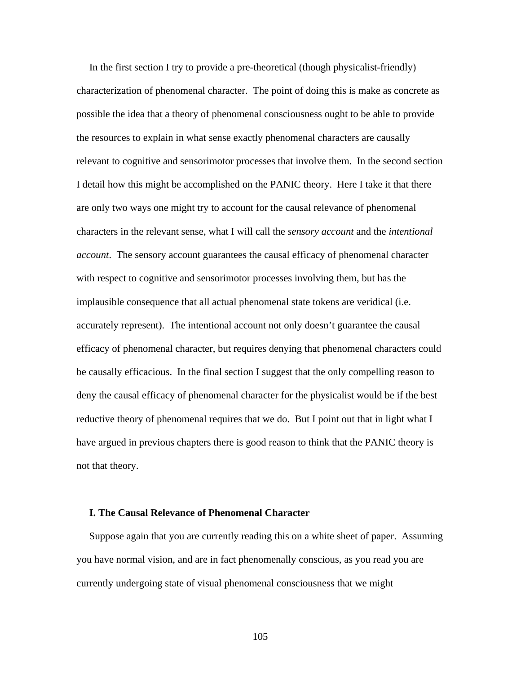In the first section I try to provide a pre-theoretical (though physicalist-friendly) characterization of phenomenal character. The point of doing this is make as concrete as possible the idea that a theory of phenomenal consciousness ought to be able to provide the resources to explain in what sense exactly phenomenal characters are causally relevant to cognitive and sensorimotor processes that involve them. In the second section I detail how this might be accomplished on the PANIC theory. Here I take it that there are only two ways one might try to account for the causal relevance of phenomenal characters in the relevant sense, what I will call the *sensory account* and the *intentional account*. The sensory account guarantees the causal efficacy of phenomenal character with respect to cognitive and sensorimotor processes involving them, but has the implausible consequence that all actual phenomenal state tokens are veridical (i.e. accurately represent). The intentional account not only doesn't guarantee the causal efficacy of phenomenal character, but requires denying that phenomenal characters could be causally efficacious. In the final section I suggest that the only compelling reason to deny the causal efficacy of phenomenal character for the physicalist would be if the best reductive theory of phenomenal requires that we do. But I point out that in light what I have argued in previous chapters there is good reason to think that the PANIC theory is not that theory.

## **I. The Causal Relevance of Phenomenal Character**

 Suppose again that you are currently reading this on a white sheet of paper. Assuming you have normal vision, and are in fact phenomenally conscious, as you read you are currently undergoing state of visual phenomenal consciousness that we might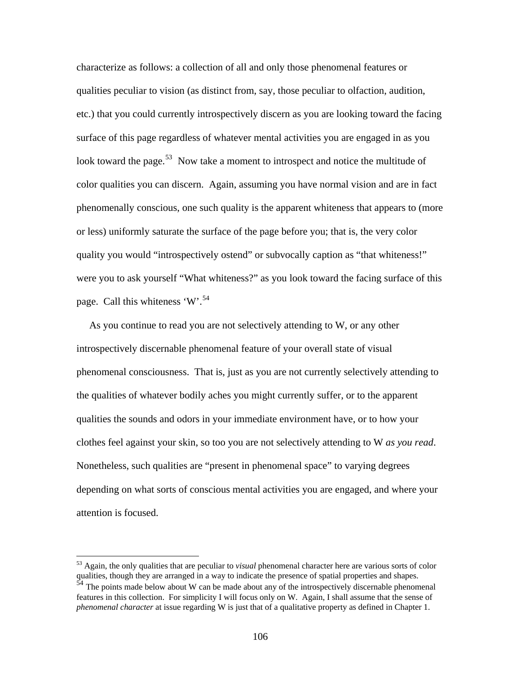characterize as follows: a collection of all and only those phenomenal features or qualities peculiar to vision (as distinct from, say, those peculiar to olfaction, audition, etc.) that you could currently introspectively discern as you are looking toward the facing surface of this page regardless of whatever mental activities you are engaged in as you look toward the page.<sup>[53](#page-110-0)</sup> Now take a moment to introspect and notice the multitude of color qualities you can discern. Again, assuming you have normal vision and are in fact phenomenally conscious, one such quality is the apparent whiteness that appears to (more or less) uniformly saturate the surface of the page before you; that is, the very color quality you would "introspectively ostend" or subvocally caption as "that whiteness!" were you to ask yourself "What whiteness?" as you look toward the facing surface of this page. Call this whiteness 'W'.<sup>[54](#page-110-1)</sup>

 As you continue to read you are not selectively attending to W, or any other introspectively discernable phenomenal feature of your overall state of visual phenomenal consciousness. That is, just as you are not currently selectively attending to the qualities of whatever bodily aches you might currently suffer, or to the apparent qualities the sounds and odors in your immediate environment have, or to how your clothes feel against your skin, so too you are not selectively attending to W *as you read*. Nonetheless, such qualities are "present in phenomenal space" to varying degrees depending on what sorts of conscious mental activities you are engaged, and where your attention is focused.

<span id="page-110-0"></span><sup>53</sup> Again, the only qualities that are peculiar to *visual* phenomenal character here are various sorts of color qualities, though they are arranged in a way to indicate the presence of spatial properties and shapes.

<span id="page-110-1"></span>The points made below about W can be made about any of the introspectively discernable phenomenal features in this collection. For simplicity I will focus only on W. Again, I shall assume that the sense of *phenomenal character* at issue regarding W is just that of a qualitative property as defined in Chapter 1.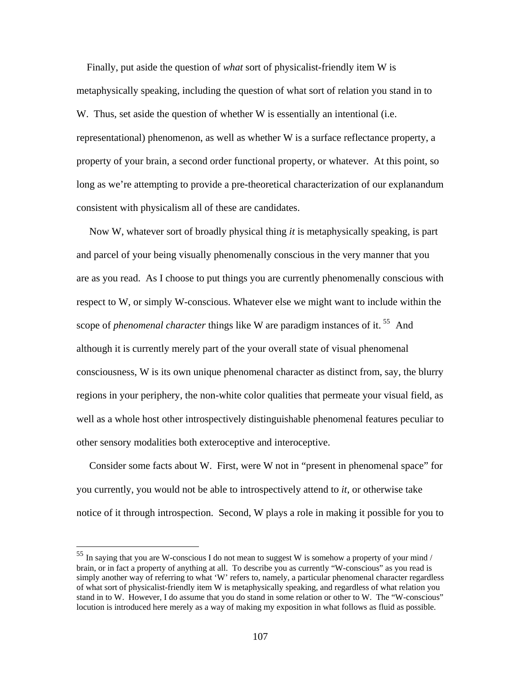Finally, put aside the question of *what* sort of physicalist-friendly item W is metaphysically speaking, including the question of what sort of relation you stand in to W. Thus, set aside the question of whether W is essentially an intentional (i.e. representational) phenomenon, as well as whether W is a surface reflectance property, a property of your brain, a second order functional property, or whatever. At this point, so long as we're attempting to provide a pre-theoretical characterization of our explanandum consistent with physicalism all of these are candidates.

 Now W, whatever sort of broadly physical thing *it* is metaphysically speaking, is part and parcel of your being visually phenomenally conscious in the very manner that you are as you read. As I choose to put things you are currently phenomenally conscious with respect to W, or simply W-conscious. Whatever else we might want to include within the scope of *phenomenal character* things like W are paradigm instances of it.<sup>[55](#page-111-0)</sup> And although it is currently merely part of the your overall state of visual phenomenal consciousness, W is its own unique phenomenal character as distinct from, say, the blurry regions in your periphery, the non-white color qualities that permeate your visual field, as well as a whole host other introspectively distinguishable phenomenal features peculiar to other sensory modalities both exteroceptive and interoceptive.

 Consider some facts about W. First, were W not in "present in phenomenal space" for you currently, you would not be able to introspectively attend to *it*, or otherwise take notice of it through introspection. Second, W plays a role in making it possible for you to

<span id="page-111-0"></span> $55$  In saying that you are W-conscious I do not mean to suggest W is somehow a property of your mind / brain, or in fact a property of anything at all. To describe you as currently "W-conscious" as you read is simply another way of referring to what 'W' refers to, namely, a particular phenomenal character regardless of what sort of physicalist-friendly item W is metaphysically speaking, and regardless of what relation you stand in to W. However, I do assume that you do stand in some relation or other to W. The "W-conscious" locution is introduced here merely as a way of making my exposition in what follows as fluid as possible.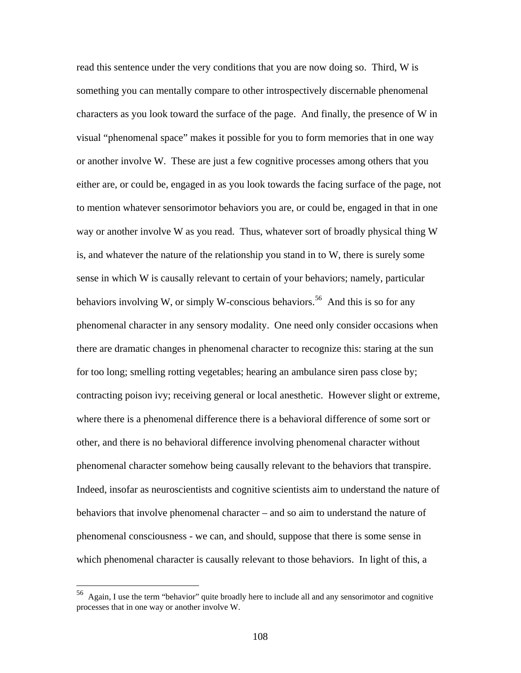read this sentence under the very conditions that you are now doing so. Third, W is something you can mentally compare to other introspectively discernable phenomenal characters as you look toward the surface of the page. And finally, the presence of W in visual "phenomenal space" makes it possible for you to form memories that in one way or another involve W. These are just a few cognitive processes among others that you either are, or could be, engaged in as you look towards the facing surface of the page, not to mention whatever sensorimotor behaviors you are, or could be, engaged in that in one way or another involve W as you read. Thus, whatever sort of broadly physical thing W is, and whatever the nature of the relationship you stand in to W, there is surely some sense in which W is causally relevant to certain of your behaviors; namely, particular behaviors involving W, or simply W-conscious behaviors.<sup>[56](#page-112-0)</sup> And this is so for any phenomenal character in any sensory modality. One need only consider occasions when there are dramatic changes in phenomenal character to recognize this: staring at the sun for too long; smelling rotting vegetables; hearing an ambulance siren pass close by; contracting poison ivy; receiving general or local anesthetic. However slight or extreme, where there is a phenomenal difference there is a behavioral difference of some sort or other, and there is no behavioral difference involving phenomenal character without phenomenal character somehow being causally relevant to the behaviors that transpire. Indeed, insofar as neuroscientists and cognitive scientists aim to understand the nature of behaviors that involve phenomenal character – and so aim to understand the nature of phenomenal consciousness - we can, and should, suppose that there is some sense in which phenomenal character is causally relevant to those behaviors. In light of this, a

<span id="page-112-0"></span><sup>&</sup>lt;sup>56</sup> Again, I use the term "behavior" quite broadly here to include all and any sensorimotor and cognitive processes that in one way or another involve W.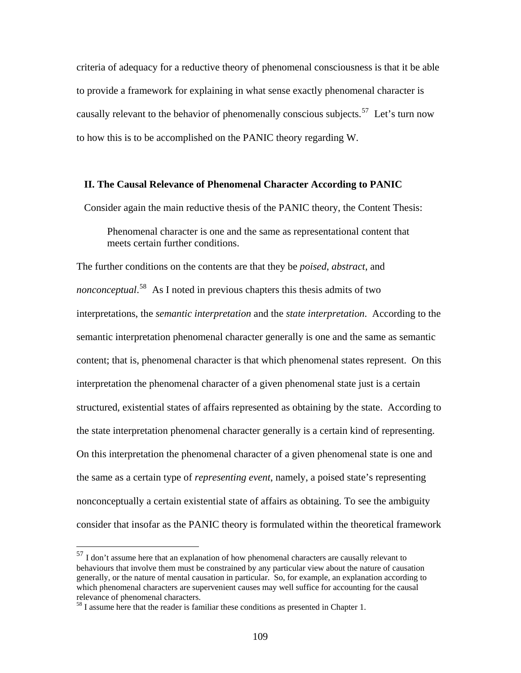criteria of adequacy for a reductive theory of phenomenal consciousness is that it be able to provide a framework for explaining in what sense exactly phenomenal character is causally relevant to the behavior of phenomenally conscious subjects.<sup>[57](#page-113-0)</sup> Let's turn now to how this is to be accomplished on the PANIC theory regarding W.

### **II. The Causal Relevance of Phenomenal Character According to PANIC**

Consider again the main reductive thesis of the PANIC theory, the Content Thesis:

Phenomenal character is one and the same as representational content that meets certain further conditions.

The further conditions on the contents are that they be *poised*, *abstract*, and *nonconceptual*. [58](#page-113-1) As I noted in previous chapters this thesis admits of two interpretations, the *semantic interpretation* and the *state interpretation*. According to the semantic interpretation phenomenal character generally is one and the same as semantic content; that is, phenomenal character is that which phenomenal states represent. On this interpretation the phenomenal character of a given phenomenal state just is a certain structured, existential states of affairs represented as obtaining by the state. According to the state interpretation phenomenal character generally is a certain kind of representing. On this interpretation the phenomenal character of a given phenomenal state is one and the same as a certain type of *representing event*, namely, a poised state's representing nonconceptually a certain existential state of affairs as obtaining. To see the ambiguity consider that insofar as the PANIC theory is formulated within the theoretical framework

<span id="page-113-0"></span> $57$  I don't assume here that an explanation of how phenomenal characters are causally relevant to behaviours that involve them must be constrained by any particular view about the nature of causation generally, or the nature of mental causation in particular. So, for example, an explanation according to which phenomenal characters are supervenient causes may well suffice for accounting for the causal relevance of phenomenal characters.

<span id="page-113-1"></span><sup>&</sup>lt;sup>58</sup> I assume here that the reader is familiar these conditions as presented in Chapter 1.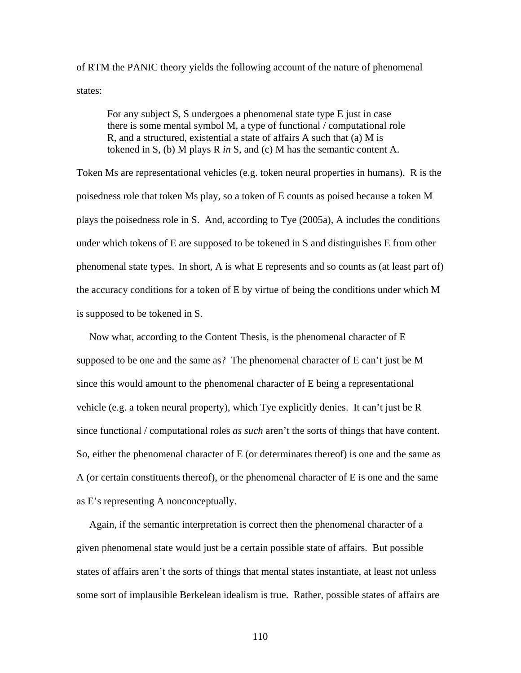of RTM the PANIC theory yields the following account of the nature of phenomenal states:

For any subject S, S undergoes a phenomenal state type E just in case there is some mental symbol M, a type of functional / computational role R, and a structured, existential a state of affairs A such that (a) M is tokened in S, (b) M plays R *in* S, and (c) M has the semantic content A.

Token Ms are representational vehicles (e.g. token neural properties in humans). R is the poisedness role that token Ms play, so a token of E counts as poised because a token M plays the poisedness role in S. And, according to Tye (2005a), A includes the conditions under which tokens of E are supposed to be tokened in S and distinguishes E from other phenomenal state types. In short, A is what E represents and so counts as (at least part of) the accuracy conditions for a token of E by virtue of being the conditions under which M is supposed to be tokened in S.

 Now what, according to the Content Thesis, is the phenomenal character of E supposed to be one and the same as? The phenomenal character of E can't just be M since this would amount to the phenomenal character of E being a representational vehicle (e.g. a token neural property), which Tye explicitly denies. It can't just be R since functional / computational roles *as such* aren't the sorts of things that have content. So, either the phenomenal character of E (or determinates thereof) is one and the same as A (or certain constituents thereof), or the phenomenal character of E is one and the same as E's representing A nonconceptually.

 Again, if the semantic interpretation is correct then the phenomenal character of a given phenomenal state would just be a certain possible state of affairs. But possible states of affairs aren't the sorts of things that mental states instantiate, at least not unless some sort of implausible Berkelean idealism is true. Rather, possible states of affairs are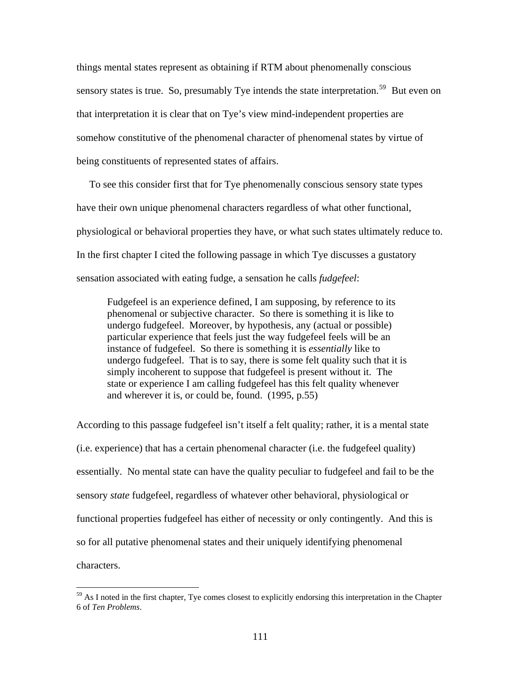things mental states represent as obtaining if RTM about phenomenally conscious sensory states is true. So, presumably Tye intends the state interpretation.<sup>[59](#page-115-0)</sup> But even on that interpretation it is clear that on Tye's view mind-independent properties are somehow constitutive of the phenomenal character of phenomenal states by virtue of being constituents of represented states of affairs.

 To see this consider first that for Tye phenomenally conscious sensory state types have their own unique phenomenal characters regardless of what other functional, physiological or behavioral properties they have, or what such states ultimately reduce to. In the first chapter I cited the following passage in which Tye discusses a gustatory sensation associated with eating fudge, a sensation he calls *fudgefeel*:

Fudgefeel is an experience defined, I am supposing, by reference to its phenomenal or subjective character. So there is something it is like to undergo fudgefeel. Moreover, by hypothesis, any (actual or possible) particular experience that feels just the way fudgefeel feels will be an instance of fudgefeel. So there is something it is *essentially* like to undergo fudgefeel. That is to say, there is some felt quality such that it is simply incoherent to suppose that fudgefeel is present without it. The state or experience I am calling fudgefeel has this felt quality whenever and wherever it is, or could be, found. (1995, p.55)

According to this passage fudgefeel isn't itself a felt quality; rather, it is a mental state (i.e. experience) that has a certain phenomenal character (i.e. the fudgefeel quality) essentially. No mental state can have the quality peculiar to fudgefeel and fail to be the sensory *state* fudgefeel, regardless of whatever other behavioral, physiological or functional properties fudgefeel has either of necessity or only contingently. And this is so for all putative phenomenal states and their uniquely identifying phenomenal characters.

<span id="page-115-0"></span> $59$  As I noted in the first chapter, Tye comes closest to explicitly endorsing this interpretation in the Chapter 6 of *Ten Problems*.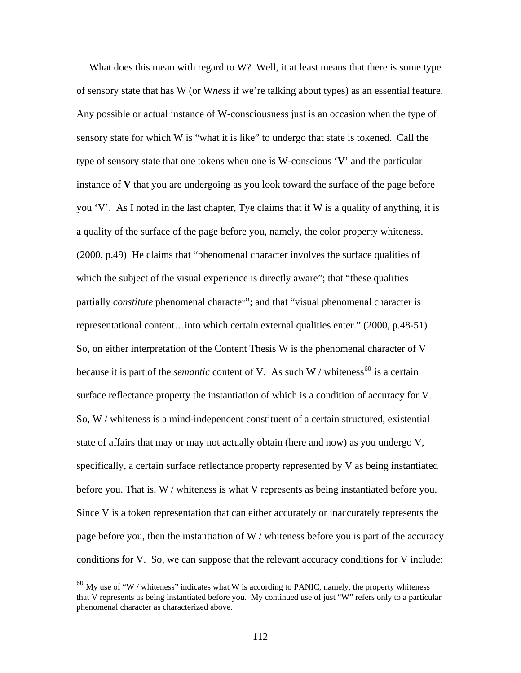What does this mean with regard to W? Well, it at least means that there is some type of sensory state that has W (or W*ness* if we're talking about types) as an essential feature. Any possible or actual instance of W-consciousness just is an occasion when the type of sensory state for which W is "what it is like" to undergo that state is tokened. Call the type of sensory state that one tokens when one is W-conscious '**V**' and the particular instance of **V** that you are undergoing as you look toward the surface of the page before you 'V'. As I noted in the last chapter, Tye claims that if W is a quality of anything, it is a quality of the surface of the page before you, namely, the color property whiteness. (2000, p.49) He claims that "phenomenal character involves the surface qualities of which the subject of the visual experience is directly aware"; that "these qualities" partially *constitute* phenomenal character"; and that "visual phenomenal character is representational content…into which certain external qualities enter." (2000, p.48-51) So, on either interpretation of the Content Thesis W is the phenomenal character of V because it is part of the *semantic* content of V. As such W / whiteness<sup>[60](#page-116-0)</sup> is a certain surface reflectance property the instantiation of which is a condition of accuracy for V. So, W / whiteness is a mind-independent constituent of a certain structured, existential state of affairs that may or may not actually obtain (here and now) as you undergo V, specifically, a certain surface reflectance property represented by V as being instantiated before you. That is, W / whiteness is what V represents as being instantiated before you. Since V is a token representation that can either accurately or inaccurately represents the page before you, then the instantiation of W / whiteness before you is part of the accuracy conditions for V. So, we can suppose that the relevant accuracy conditions for V include:

<span id="page-116-0"></span> $^{60}$  My use of "W / whiteness" indicates what W is according to PANIC, namely, the property whiteness that V represents as being instantiated before you. My continued use of just "W" refers only to a particular phenomenal character as characterized above.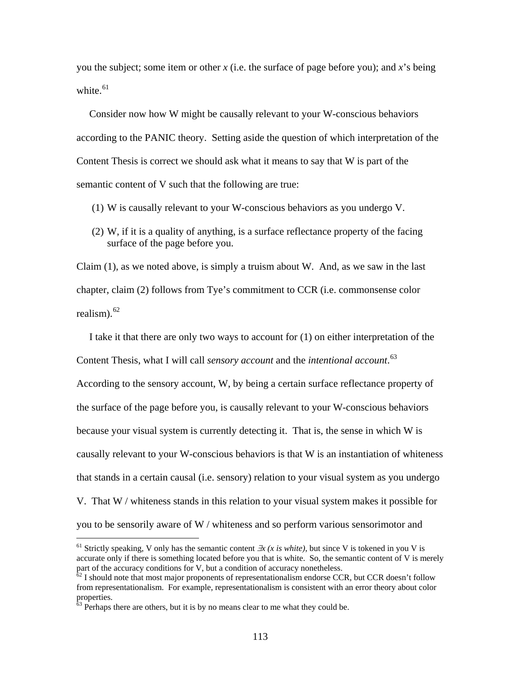you the subject; some item or other *x* (i.e. the surface of page before you); and *x*'s being white. $61$ 

 Consider now how W might be causally relevant to your W-conscious behaviors according to the PANIC theory. Setting aside the question of which interpretation of the Content Thesis is correct we should ask what it means to say that W is part of the semantic content of V such that the following are true:

- (1) W is causally relevant to your W-conscious behaviors as you undergo V.
- (2) W, if it is a quality of anything, is a surface reflectance property of the facing surface of the page before you.

Claim (1), as we noted above, is simply a truism about W. And, as we saw in the last chapter, claim (2) follows from Tye's commitment to CCR (i.e. commonsense color realism). $62$ 

 I take it that there are only two ways to account for (1) on either interpretation of the Content Thesis, what I will call *sensory account* and the *intentional account*. [63](#page-117-2) According to the sensory account, W, by being a certain surface reflectance property of the surface of the page before you, is causally relevant to your W-conscious behaviors because your visual system is currently detecting it. That is, the sense in which W is causally relevant to your W-conscious behaviors is that W is an instantiation of whiteness that stands in a certain causal (i.e. sensory) relation to your visual system as you undergo V. That W / whiteness stands in this relation to your visual system makes it possible for you to be sensorily aware of W / whiteness and so perform various sensorimotor and

<u>.</u>

<span id="page-117-0"></span><sup>&</sup>lt;sup>61</sup> Strictly speaking, V only has the semantic content  $\exists x$  (x is white), but since V is tokened in you V is accurate only if there is something located before you that is white. So, the semantic content of V is merely part of the accuracy conditions for V, but a condition of accuracy nonetheless.<br><sup>62</sup> I should note that most major proponents of representationalism endorse CCR, but CCR doesn't follow

<span id="page-117-1"></span>from representationalism. For example, representationalism is consistent with an error theory about color properties.

<span id="page-117-2"></span> $\frac{63}{10}$  Perhaps there are others, but it is by no means clear to me what they could be.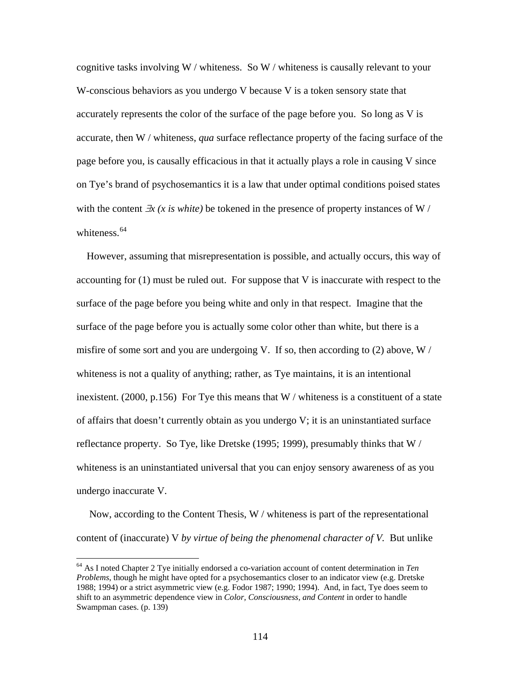cognitive tasks involving W / whiteness. So W / whiteness is causally relevant to your W-conscious behaviors as you undergo V because V is a token sensory state that accurately represents the color of the surface of the page before you. So long as V is accurate, then W / whiteness, *qua* surface reflectance property of the facing surface of the page before you, is causally efficacious in that it actually plays a role in causing V since on Tye's brand of psychosemantics it is a law that under optimal conditions poised states with the content ∃*x (x is white)* be tokened in the presence of property instances of W / whiteness. $64$ 

 However, assuming that misrepresentation is possible, and actually occurs, this way of accounting for (1) must be ruled out. For suppose that V is inaccurate with respect to the surface of the page before you being white and only in that respect. Imagine that the surface of the page before you is actually some color other than white, but there is a misfire of some sort and you are undergoing V. If so, then according to (2) above, W / whiteness is not a quality of anything; rather, as Tye maintains, it is an intentional inexistent. (2000, p.156) For Tye this means that  $W/$  whiteness is a constituent of a state of affairs that doesn't currently obtain as you undergo V; it is an uninstantiated surface reflectance property. So Tye, like Dretske (1995; 1999), presumably thinks that W / whiteness is an uninstantiated universal that you can enjoy sensory awareness of as you undergo inaccurate V.

 Now, according to the Content Thesis, W / whiteness is part of the representational content of (inaccurate) V *by virtue of being the phenomenal character of V.* But unlike

<span id="page-118-0"></span><sup>64</sup> As I noted Chapter 2 Tye initially endorsed a co-variation account of content determination in *Ten Problems*, though he might have opted for a psychosemantics closer to an indicator view (e.g. Dretske 1988; 1994) or a strict asymmetric view (e.g. Fodor 1987; 1990; 1994). And, in fact, Tye does seem to shift to an asymmetric dependence view in *Color, Consciousness, and Content* in order to handle Swampman cases. (p. 139)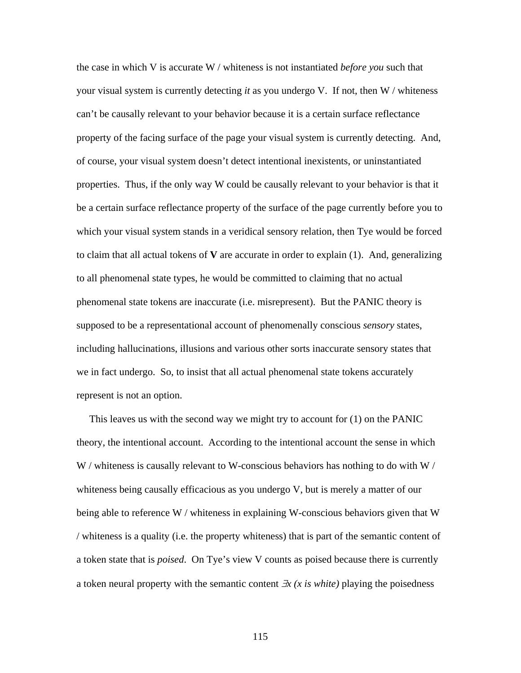the case in which V is accurate W / whiteness is not instantiated *before you* such that your visual system is currently detecting *it* as you undergo V. If not, then W / whiteness can't be causally relevant to your behavior because it is a certain surface reflectance property of the facing surface of the page your visual system is currently detecting. And, of course, your visual system doesn't detect intentional inexistents, or uninstantiated properties. Thus, if the only way W could be causally relevant to your behavior is that it be a certain surface reflectance property of the surface of the page currently before you to which your visual system stands in a veridical sensory relation, then Tye would be forced to claim that all actual tokens of **V** are accurate in order to explain (1). And, generalizing to all phenomenal state types, he would be committed to claiming that no actual phenomenal state tokens are inaccurate (i.e. misrepresent). But the PANIC theory is supposed to be a representational account of phenomenally conscious *sensory* states, including hallucinations, illusions and various other sorts inaccurate sensory states that we in fact undergo. So, to insist that all actual phenomenal state tokens accurately represent is not an option.

 This leaves us with the second way we might try to account for (1) on the PANIC theory, the intentional account. According to the intentional account the sense in which W / whiteness is causally relevant to W-conscious behaviors has nothing to do with W / whiteness being causally efficacious as you undergo V, but is merely a matter of our being able to reference W / whiteness in explaining W-conscious behaviors given that W / whiteness is a quality (i.e. the property whiteness) that is part of the semantic content of a token state that is *poised*. On Tye's view V counts as poised because there is currently a token neural property with the semantic content ∃*x (x is white)* playing the poisedness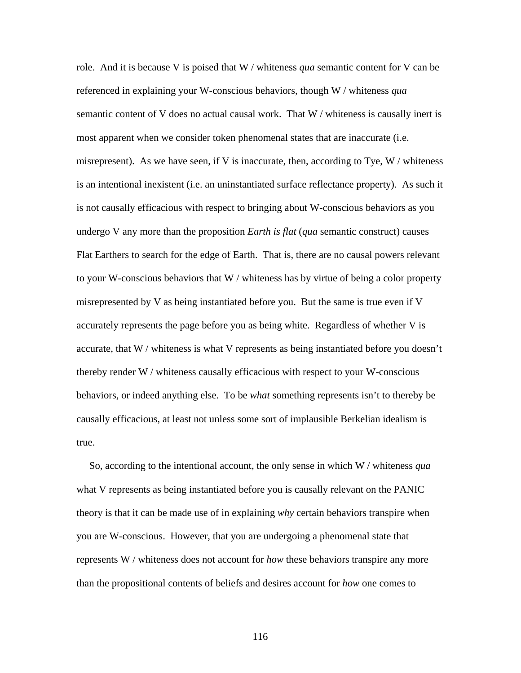role. And it is because V is poised that W / whiteness *qua* semantic content for V can be referenced in explaining your W-conscious behaviors, though W / whiteness *qua* semantic content of V does no actual causal work. That W / whiteness is causally inert is most apparent when we consider token phenomenal states that are inaccurate (i.e. misrepresent). As we have seen, if V is inaccurate, then, according to Tye,  $W/$  whiteness is an intentional inexistent (i.e. an uninstantiated surface reflectance property). As such it is not causally efficacious with respect to bringing about W-conscious behaviors as you undergo V any more than the proposition *Earth is flat* (*qua* semantic construct) causes Flat Earthers to search for the edge of Earth. That is, there are no causal powers relevant to your W-conscious behaviors that W / whiteness has by virtue of being a color property misrepresented by V as being instantiated before you. But the same is true even if V accurately represents the page before you as being white. Regardless of whether V is accurate, that W / whiteness is what V represents as being instantiated before you doesn't thereby render W / whiteness causally efficacious with respect to your W-conscious behaviors, or indeed anything else. To be *what* something represents isn't to thereby be causally efficacious, at least not unless some sort of implausible Berkelian idealism is true.

 So, according to the intentional account, the only sense in which W / whiteness *qua*  what V represents as being instantiated before you is causally relevant on the PANIC theory is that it can be made use of in explaining *why* certain behaviors transpire when you are W-conscious. However, that you are undergoing a phenomenal state that represents W / whiteness does not account for *how* these behaviors transpire any more than the propositional contents of beliefs and desires account for *how* one comes to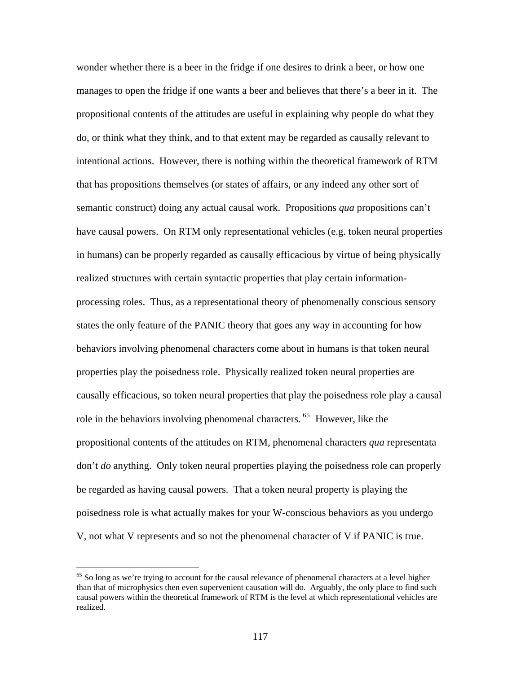wonder whether there is a beer in the fridge if one desires to drink a beer, or how one manages to open the fridge if one wants a beer and believes that there's a beer in it. The propositional contents of the attitudes are useful in explaining why people do what they do, or think what they think, and to that extent may be regarded as causally relevant to intentional actions. However, there is nothing within the theoretical framework of RTM that has propositions themselves (or states of affairs, or any indeed any other sort of semantic construct) doing any actual causal work. Propositions *qua* propositions can't have causal powers. On RTM only representational vehicles (e.g. token neural properties in humans) can be properly regarded as causally efficacious by virtue of being physically realized structures with certain syntactic properties that play certain informationprocessing roles. Thus, as a representational theory of phenomenally conscious sensory states the only feature of the PANIC theory that goes any way in accounting for how behaviors involving phenomenal characters come about in humans is that token neural properties play the poisedness role. Physically realized token neural properties are causally efficacious, so token neural properties that play the poisedness role play a causal role in the behaviors involving phenomenal characters.<sup>[65](#page-121-0)</sup> However, like the propositional contents of the attitudes on RTM, phenomenal characters *qua* represen tata don't *do* anything. Only token neural properties playing the poisedness role can properly be regarded as having causal powers. That a token neural property is playing the poisedness role is what actually makes for your W-conscious behaviors as you undergo V, not what V represents and so not the phenomenal character of V if PAN IC is true.

<span id="page-121-0"></span> $65$  So long as we're trying to account for the causal relevance of phenomenal characters at a level higher than that of microphysics then even supervenient causation will do. Arguably, the only place to find such causal powers within the theoretical framework of RTM is the level at which representational vehicles are realized.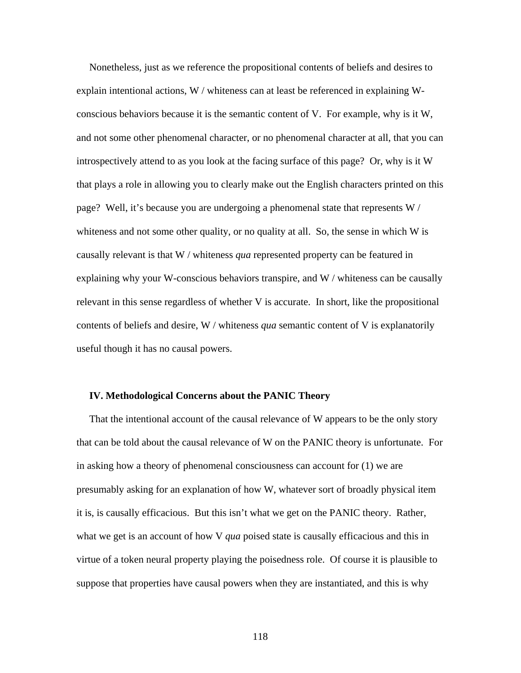Nonetheless, just as we reference the propositional contents of beliefs and desires to explain intentional actions,  $W /$  whiteness can at least be referenced in explaining Wconscious behaviors because it is the semantic content of V. For example, why is it W, and not some other phenomenal character, or no phenomenal character at all, that you can introspectively attend to as you look at the facing surface of this page? Or, why is it W that plays a role in allowing you to clearly make out the English characters printed on this page? Well, it's because you are undergoing a phenomenal state that represents W / whiteness and not some other quality, or no quality at all. So, the sense in which W is causally relevant is that W / whiteness *qua* represented property can be featured in explaining why your W-conscious behaviors transpire, and W / whiteness can be causally relevant in this sense regardless of whether V is accurate. In short, like the propositional contents of beliefs and desire, W / whiteness *qua* semantic content of V is explanatorily useful though it has no causal powers.

#### **IV. Methodological Concerns about the PANIC Theory**

 That the intentional account of the causal relevance of W appears to be the only story that can be told about the causal relevance of W on the PANIC theory is unfortunate. For in asking how a theory of phenomenal consciousness can account for (1) we are presumably asking for an explanation of how W, whatever sort of broadly physical item it is, is causally efficacious. But this isn't what we get on the PANIC theory. Rather, what we get is an account of how V *qua* poised state is causally efficacious and this in virtue of a token neural property playing the poisedness role. Of course it is plausible to suppose that properties have causal powers when they are instantiated, and this is why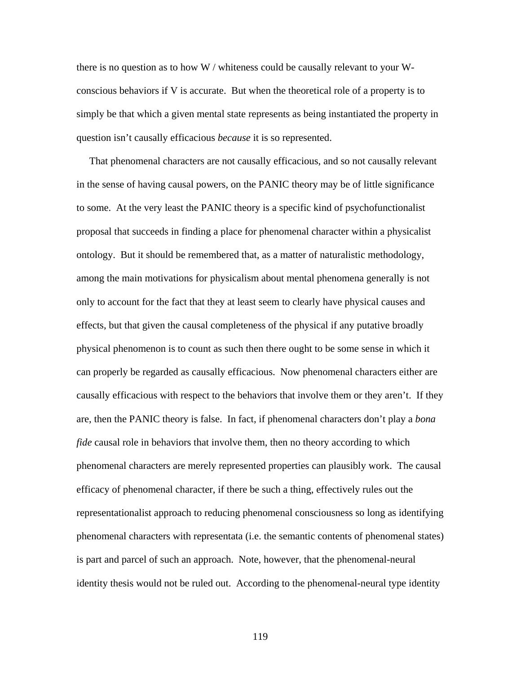there is no question as to how W / whiteness could be causally relevant to your Wconscious behaviors if V is accurate. But when the theoretical role of a property is to simply be that which a given mental state represents as being instantiated the property in question isn't causally efficacious *because* it is so represented.

 That phenomenal characters are not causally efficacious, and so not causally relevant in the sense of having causal powers, on the PANIC theory may be of little significance to some. At the very least the PANIC theory is a specific kind of psychofunctionalist proposal that succeeds in finding a place for phenomenal character within a physicalist ontology. But it should be remembered that, as a matter of naturalistic methodology, among the main motivations for physicalism about mental phenomena generally is not only to account for the fact that they at least seem to clearly have physical causes and effects, but that given the causal completeness of the physical if any putative broadly physical phenomenon is to count as such then there ought to be some sense in which it can properly be regarded as causally efficacious. Now phenomenal characters either are causally efficacious with respect to the behaviors that involve them or they aren't. If they are, then the PANIC theory is false. In fact, if phenomenal characters don't play a *bona fide* causal role in behaviors that involve them, then no theory according to which phenomenal characters are merely represented properties can plausibly work. The causal efficacy of phenomenal character, if there be such a thing, effectively rules out the representationalist approach to reducing phenomenal consciousness so long as identifying phenomenal characters with representata (i.e. the semantic contents of phenomenal states) is part and parcel of such an approach. Note, however, that the phenomenal-neural identity thesis would not be ruled out. According to the phenomenal-neural type identity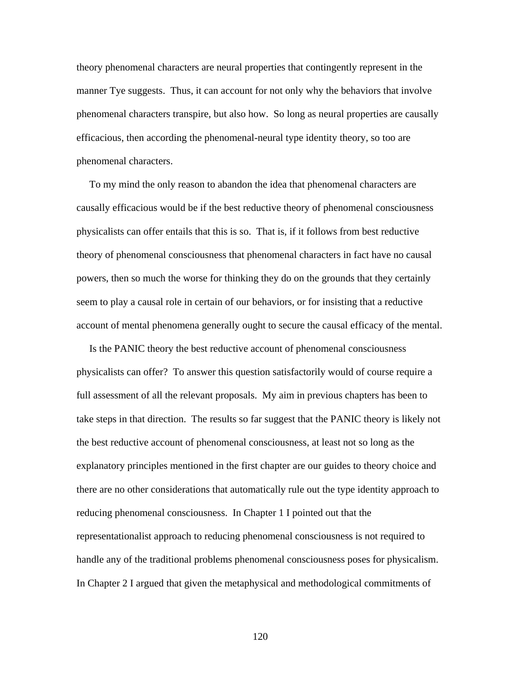theory phenomenal characters are neural properties that contingently represent in the manner Tye suggests. Thus, it can account for not only why the behaviors that involve phenomenal characters transpire, but also how. So long as neural properties are causally efficacious, then according the phenomenal-neural type identity theory, so too are phenomenal characters.

 To my mind the only reason to abandon the idea that phenomenal characters are causally efficacious would be if the best reductive theory of phenomenal consciousness physicalists can offer entails that this is so. That is, if it follows from best reductive theory of phenomenal consciousness that phenomenal characters in fact have no causal powers, then so much the worse for thinking they do on the grounds that they certainly seem to play a causal role in certain of our behaviors, or for insisting that a reductive account of mental phenomena generally ought to secure the causal efficacy of the mental.

 Is the PANIC theory the best reductive account of phenomenal consciousness physicalists can offer? To answer this question satisfactorily would of course require a full assessment of all the relevant proposals. My aim in previous chapters has been to take steps in that direction. The results so far suggest that the PANIC theory is likely not the best reductive account of phenomenal consciousness, at least not so long as the explanatory principles mentioned in the first chapter are our guides to theory choice and there are no other considerations that automatically rule out the type identity approach to reducing phenomenal consciousness. In Chapter 1 I pointed out that the representationalist approach to reducing phenomenal consciousness is not required to handle any of the traditional problems phenomenal consciousness poses for physicalism. In Chapter 2 I argued that given the metaphysical and methodological commitments of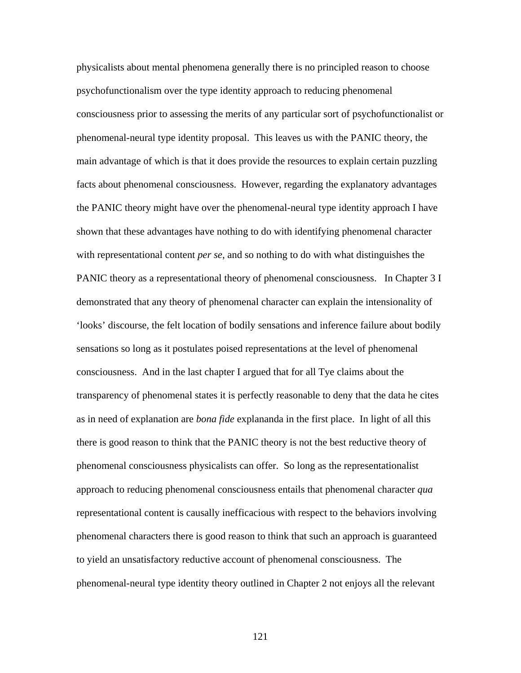physicalists about mental phenomena generally there is no principled reason to choose psychofunctionalism over the type identity approach to reducing phenomenal consciousness prior to assessing the merits of any particular sort of psychofunctionalist or phenomenal-neural type identity proposal. This leaves us with the PANIC theory, the main advantage of which is that it does provide the resources to explain certain puzzling facts about phenomenal consciousness. However, regarding the explanatory advantages the PANIC theory might have over the phenomenal-neural type identity approach I have shown that these advantages have nothing to do with identifying phenomenal character with representational content *per se*, and so nothing to do with what distinguishes the PANIC theory as a representational theory of phenomenal consciousness. In Chapter 3 I demonstrated that any theory of phenomenal character can explain the intensionality of 'looks' discourse, the felt location of bodily sensations and inference failure about bodily sensations so long as it postulates poised representations at the level of phenomenal consciousness. And in the last chapter I argued that for all Tye claims about the transparency of phenomenal states it is perfectly reasonable to deny that the data he cites as in need of explanation are *bona fide* explananda in the first place. In light of all this there is good reason to think that the PANIC theory is not the best reductive theory of phenomenal consciousness physicalists can offer. So long as the representationalist approach to reducing phenomenal consciousness entails that phenomenal character *qua* representational content is causally inefficacious with respect to the behaviors involving phenomenal characters there is good reason to think that such an approach is guaranteed to yield an unsatisfactory reductive account of phenomenal consciousness. The phenomenal-neural type identity theory outlined in Chapter 2 not enjoys all the relevant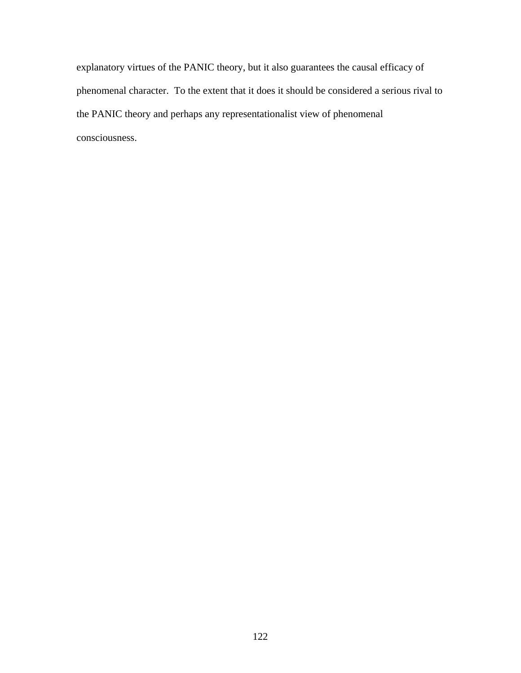explanatory virtues of the PANIC theory, but it also guarantees the causal efficacy of phenomenal character. To the extent that it does it should be considered a serious rival to the PANIC theory and perhaps any representationalist view of phenomenal consciousness.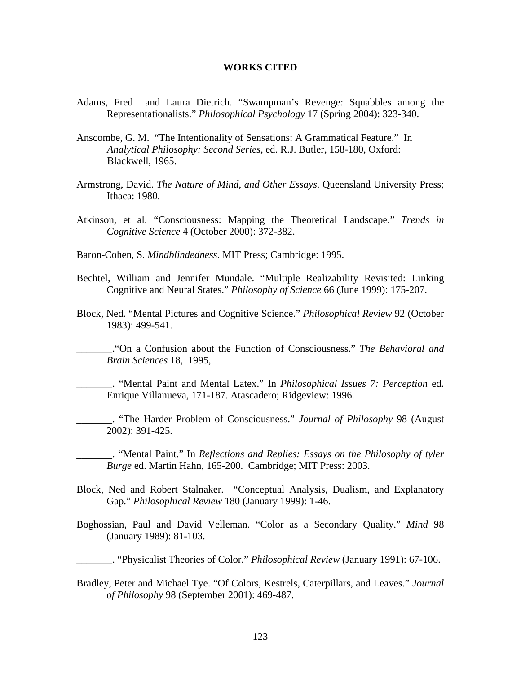#### **WORKS CITED**

- Adams, Fred and Laura Dietrich. "Swampman's Revenge: Squabbles among the Representationalists." *Philosophical Psychology* 17 (Spring 2004): 323-340.
- Anscombe, G. M. "The Intentionality of Sensations: A Grammatical Feature." In *Analytical Philosophy: Second Series*, ed. R.J. Butler, 158-180, Oxford: Blackwell, 1965.
- Armstrong, David. *The Nature of Mind, and Other Essays*. Queensland University Press; Ithaca: 1980.
- Atkinson, et al. "Consciousness: Mapping the Theoretical Landscape." *Trends in Cognitive Science* 4 (October 2000): 372-382.
- Baron-Cohen, S. *Mindblindedness*. MIT Press; Cambridge: 1995.
- Bechtel, William and Jennifer Mundale. "Multiple Realizability Revisited: Linking Cognitive and Neural States." *Philosophy of Science* 66 (June 1999): 175-207.
- Block, Ned. "Mental Pictures and Cognitive Science." *Philosophical Review* 92 (October 1983): 499-541.
	- \_\_\_\_\_\_\_."On a Confusion about the Function of Consciousness." *The Behavioral and Brain Sciences* 18, 1995,
	- \_\_\_\_\_\_\_. "Mental Paint and Mental Latex." In *Philosophical Issues 7: Perception* ed. Enrique Villanueva, 171-187. Atascadero; Ridgeview: 1996.
- \_\_\_\_\_\_\_. "The Harder Problem of Consciousness." *Journal of Philosophy* 98 (August 2002): 391-425.
	- \_\_\_\_\_\_\_. "Mental Paint." In *Reflections and Replies: Essays on the Philosophy of tyler Burge* ed. Martin Hahn, 165-200. Cambridge; MIT Press: 2003.
- Block, Ned and Robert Stalnaker. "Conceptual Analysis, Dualism, and Explanatory Gap." *Philosophical Review* 180 (January 1999): 1-46.
- Boghossian, Paul and David Velleman. "Color as a Secondary Quality." *Mind* 98 (January 1989): 81-103.
- \_\_\_\_\_\_\_. "Physicalist Theories of Color." *Philosophical Review* (January 1991): 67-106.
- Bradley, Peter and Michael Tye. "Of Colors, Kestrels, Caterpillars, and Leaves." *Journal of Philosophy* 98 (September 2001): 469-487.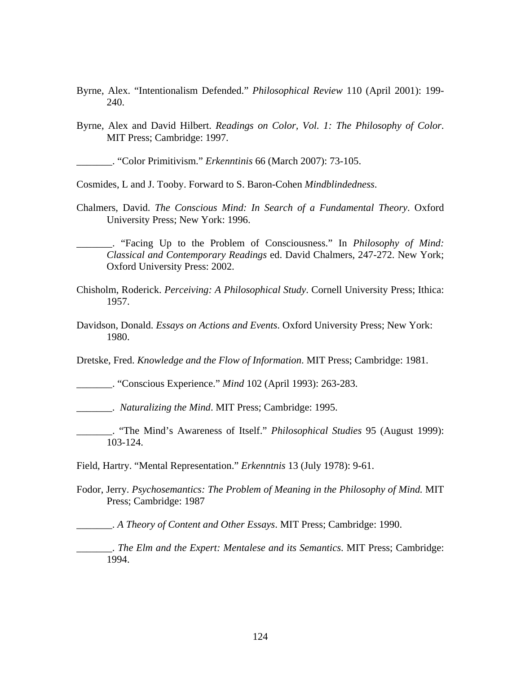- Byrne, Alex. "Intentionalism Defended." *Philosophical Review* 110 (April 2001): 199- 240.
- Byrne, Alex and David Hilbert. *Readings on Color, Vol. 1: The Philosophy of Color*. MIT Press; Cambridge: 1997.

\_\_\_\_\_\_\_. "Color Primitivism." *Erkenntinis* 66 (March 2007): 73-105.

Cosmides, L and J. Tooby. Forward to S. Baron-Cohen *Mindblindedness*.

Chalmers, David. *The Conscious Mind: In Search of a Fundamental Theory*. Oxford University Press; New York: 1996.

\_\_\_\_\_\_\_. "Facing Up to the Problem of Consciousness." In *Philosophy of Mind: Classical and Contemporary Readings* ed. David Chalmers, 247-272. New York; Oxford University Press: 2002.

- Chisholm, Roderick. *Perceiving: A Philosophical Study*. Cornell University Press; Ithica: 1957.
- Davidson, Donald. *Essays on Actions and Events*. Oxford University Press; New York: 1980.

Dretske, Fred. *Knowledge and the Flow of Information*. MIT Press; Cambridge: 1981.

\_\_\_\_\_\_\_. "Conscious Experience." *Mind* 102 (April 1993): 263-283.

\_\_\_\_\_\_\_. *Naturalizing the Mind*. MIT Press; Cambridge: 1995.

\_\_\_\_\_\_\_. "The Mind's Awareness of Itself." *Philosophical Studies* 95 (August 1999): 103-124.

Field, Hartry. "Mental Representation." *Erkenntnis* 13 (July 1978): 9-61.

Fodor, Jerry. *Psychosemantics: The Problem of Meaning in the Philosophy of Mind.* MIT Press; Cambridge: 1987

\_\_\_\_\_\_\_. *A Theory of Content and Other Essays*. MIT Press; Cambridge: 1990.

\_\_\_\_\_\_\_. *The Elm and the Expert: Mentalese and its Semantics*. MIT Press; Cambridge: 1994.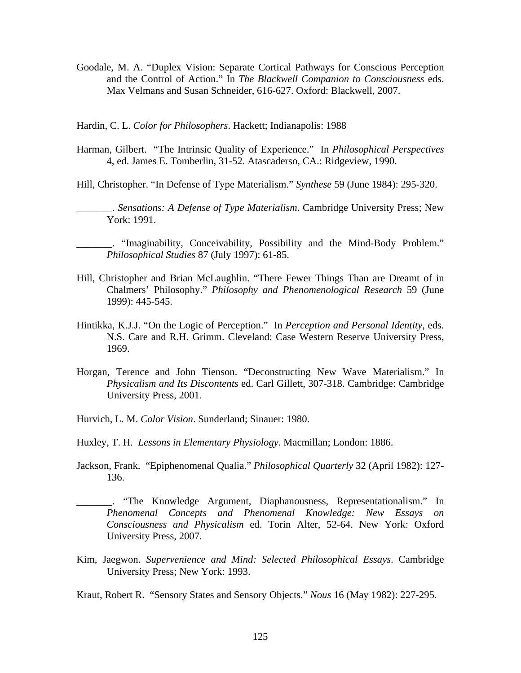Goodale, M. A. "Duplex Vision: Separate Cortical Pathways for Conscious Perception and the Control of Action." In *The Blackwell Companion to Consciousness* eds. Max Velmans and Susan Schneider, 616-627. Oxford: Blackwell, 2007.

Hardin, C. L. *Color for Philosophers*. Hackett; Indianapolis: 1988

Harman, Gilbert. "The Intrinsic Quality of Experience." In *Philosophical Perspectives*  4, ed. James E. Tomberlin, 31-52. Atascaderso, CA.: Ridgeview, 1990.

Hill, Christopher. "In Defense of Type Materialism." *Synthese* 59 (June 1984): 295-320.

\_\_\_\_\_\_\_. *Sensations: A Defense of Type Materialism*. Cambridge University Press; New York: 1991.

\_\_\_\_\_\_\_. "Imaginability, Conceivability, Possibility and the Mind-Body Problem." *Philosophical Studies* 87 (July 1997): 61-85.

- Hill, Christopher and Brian McLaughlin. "There Fewer Things Than are Dreamt of in Chalmers' Philosophy." *Philosophy and Phenomenological Research* 59 (June 1999): 445-545.
- Hintikka, K.J.J. "On the Logic of Perception." In *Perception and Personal Identity*, eds. N.S. Care and R.H. Grimm. Cleveland: Case Western Reserve University Press, 1969.
- Horgan, Terence and John Tienson. "Deconstructing New Wave Materialism." In *Physicalism and Its Discontents* ed. Carl Gillett, 307-318. Cambridge: Cambridge University Press, 2001.
- Hurvich, L. M. *Color Vision*. Sunderland; Sinauer: 1980.
- Huxley, T. H. *Lessons in Elementary Physiology*. Macmillan; London: 1886.
- Jackson, Frank. "Epiphenomenal Qualia." *Philosophical Quarterly* 32 (April 1982): 127- 136.

\_\_\_\_\_\_\_. "The Knowledge Argument, Diaphanousness, Representationalism." In *Phenomenal Concepts and Phenomenal Knowledge: New Essays on Consciousness and Physicalism* ed. Torin Alter, 52-64. New York: Oxford University Press, 2007.

Kim, Jaegwon. *Supervenience and Mind: Selected Philosophical Essays*. Cambridge University Press; New York: 1993.

Kraut, Robert R. "Sensory States and Sensory Objects." *Nous* 16 (May 1982): 227-295.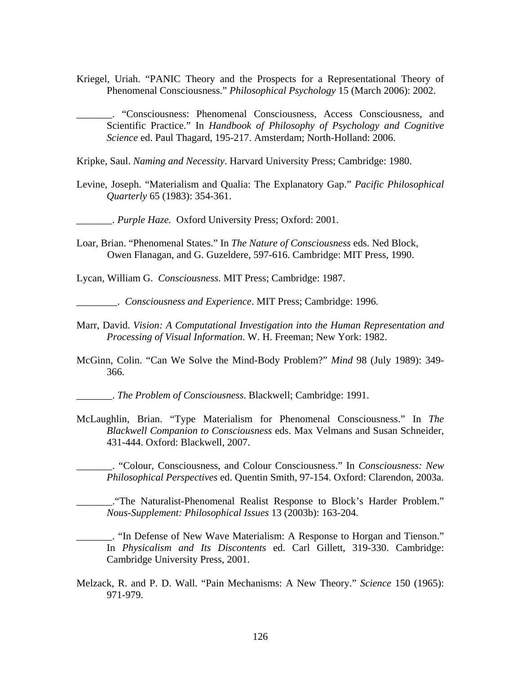- Kriegel, Uriah. "PANIC Theory and the Prospects for a Representational Theory of Phenomenal Consciousness." *Philosophical Psychology* 15 (March 2006): 2002.
	- \_\_\_\_\_\_\_. "Consciousness: Phenomenal Consciousness, Access Consciousness, and Scientific Practice." In *Handbook of Philosophy of Psychology and Cognitive Science* ed. Paul Thagard, 195-217. Amsterdam; North-Holland: 2006.

Kripke, Saul. *Naming and Necessity*. Harvard University Press; Cambridge: 1980.

Levine, Joseph. "Materialism and Qualia: The Explanatory Gap." *Pacific Philosophical Quarterly* 65 (1983): 354-361.

\_\_\_\_\_\_\_. *Purple Haze.* Oxford University Press; Oxford: 2001.

Loar, Brian. "Phenomenal States." In *The Nature of Consciousness* eds. Ned Block, Owen Flanagan, and G. Guzeldere, 597-616. Cambridge: MIT Press, 1990.

Lycan, William G. *Consciousness*. MIT Press; Cambridge: 1987.

\_\_\_\_\_\_\_\_. *Consciousness and Experience*. MIT Press; Cambridge: 1996.

- Marr, David. *Vision: A Computational Investigation into the Human Representation and Processing of Visual Information*. W. H. Freeman; New York: 1982.
- McGinn, Colin. "Can We Solve the Mind-Body Problem?" *Mind* 98 (July 1989): 349- 366.
- \_\_\_\_\_\_\_. *The Problem of Consciousness*. Blackwell; Cambridge: 1991.
- McLaughlin, Brian. "Type Materialism for Phenomenal Consciousness." In *The Blackwell Companion to Consciousness* eds. Max Velmans and Susan Schneider, 431-444. Oxford: Blackwell, 2007.

\_\_\_\_\_\_\_. "Colour, Consciousness, and Colour Consciousness." In *Consciousness: New Philosophical Perspectives* ed. Quentin Smith, 97-154. Oxford: Clarendon, 2003a.

\_\_\_\_\_\_\_."The Naturalist-Phenomenal Realist Response to Block's Harder Problem." *Nous-Supplement: Philosophical Issues* 13 (2003b): 163-204.

\_\_\_\_\_\_\_. "In Defense of New Wave Materialism: A Response to Horgan and Tienson." In *Physicalism and Its Discontents* ed. Carl Gillett, 319-330. Cambridge: Cambridge University Press, 2001.

Melzack, R. and P. D. Wall. "Pain Mechanisms: A New Theory." *Science* 150 (1965): 971-979.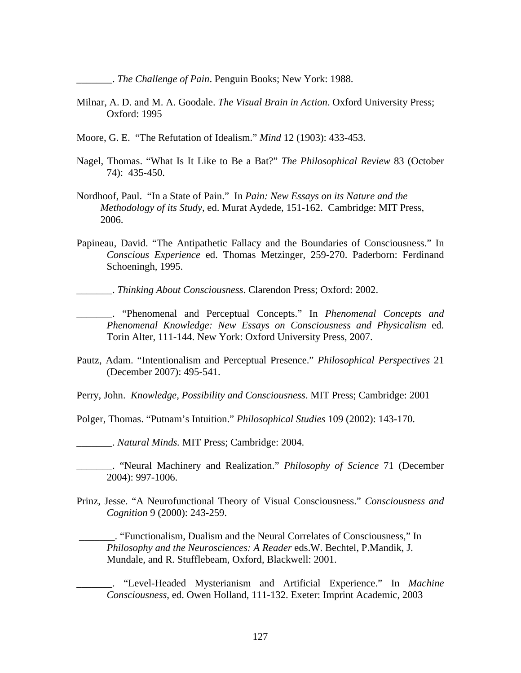\_\_\_\_\_\_\_. *The Challenge of Pain*. Penguin Books; New York: 1988.

- Milnar, A. D. and M. A. Goodale. *The Visual Brain in Action*. Oxford University Press; Oxford: 1995
- Moore, G. E. "The Refutation of Idealism." *Mind* 12 (1903): 433-453.
- Nagel, Thomas. "What Is It Like to Be a Bat?" *The Philosophical Review* 83 (October 74): 435-450.
- Nordhoof, Paul. "In a State of Pain." In *Pain: New Essays on its Nature and the Methodology of its Study*, ed. Murat Aydede, 151-162. Cambridge: MIT Press, 2006.
- Papineau, David. "The Antipathetic Fallacy and the Boundaries of Consciousness." In *Conscious Experience* ed. Thomas Metzinger, 259-270. Paderborn: Ferdinand Schoeningh, 1995.

- \_\_\_\_\_\_\_. "Phenomenal and Perceptual Concepts." In *Phenomenal Concepts and Phenomenal Knowledge: New Essays on Consciousness and Physicalism* ed. Torin Alter, 111-144. New York: Oxford University Press, 2007.
- Pautz, Adam. "Intentionalism and Perceptual Presence." *Philosophical Perspectives* 21 (December 2007): 495-541.

Perry, John. *Knowledge, Possibility and Consciousness*. MIT Press; Cambridge: 2001

Polger, Thomas. "Putnam's Intuition." *Philosophical Studies* 109 (2002): 143-170.

\_\_\_\_\_\_\_. *Natural Minds.* MIT Press; Cambridge: 2004.

\_\_\_\_\_\_\_. "Neural Machinery and Realization." *Philosophy of Science* 71 (December 2004): 997-1006.

Prinz, Jesse. "A Neurofunctional Theory of Visual Consciousness." *Consciousness and Cognition* 9 (2000): 243-259.

 \_\_\_\_\_\_\_. "Functionalism, Dualism and the Neural Correlates of Consciousness," In *Philosophy and the Neurosciences: A Reader* eds.W. Bechtel, P.Mandik, J. Mundale, and R. Stufflebeam, Oxford, Blackwell: 2001.

\_\_\_\_\_\_\_. "Level-Headed Mysterianism and Artificial Experience." In *Machine Consciousness*, ed. Owen Holland, 111-132. Exeter: Imprint Academic, 2003

\_\_\_\_\_\_\_. *Thinking About Consciousness*. Clarendon Press; Oxford: 2002.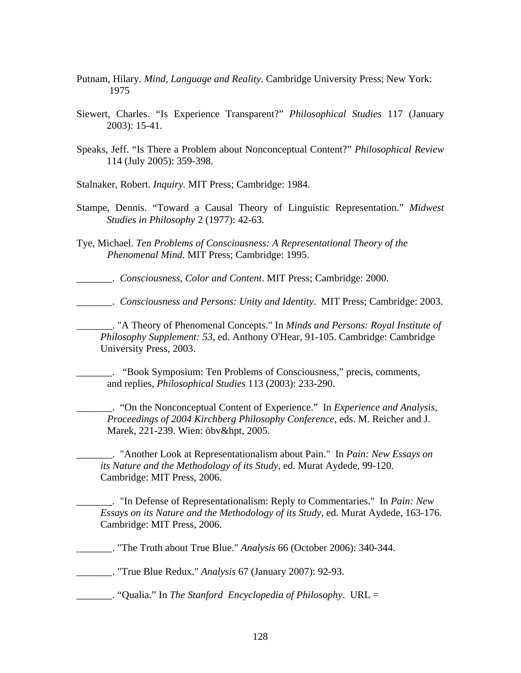- Putnam, Hilary. *Mind, Language and Reality*. Cambridge University Press; New York: 1975
- Siewert, Charles. "Is Experience Transparent?" *Philosophical Studies* 117 (January 2003): 15-41.
- Speaks, Jeff. "Is There a Problem about Nonconceptual Content?" *Philosophical Review*  114 (July 2005): 359-398.

Stalnaker, Robert. *Inquiry.* MIT Press; Cambridge: 1984.

- Stampe, Dennis. "Toward a Causal Theory of Linguistic Representation." *Midwest Studies in Philosophy* 2 (1977): 42-63.
- Tye, Michael. *Ten Problems of Consciousness: A Representational Theory of the Phenomenal Mind*. MIT Press; Cambridge: 1995.

\_\_\_\_\_\_\_. *Consciousness, Color and Content*. MIT Press; Cambridge: 2000.

\_\_\_\_\_\_\_. *Consciousness and Persons: Unity and Identity*. MIT Press; Cambridge: 2003.

\_\_\_\_\_\_\_. "A Theory of Phenomenal Concepts." In *Minds and Persons: Royal Institute of Philosophy Supplement: 53*, ed. Anthony O'Hear, 91-105. Cambridge: Cambridge University Press, 2003.

\_\_\_\_\_\_\_. "Book Symposium: Ten Problems of Consciousness," precis, comments, and replies, *Philosophical Studies* 113 (2003): 233-290.

\_\_\_\_\_\_\_. "On the Nonconceptual Content of Experience." In *Experience and Analysis, Proceedings of 2004 Kirchberg Philosophy Conference*, eds. M. Reicher and J. Marek, 221-239. Wien: öbv&hpt, 2005.

\_\_\_\_\_\_\_. "Another Look at Representationalism about Pain." In *Pain: New Essays on its Nature and the Methodology of its Study*, ed. Murat Aydede, 99-120. Cambridge: MIT Press, 2006.

\_\_\_\_\_\_\_. "In Defense of Representationalism: Reply to Commentaries." In *Pain: New Essays on its Nature and the Methodology of its Study*, ed. Murat Aydede, 163-176. Cambridge: MIT Press, 2006.

\_\_\_\_\_\_\_. "The Truth about True Blue." *Analysis* 66 (October 2006): 340-344.

\_\_\_\_\_\_\_. "True Blue Redux." *Analysis* 67 (January 2007): 92-93.

\_\_\_\_\_\_\_. "Qualia." In *The Stanford Encyclopedia of Philosophy*. URL =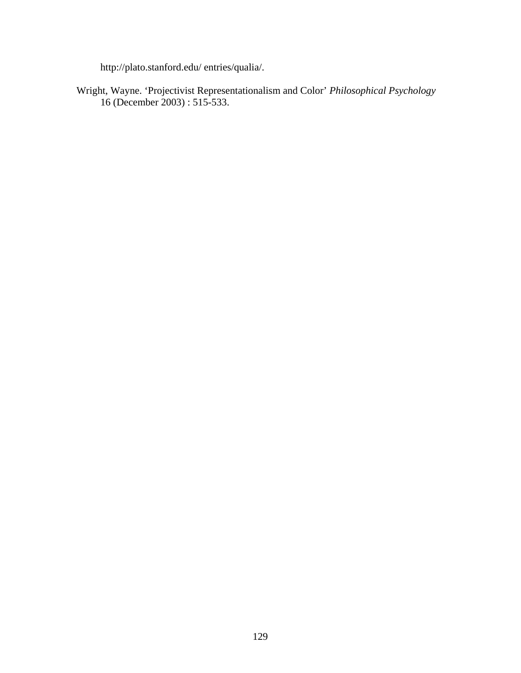http://plato.stanford.edu/ entries/qualia/.

Wright, Wayne. 'Projectivist Representationalism and Color' *Philosophical Psychology* 16 (December 2003) : 515-533.